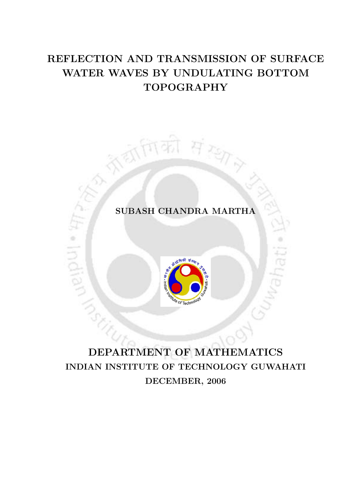## REFLECTION AND TRANSMISSION OF SURFACE WATER WAVES BY UNDULATING BOTTOM TOPOGRAPHY

### SUBASH CHANDRA MARTHA

 $\frac{\pi}{4}$ ren y



rico

DEPARTMENT OF MATHEMATICS INDIAN INSTITUTE OF TECHNOLOGY GUWAHATI DECEMBER, 2006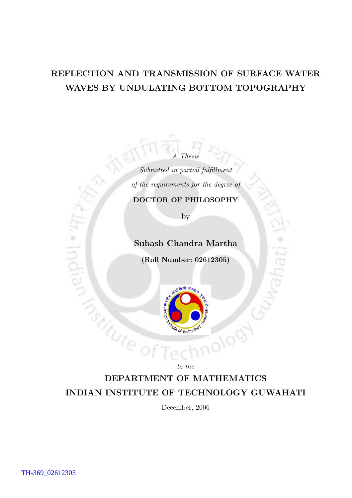### REFLECTION AND TRANSMISSION OF SURFACE WATER WAVES BY UNDULATING BOTTOM TOPOGRAPHY

Submitted in partial fulfillment of the requirements for the degree of DOCTOR OF PHILOSOPHY

*Thesis* 

by

### Subash Chandra Martha

(Roll Number: 02612305)



to the

**TONITATE O** 

### DEPARTMENT OF MATHEMATICS INDIAN INSTITUTE OF TECHNOLOGY GUWAHATI

December, 2006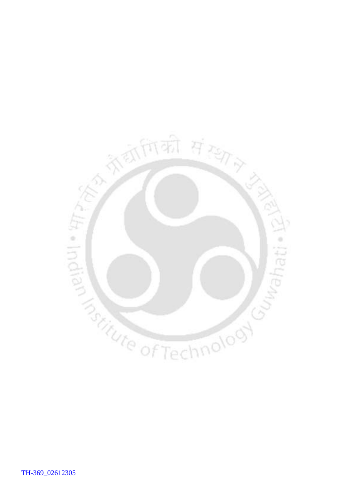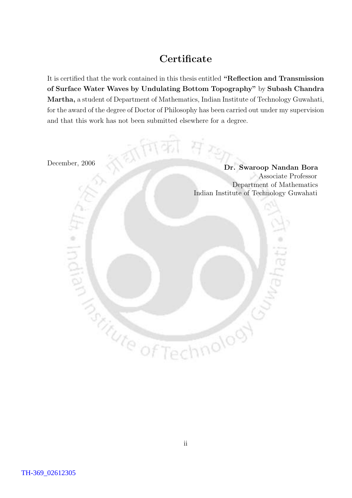### **Certificate**

It is certified that the work contained in this thesis entitled "Reflection and Transmission of Surface Water Waves by Undulating Bottom Topography" by Subash Chandra Martha, a student of Department of Mathematics, Indian Institute of Technology Guwahati, for the award of the degree of Doctor of Philosophy has been carried out under my supervision and that this work has not been submitted elsewhere for a degree.

ch L

润

**Indian** 

**Solivie of Tec** 

December, 2006 Dr. Swaroop Nandan Bora Associate Professor Department of Mathematics Indian Institute of Technology Guwahati

hnolooy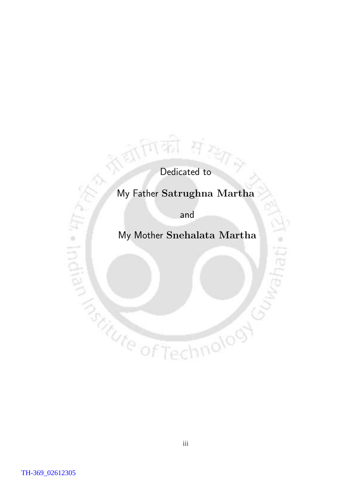Dedicated to

त्री संश्

## My Father Satrughna Martha

and

My Mother Snehalata Martha

noloot

ndian

**Solidate Of Tec**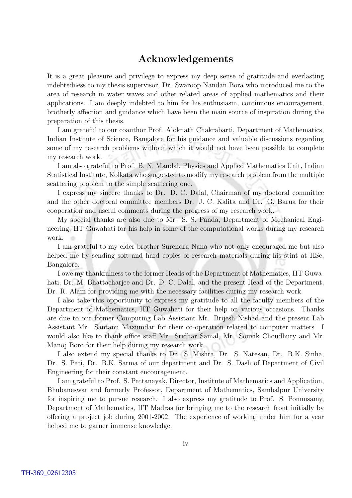### Acknowledgements

It is a great pleasure and privilege to express my deep sense of gratitude and everlasting indebtedness to my thesis supervisor, Dr. Swaroop Nandan Bora who introduced me to the area of research in water waves and other related areas of applied mathematics and their applications. I am deeply indebted to him for his enthusiasm, continuous encouragement, brotherly affection and guidance which have been the main source of inspiration during the preparation of this thesis.

I am grateful to our coauthor Prof. Aloknath Chakrabarti, Department of Mathematics, Indian Institute of Science, Bangalore for his guidance and valuable discussions regarding some of my research problems without which it would not have been possible to complete my research work.

I am also grateful to Prof. B. N. Mandal, Physics and Applied Mathematics Unit, Indian Statistical Institute, Kolkata who suggested to modify my research problem from the multiple scattering problem to the simple scattering one.

I express my sincere thanks to Dr. D. C. Dalal, Chairman of my doctoral committee and the other doctoral committee members Dr. J. C. Kalita and Dr. G. Barua for their cooperation and useful comments during the progress of my research work.

My special thanks are also due to Mr. S. S. Panda, Department of Mechanical Engineering, IIT Guwahati for his help in some of the computational works during my research work.

I am grateful to my elder brother Surendra Nana who not only encouraged me but also helped me by sending soft and hard copies of research materials during his stint at IISc, Bangalore.

I owe my thankfulness to the former Heads of the Department of Mathematics, IIT Guwahati, Dr. M. Bhattacharjee and Dr. D. C. Dalal, and the present Head of the Department, Dr. R. Alam for providing me with the necessary facilities during my research work.

I also take this opportunity to express my gratitude to all the faculty members of the Department of Mathematics, IIT Guwahati for their help on various occasions. Thanks are due to our former Computing Lab Assistant Mr. Brijesh Nishad and the present Lab Assistant Mr. Santanu Mazumdar for their co-operation related to computer matters. I would also like to thank office staff Mr. Sridhar Samal, Mr. Souvik Choudhury and Mr. Manoj Boro for their help during my research work.

I also extend my special thanks to Dr. S. Mishra, Dr. S. Natesan, Dr. R.K. Sinha, Dr. S. Pati, Dr. B.K. Sarma of our department and Dr. S. Dash of Department of Civil Engineering for their constant encouragement.

I am grateful to Prof. S. Pattanayak, Director, Institute of Mathematics and Application, Bhubaneswar and formerly Professor, Department of Mathematics, Sambalpur University for inspiring me to pursue research. I also express my gratitude to Prof. S. Ponnusamy, Department of Mathematics, IIT Madras for bringing me to the research front initially by offering a project job during 2001-2002. The experience of working under him for a year helped me to garner immense knowledge.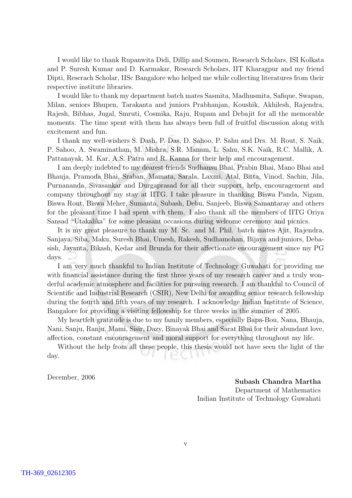I would like to thank Rupanwita Didi, Dillip and Soumen, Research Scholars, ISI Kolkata and P. Suresh Kumar and D. Karmakar, Research Scholars, IIT Kharagpur and my friend Dipti, Reserach Scholar, IISc Bangalore who helped me while collecting literatures from their respective institute libraries.

I would like to thank my department batch mates Sasmita, Madhusmita, Safique, Swapan, Milan, seniors Bhupen, Tarakanta and juniors Prabhanjan, Koushik, Akhilesh, Rajendra, Rajesh, Bibhas, Jugal, Smruti, Cosmika, Raju, Rupam and Debajit for all the memorable moments. The time spent with them has always been full of fruitful discussion along with excitement and fun.

I thank my well-wishers S. Dash, P. Das, D. Sahoo, P. Sahu and Drs. M. Rout, S. Naik, P. Sahoo, A. Swaminathan, M. Mishra, S.R. Manam, L. Sahu, S.K. Naik, R.C. Mallik, A. Pattanayak, M. Kar, A.S. Patra and R. Kanna for their help and encouragement.

I am deeply indebted to my dearest friends Sudhansu Bhai, Prabin Bhai, Mano Bhai and Bhauja, Pramoda Bhai, Sraban, Mamata, Sarala, Laxmi, Atal, Bitta, Vinod, Sachin, Jila, Purnananda, Sivasankar and Durgaprasad for all their support, help, encouragement and company throughout my stay at IITG. I take pleasure in thanking Biswa Panda, Nigam, Biswa Rout, Biswa Meher, Sumanta, Subash, Debu, Sanjeeb, Biswa Samantaray and others for the pleasant time I had spent with them. I also thank all the members of IITG Oriya Sansad "Utakalika" for some pleasant occasions during welcome ceremony and picnics.

It is my great pleasure to thank my M. Sc. and M. Phil. batch mates Ajit, Rajendra, Sanjaya, Siba, Maku, Suresh Bhai, Umesh, Rakesh, Sudhamohan, Bijaya and juniors, Debasish, Jayanta, Bikash, Kedar and Brunda for their affectionate encouragement since my PG days.

I am very much thankful to Indian Institute of Technology Guwahati for providing me with financial assistance during the first three years of my research career and a truly wonderful academic atmosphere and facilities for pursuing research. I am thankful to Council of Scientific and Industrial Research (CSIR), New Delhi for awarding senior research fellowship during the fourth and fifth years of my research. I acknowledge Indian Institute of Science, Bangalore for providing a visiting fellowship for three weeks in the summer of 2005.

My heartfelt gratitude is due to my family members, especially Bapa-Bou, Nana, Bhauja, Nani, Sanju, Ranju, Mami, Sisir, Dazy, Binayak Bhai and Sarat Bhai for their abundant love, affection, constant encouragement and moral support for everything throughout my life.

Without the help from all these people, this thesis would not have seen the light of the day.

December, 2006 Subash Chandra Martha Department of Mathematics Indian Institute of Technology Guwahati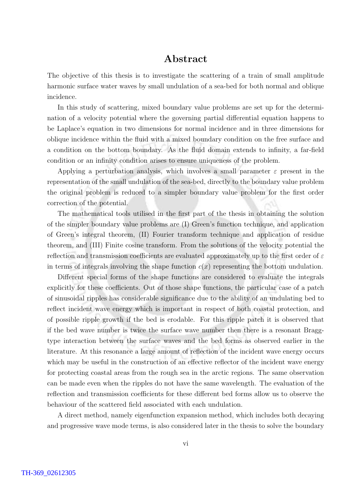#### Abstract

The objective of this thesis is to investigate the scattering of a train of small amplitude harmonic surface water waves by small undulation of a sea-bed for both normal and oblique incidence.

In this study of scattering, mixed boundary value problems are set up for the determination of a velocity potential where the governing partial differential equation happens to be Laplace's equation in two dimensions for normal incidence and in three dimensions for oblique incidence within the fluid with a mixed boundary condition on the free surface and a condition on the bottom boundary. As the fluid domain extends to infinity, a far-field condition or an infinity condition arises to ensure uniqueness of the problem.

Applying a perturbation analysis, which involves a small parameter  $\varepsilon$  present in the representation of the small undulation of the sea-bed, directly to the boundary value problem the original problem is reduced to a simpler boundary value problem for the first order correction of the potential.

The mathematical tools utilised in the first part of the thesis in obtaining the solution of the simpler boundary value problems are (I) Green's function technique, and application of Green's integral theorem, (II) Fourier transform technique and application of residue theorem, and (III) Finite cosine transform. From the solutions of the velocity potential the reflection and transmission coefficients are evaluated approximately up to the first order of  $\varepsilon$ in terms of integrals involving the shape function  $c(x)$  representing the bottom undulation.

Different special forms of the shape functions are considered to evaluate the integrals explicitly for these coefficients. Out of those shape functions, the particular case of a patch of sinusoidal ripples has considerable significance due to the ability of an undulating bed to reflect incident wave energy which is important in respect of both coastal protection, and of possible ripple growth if the bed is erodable. For this ripple patch it is observed that if the bed wave number is twice the surface wave number then there is a resonant Braggtype interaction between the surface waves and the bed forms as observed earlier in the literature. At this resonance a large amount of reflection of the incident wave energy occurs which may be useful in the construction of an effective reflector of the incident wave energy for protecting coastal areas from the rough sea in the arctic regions. The same observation can be made even when the ripples do not have the same wavelength. The evaluation of the reflection and transmission coefficients for these different bed forms allow us to observe the behaviour of the scattered field associated with each undulation.

A direct method, namely eigenfunction expansion method, which includes both decaying and progressive wave mode terms, is also considered later in the thesis to solve the boundary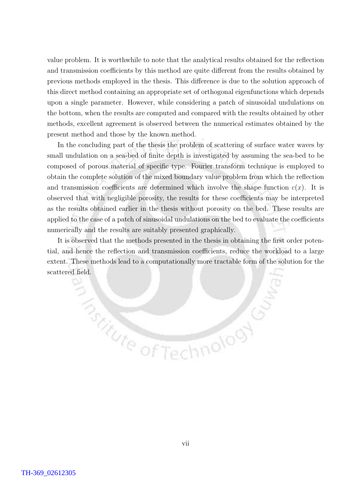value problem. It is worthwhile to note that the analytical results obtained for the reflection and transmission coefficients by this method are quite different from the results obtained by previous methods employed in the thesis. This difference is due to the solution approach of this direct method containing an appropriate set of orthogonal eigenfunctions which depends upon a single parameter. However, while considering a patch of sinusoidal undulations on the bottom, when the results are computed and compared with the results obtained by other methods, excellent agreement is observed between the numerical estimates obtained by the present method and those by the known method.

In the concluding part of the thesis the problem of scattering of surface water waves by small undulation on a sea-bed of finite depth is investigated by assuming the sea-bed to be composed of porous material of specific type. Fourier transform technique is employed to obtain the complete solution of the mixed boundary value problem from which the reflection and transmission coefficients are determined which involve the shape function  $c(x)$ . It is observed that with negligible porosity, the results for these coefficients may be interpreted as the results obtained earlier in the thesis without porosity on the bed. These results are applied to the case of a patch of sinusoidal undulations on the bed to evaluate the coefficients numerically and the results are suitably presented graphically.

It is observed that the methods presented in the thesis in obtaining the first order potential, and hence the reflection and transmission coefficients, reduce the workload to a large extent. These methods lead to a computationally more tractable form of the solution for the scattered field.

**Solivite of Tec**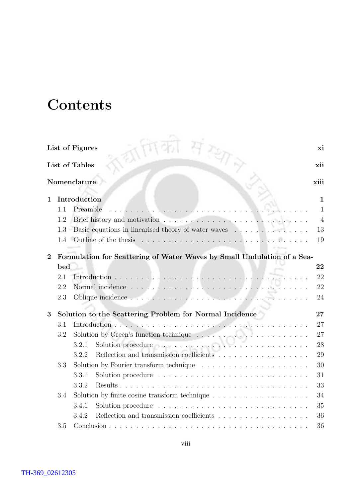## **Contents**

|                |     | List of Figures |                                                                                           |  |  | хi             |
|----------------|-----|-----------------|-------------------------------------------------------------------------------------------|--|--|----------------|
|                |     | List of Tables  |                                                                                           |  |  | xii            |
|                |     | Nomenclature    |                                                                                           |  |  | xiii           |
| 1              |     | Introduction    |                                                                                           |  |  | $\mathbf{1}$   |
|                | 1.1 | Preamble        |                                                                                           |  |  | 1              |
|                | 1.2 |                 |                                                                                           |  |  | $\overline{4}$ |
|                | 1.3 |                 | Basic equations in linearised theory of water waves                                       |  |  | 13             |
|                | 1.4 |                 |                                                                                           |  |  | 19             |
|                |     |                 |                                                                                           |  |  |                |
| $\overline{2}$ |     |                 | Formulation for Scattering of Water Waves by Small Undulation of a Sea-                   |  |  |                |
|                | bed |                 |                                                                                           |  |  | 22             |
|                | 2.1 |                 |                                                                                           |  |  | 22             |
|                | 2.2 |                 |                                                                                           |  |  | 22             |
|                | 2.3 |                 |                                                                                           |  |  | 24             |
| 3              |     |                 | Solution to the Scattering Problem for Normal Incidence                                   |  |  | 27             |
|                | 3.1 |                 |                                                                                           |  |  | 27             |
|                | 3.2 |                 | Solution by Green's function technique $\dots \dots \dots \dots \dots \dots \dots \dots$  |  |  | 27             |
|                |     | 3.2.1           |                                                                                           |  |  | 28             |
|                |     | 3.2.2           |                                                                                           |  |  | 29             |
|                | 3.3 |                 |                                                                                           |  |  | 30             |
|                |     | 3.3.1           |                                                                                           |  |  | 31             |
|                |     | 3.3.2           |                                                                                           |  |  | 33             |
|                | 3.4 |                 | Solution by finite cosine transform technique $\dots \dots \dots \dots \dots \dots \dots$ |  |  | 34             |
|                |     | 3.4.1           |                                                                                           |  |  | 35             |
|                |     | 3.4.2           | Reflection and transmission coefficients $\ldots \ldots \ldots \ldots \ldots \ldots$      |  |  | 36             |
|                | 3.5 |                 |                                                                                           |  |  | 36             |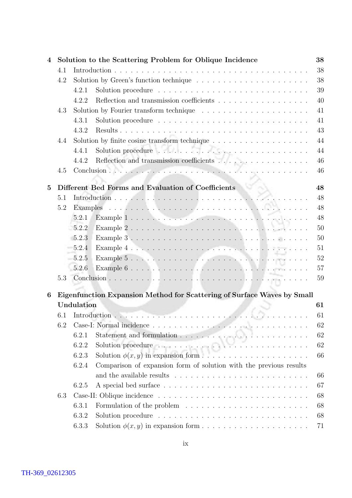| $\overline{4}$ |     |            | Solution to the Scattering Problem for Oblique Incidence                            | 38 |
|----------------|-----|------------|-------------------------------------------------------------------------------------|----|
|                | 4.1 |            |                                                                                     | 38 |
|                | 4.2 |            |                                                                                     | 38 |
|                |     | 4.2.1      |                                                                                     | 39 |
|                |     | 4.2.2      |                                                                                     | 40 |
|                | 4.3 |            | Solution by Fourier transform technique $\ldots \ldots \ldots \ldots \ldots \ldots$ | 41 |
|                |     | 4.3.1      |                                                                                     | 41 |
|                |     | 4.3.2      |                                                                                     | 43 |
|                | 4.4 |            | Solution by finite cosine transform technique $\dots \dots \dots \dots \dots \dots$ | 44 |
|                |     | 4.4.1      |                                                                                     | 44 |
|                |     | 4.4.2      |                                                                                     | 46 |
|                | 4.5 |            |                                                                                     | 46 |
| $\bf{5}$       |     |            | Different Bed Forms and Evaluation of Coefficients                                  | 48 |
|                | 5.1 |            |                                                                                     | 48 |
|                | 5.2 |            |                                                                                     | 48 |
|                |     | 5.2.1      |                                                                                     | 48 |
|                |     | 5.2.2      |                                                                                     | 50 |
|                |     | 5.2.3      |                                                                                     | 50 |
|                |     | 5.2.4      |                                                                                     | 51 |
|                |     | 5.2.5      |                                                                                     | 52 |
|                |     | 5.2.6      |                                                                                     | 57 |
|                | 5.3 |            |                                                                                     | 59 |
| 6              |     |            | Eigenfunction Expansion Method for Scattering of Surface Waves by Small             |    |
|                |     | Undulation |                                                                                     | 61 |
|                | 6.1 |            |                                                                                     | 61 |
|                | 6.2 |            |                                                                                     | 62 |
|                |     | 6.2.1      | Statement and formulation $\ldots \ldots \ldots \ldots \ldots \ldots \ldots \ldots$ | 62 |
|                |     | 6.2.2      |                                                                                     | 62 |
|                |     | 6.2.3      |                                                                                     | 66 |
|                |     | 6.2.4      | Comparison of expansion form of solution with the previous results                  |    |
|                |     |            |                                                                                     | 66 |
|                |     | 6.2.5      |                                                                                     | 67 |
|                | 6.3 |            |                                                                                     | 68 |
|                |     | 6.3.1      |                                                                                     | 68 |
|                |     | 6.3.2      |                                                                                     | 68 |
|                |     | 6.3.3      |                                                                                     | 71 |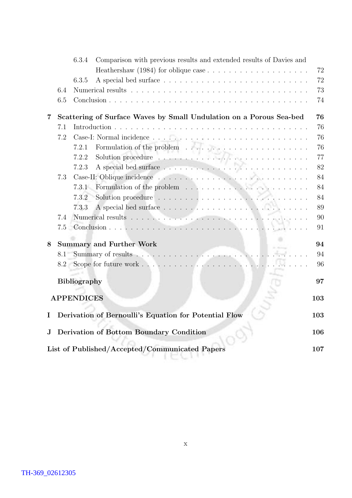|           |                                                | 6.3.4               | Comparison with previous results and extended results of Davies and                  |     |  |
|-----------|------------------------------------------------|---------------------|--------------------------------------------------------------------------------------|-----|--|
|           |                                                |                     | Heathershaw (1984) for oblique case $\ldots \ldots \ldots \ldots \ldots \ldots$      | 72  |  |
|           |                                                | 6.3.5               |                                                                                      | 72  |  |
|           | 6.4                                            |                     |                                                                                      | 73  |  |
|           | 6.5                                            |                     |                                                                                      | 74  |  |
| 7         |                                                |                     | Scattering of Surface Waves by Small Undulation on a Porous Sea-bed                  | 76  |  |
|           | 7.1                                            |                     |                                                                                      | 76  |  |
|           | 7.2                                            |                     |                                                                                      | 76  |  |
|           |                                                | 7.2.1               | Formulation of the problem $\ldots \ldots \ldots \ldots \ldots \ldots \ldots \ldots$ | 76  |  |
|           |                                                | 7.2.2               |                                                                                      | 77  |  |
|           |                                                | 7.2.3               |                                                                                      | 82  |  |
|           | 7.3                                            |                     |                                                                                      | 84  |  |
|           |                                                | 7.3.1               |                                                                                      | 84  |  |
|           |                                                | 7.3.2               |                                                                                      | 84  |  |
|           |                                                | 7.3.3               |                                                                                      | 89  |  |
|           | 7.4                                            |                     |                                                                                      | 90  |  |
|           | 7.5                                            |                     |                                                                                      | 91  |  |
| 8         |                                                |                     | <b>Summary and Further Work</b>                                                      | 94  |  |
|           | 8.1                                            |                     |                                                                                      | 94  |  |
|           | 8.2                                            |                     |                                                                                      | 96  |  |
|           |                                                |                     |                                                                                      |     |  |
|           |                                                | <b>Bibliography</b> |                                                                                      | 97  |  |
|           |                                                | <b>APPENDICES</b>   |                                                                                      | 103 |  |
| I         |                                                |                     | Derivation of Bernoulli's Equation for Potential Flow                                | 103 |  |
|           |                                                |                     |                                                                                      |     |  |
| ${\bf J}$ | Derivation of Bottom Boundary Condition<br>106 |                     |                                                                                      |     |  |
|           |                                                |                     | List of Published/Accepted/Communicated Papers                                       | 107 |  |
|           |                                                |                     |                                                                                      |     |  |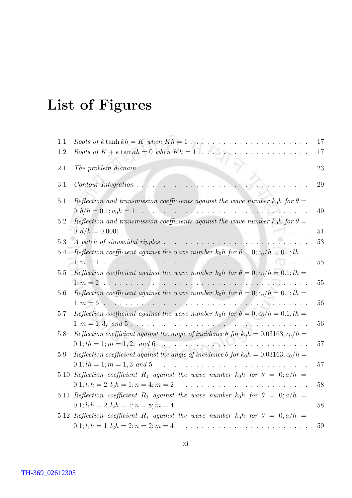# List of Figures

| 1.1  | Roots of k tanh $kh = K$ when $Kh = 1$                                                                                                           | 17 |
|------|--------------------------------------------------------------------------------------------------------------------------------------------------|----|
| 1.2  | Roots of $K + \kappa \tan \kappa h = 0$ when $Kh = 1$<br>$\mathbf{r}$ , $\mathbf{r}$ , $\mathbf{r}$ , $\mathbf{r}$ , $\mathbf{r}$ , $\mathbf{r}$ | 17 |
| 2.1  | The problem domain $\ldots \ldots \ldots \ldots \ldots \ldots$                                                                                   | 23 |
| 3.1  | $Contour Integration \dots \dots \dots \dots \dots \dots \dots \dots$                                                                            | 29 |
| 5.1  | Reflection and transmission coefficients against the wave number $k_0 h$ for $\theta =$                                                          |    |
|      | $0; b/h = 0.1; a_0 h = 1$<br><u> 1999 - Francisco III, marchiel al III (1999)</u>                                                                | 49 |
| 5.2  | Reflection and transmission coefficients against the wave number $k_0 h$ for $\theta =$                                                          |    |
|      | $0; d/h = 0.0001$                                                                                                                                | 51 |
| 5.3  |                                                                                                                                                  | 53 |
| 5.4  | Reflection coefficient against the wave number $k_0 h$ for $\theta = 0$ ; $c_0/h = 0.1$ ; $lh =$                                                 |    |
|      |                                                                                                                                                  | 55 |
| 5.5  | Reflection coefficient against the wave number $k_0 h$ for $\theta = 0$ ; $c_0/h = 0.1$ ; $lh =$                                                 |    |
|      | $1; m = 2$ .                                                                                                                                     | 55 |
| 5.6  | Reflection coefficient against the wave number $k_0 h$ for $\theta = 0$ ; $c_0/h = 0.1$ ; $lh =$                                                 |    |
|      |                                                                                                                                                  | 56 |
| 5.7  | Reflection coefficient against the wave number $k_0 h$ for $\theta = 0$ ; $c_0/h = 0.1$ ; $lh =$                                                 |    |
|      | $1; m = 1, 3, and 5 \ldots  \ldots  \ldots  \ldots  \ldots  \ldots $                                                                             | 56 |
| 5.8  | Reflection coefficient against the angle of incidence $\theta$ for $k_0 h = 0.03163$ ; $c_0/h =$                                                 |    |
|      | $0.1; lh = 1; m = 1, 2, and 6 \ldots \ldots \ldots$<br>.                                                                                         | 57 |
| 5.9  | Reflection coefficient against the angle of incidence $\theta$ for $k_0 h = 0.03163$ ; $c_0/h =$                                                 |    |
|      | $0.1; lh = 1; m = 1, 3 \text{ and } 5$                                                                                                           | 57 |
| 5.10 | Reflection coefficient R <sub>1</sub> against the wave number $k_0 h$ for $\theta = 0; a/h =$                                                    |    |
|      | $0.1; l_1h = 2; l_2h = 1; n = 4; m = 2; \ldots; \ldots; \ldots; \ldots; \ldots; \ldots; \ldots; \ldots$                                          | 58 |
|      | 5.11 Reflection coefficient R <sub>1</sub> against the wave number $k_0 h$ for $\theta = 0$ ; $a/h =$                                            |    |
|      | $0.1; l_1h = 2; l_2h = 1; n = 8; m = 4.$                                                                                                         | 58 |
|      | 5.12 Reflection coefficient R <sub>1</sub> against the wave number $k_0 h$ for $\theta = 0$ ; $a/h =$                                            |    |
|      | $0.1; l_1h = 1; l_2h = 2; n = 2; m = 4. \ldots \ldots \ldots \ldots \ldots \ldots \ldots \ldots \ldots$                                          | 59 |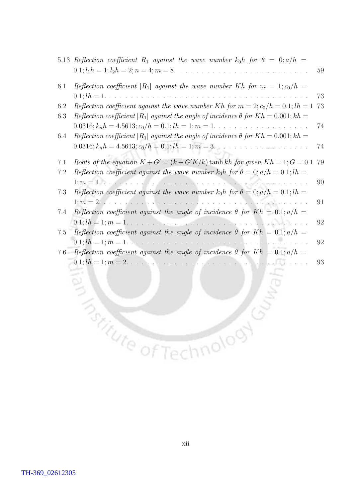|     | 5.13 Reflection coefficient $R_1$ against the wave number $k_0 h$ for $\theta = 0; a/h =$                        |    |
|-----|------------------------------------------------------------------------------------------------------------------|----|
|     | $0.1; l_1 h = 1; l_2 h = 2; n = 4; m = 8. \ldots \ldots \ldots \ldots \ldots \ldots \ldots \ldots \ldots \ldots$ | 59 |
| 6.1 | Reflection coefficient $ R_1 $ against the wave number Kh for $m = 1$ ; $c_0/h =$                                |    |
|     |                                                                                                                  | 73 |
| 6.2 | Reflection coefficient against the wave number Kh for $m = 2$ ; $c_0/h = 0.1$ ; $lh = 1$                         | 73 |
| 6.3 | Reflection coefficient $ R_1 $ against the angle of incidence $\theta$ for $Kh = 0.001; kh =$                    |    |
|     | $0.0316; k_n h = 4.5613; c_0/h = 0.1; lh = 1; m = 1. \ldots \ldots \ldots \ldots \ldots \ldots$                  | 74 |
| 6.4 | Reflection coefficient $ R_1 $ against the angle of incidence $\theta$ for $Kh = 0.001; kh =$                    |    |
|     | $0.0316; k_n h = 4.5613; c_0/h = 0.1; lh = 1; m = 3. \ldots \ldots \ldots \ldots \ldots$                         | 74 |
| 7.1 | <i>Roots of the equation</i> $K + G' = (k + G'K/k) \tanh kh$ for given $Kh = 1; G = 0.1$ 79                      |    |
| 7.2 | Reflection coefficient against the wave number $k_0 h$ for $\theta = 0$ ; $a/h = 0.1$ ; $lh =$                   |    |
|     |                                                                                                                  | 90 |
| 7.3 | Reflection coefficient against the wave number $k_0 h$ for $\theta = 0$ ; $a/h = 0.1$ ; $lh =$                   |    |
|     |                                                                                                                  | 91 |
| 7.4 | Reflection coefficient against the angle of incidence $\theta$ for $Kh = 0.1; a/h = 0.1$                         |    |
|     |                                                                                                                  | 92 |
| 7.5 | Reflection coefficient against the angle of incidence $\theta$ for $Kh = 0.1; a/h = 0$                           |    |
|     | $0.1; lh = 1; m = 1. \ldots \ldots \ldots \ldots \ldots \ldots \ldots \ldots \ldots \ldots \ldots \ldots$        | 92 |
| 7.6 | Reflection coefficient against the angle of incidence $\theta$ for $Kh = 0.1; a/h = 0.1$                         |    |
|     |                                                                                                                  | 93 |
|     |                                                                                                                  |    |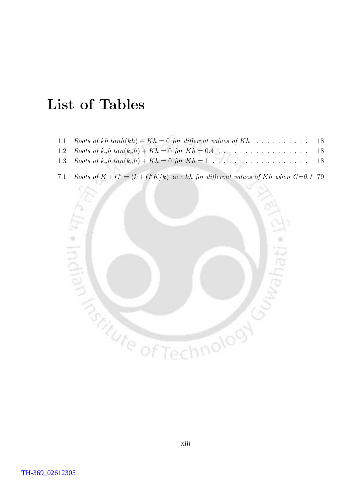## List of Tables

- 1.1 Roots of kh tanh(kh) Kh = 0 for different values of Kh  $\ldots \ldots \ldots$  . 18
- 1.2 Roots of  $k_n h \tan(k_n h) + Kh = 0$  for  $Kh = 0.4$  . . . . . . . . . . . . . . . . . 18
- 1.3 Roots of  $k_n h \tan(k_n h) + Kh = 0$  for  $Kh = 1$  . . . . . . . . . . . . . . . . . . 18
- 7.1 Roots of  $K + G' = (k + G'K/k)$  tanh kh for different values of Kh when  $G=0.1$  79

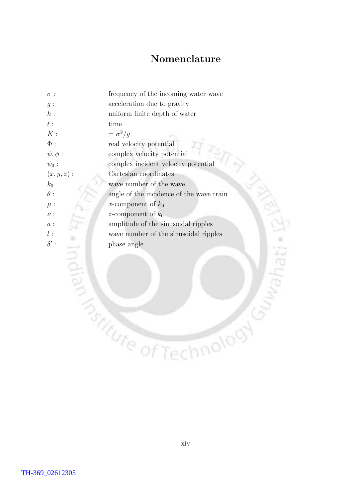### Nomenclature

| $\sigma$ :              | frequency of the incoming water wave     |
|-------------------------|------------------------------------------|
| $g$ :                   | acceleration due to gravity              |
| $h$ :                   | uniform finite depth of water            |
| $t% \boldsymbol{\mu}$ : | time                                     |
| K:                      | $=\sigma^2/q$                            |
| $\Phi$ :                | real velocity potential                  |
| $\psi, \phi$ :          | complex velocity potential               |
| $\psi_0$ :              | complex incident velocity potential      |
| $(x, y, z)$ :           | Cartesian coordinates                    |
| $k_0$                   | wave number of the wave                  |
| $\theta$ :              | angle of the incidence of the wave train |
| $\mu$ :                 | x-component of $k_0$                     |
| $\nu:$                  | z-component of $k_0$                     |
| $a$ :                   | amplitude of the sinusoidal ripples      |
| l:                      | wave number of the sinusoidal ripples    |
| $\delta'$ :             | phase angle                              |
|                         |                                          |
|                         |                                          |
|                         |                                          |
|                         |                                          |
|                         |                                          |
|                         |                                          |
|                         |                                          |
|                         |                                          |
|                         |                                          |
|                         | <sub>100</sub>                           |
|                         | <b>Britate of T</b>                      |
|                         |                                          |

lati»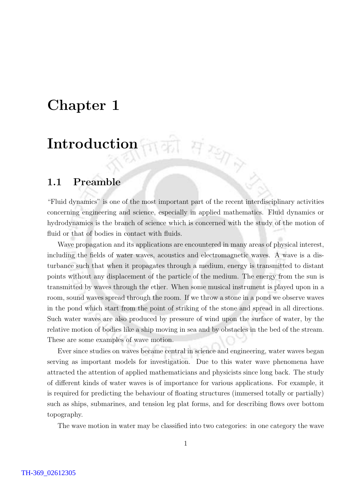## Chapter 1

## Introduction

### 1.1 Preamble

"Fluid dynamics" is one of the most important part of the recent interdisciplinary activities concerning engineering and science, especially in applied mathematics. Fluid dynamics or hydrodynamics is the branch of science which is concerned with the study of the motion of fluid or that of bodies in contact with fluids.

की संस्था

Wave propagation and its applications are encountered in many areas of physical interest, including the fields of water waves, acoustics and electromagnetic waves. A wave is a disturbance such that when it propagates through a medium, energy is transmitted to distant points without any displacement of the particle of the medium. The energy from the sun is transmitted by waves through the ether. When some musical instrument is played upon in a room, sound waves spread through the room. If we throw a stone in a pond we observe waves in the pond which start from the point of striking of the stone and spread in all directions. Such water waves are also produced by pressure of wind upon the surface of water, by the relative motion of bodies like a ship moving in sea and by obstacles in the bed of the stream. These are some examples of wave motion.

Ever since studies on waves became central in science and engineering, water waves began serving as important models for investigation. Due to this water wave phenomena have attracted the attention of applied mathematicians and physicists since long back. The study of different kinds of water waves is of importance for various applications. For example, it is required for predicting the behaviour of floating structures (immersed totally or partially) such as ships, submarines, and tension leg plat forms, and for describing flows over bottom topography.

The wave motion in water may be classified into two categories: in one category the wave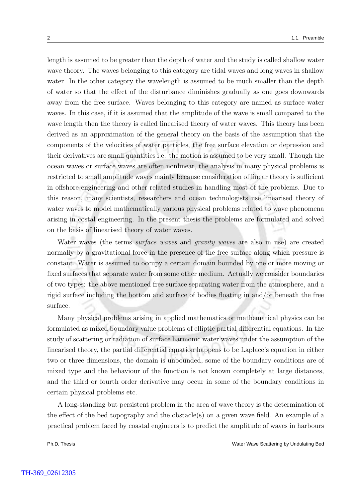length is assumed to be greater than the depth of water and the study is called shallow water wave theory. The waves belonging to this category are tidal waves and long waves in shallow water. In the other category the wavelength is assumed to be much smaller than the depth of water so that the effect of the disturbance diminishes gradually as one goes downwards away from the free surface. Waves belonging to this category are named as surface water waves. In this case, if it is assumed that the amplitude of the wave is small compared to the wave length then the theory is called linearised theory of water waves. This theory has been derived as an approximation of the general theory on the basis of the assumption that the components of the velocities of water particles, the free surface elevation or depression and their derivatives are small quantities i.e. the motion is assumed to be very small. Though the ocean waves or surface waves are often nonlinear, the analysis in many physical problems is restricted to small amplitude waves mainly because consideration of linear theory is sufficient in offshore engineering and other related studies in handling most of the problems. Due to this reason, many scientists, researchers and ocean technologists use linearised theory of water waves to model mathematically various physical problems related to wave phenomena arising in costal engineering. In the present thesis the problems are formulated and solved on the basis of linearised theory of water waves.

Water waves (the terms *surface waves* and *gravity waves* are also in use) are created normally by a gravitational force in the presence of the free surface along which pressure is constant. Water is assumed to occupy a certain domain bounded by one or more moving or fixed surfaces that separate water from some other medium. Actually we consider boundaries of two types: the above mentioned free surface separating water from the atmosphere, and a rigid surface including the bottom and surface of bodies floating in and/or beneath the free surface.

Many physical problems arising in applied mathematics or mathematical physics can be formulated as mixed boundary value problems of elliptic partial differential equations. In the study of scattering or radiation of surface harmonic water waves under the assumption of the linearised theory, the partial differential equation happens to be Laplace's equation in either two or three dimensions, the domain is unbounded, some of the boundary conditions are of mixed type and the behaviour of the function is not known completely at large distances, and the third or fourth order derivative may occur in some of the boundary conditions in certain physical problems etc.

A long-standing but persistent problem in the area of wave theory is the determination of the effect of the bed topography and the obstacle(s) on a given wave field. An example of a practical problem faced by coastal engineers is to predict the amplitude of waves in harbours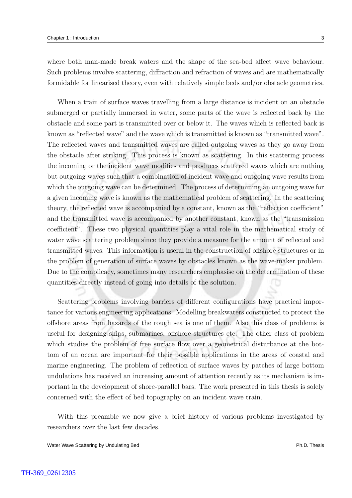where both man-made break waters and the shape of the sea-bed affect wave behaviour. Such problems involve scattering, diffraction and refraction of waves and are mathematically formidable for linearised theory, even with relatively simple beds and/or obstacle geometries.

When a train of surface waves travelling from a large distance is incident on an obstacle submerged or partially immersed in water, some parts of the wave is reflected back by the obstacle and some part is transmitted over or below it. The waves which is reflected back is known as "reflected wave" and the wave which is transmitted is known as "transmitted wave". The reflected waves and transmitted waves are called outgoing waves as they go away from the obstacle after striking. This process is known as scattering. In this scattering process the incoming or the incident wave modifies and produces scattered waves which are nothing but outgoing waves such that a combination of incident wave and outgoing wave results from which the outgoing wave can be determined. The process of determining an outgoing wave for a given incoming wave is known as the mathematical problem of scattering. In the scattering theory, the reflected wave is accompanied by a constant, known as the "reflection coefficient" and the transmitted wave is accompanied by another constant, known as the "transmission coefficient". These two physical quantities play a vital role in the mathematical study of water wave scattering problem since they provide a measure for the amount of reflected and transmitted waves. This information is useful in the construction of offshore structures or in the problem of generation of surface waves by obstacles known as the wave-maker problem. Due to the complicacy, sometimes many researchers emphasise on the determination of these quantities directly instead of going into details of the solution.

Scattering problems involving barriers of different configurations have practical importance for various engineering applications. Modelling breakwaters constructed to protect the offshore areas from hazards of the rough sea is one of them. Also this class of problems is useful for designing ships, submarines, offshore structures etc. The other class of problem which studies the problem of free surface flow over a geometrical disturbance at the bottom of an ocean are important for their possible applications in the areas of coastal and marine engineering. The problem of reflection of surface waves by patches of large bottom undulations has received an increasing amount of attention recently as its mechanism is important in the development of shore-parallel bars. The work presented in this thesis is solely concerned with the effect of bed topography on an incident wave train.

With this preamble we now give a brief history of various problems investigated by researchers over the last few decades.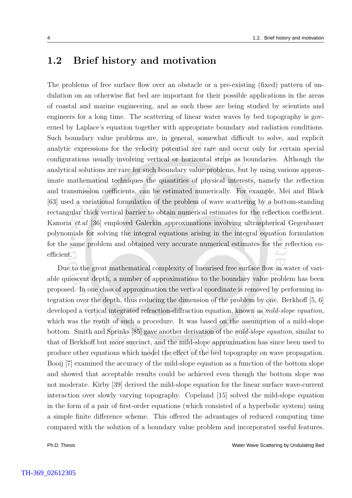### 1.2 Brief history and motivation

The problems of free surface flow over an obstacle or a pre-existing (fixed) pattern of undulation on an otherwise flat bed are important for their possible applications in the areas of coastal and marine engineering, and as such these are being studied by scientists and engineers for a long time. The scattering of linear water waves by bed topography is governed by Laplace's equation together with appropriate boundary and radiation conditions. Such boundary value problems are, in general, somewhat difficult to solve, and explicit analytic expressions for the velocity potential are rare and occur only for certain special configurations usually involving vertical or horizontal strips as boundaries. Although the analytical solutions are rare for such boundary value problems, but by using various approximate mathematical techniques the quantities of physical interests, namely the reflection and transmission coefficients, can be estimated numerically. For example, Mei and Black [63] used a variational formulation of the problem of wave scattering by a bottom-standing rectangular thick vertical barrier to obtain numerical estimates for the reflection coefficient. Kanoria et.al [36] employed Galerkin approximations involving ultraspherical Gegenbauer polynomials for solving the integral equations arising in the integral equation formulation for the same problem and obtained very accurate numerical estimates for the reflection coefficient.

Due to the great mathematical complexity of linearised free surface flow in water of variable quiescent depth, a number of approximations to the boundary value problem has been proposed. In one class of approximation the vertical coordinate is removed by performing integration over the depth, thus reducing the dimension of the problem by one. Berkhoff [5, 6] developed a vertical integrated refraction-diffraction equation, known as *mild-slope equation*, which was the result of such a procedure. It was based on the assumption of a mild-slope bottom. Smith and Sprinks [85] gave another derivation of the mild-slope equation, similar to that of Berkhoff but more succinct, and the mild-slope approximation has since been used to produce other equations which model the effect of the bed topography on wave propagation. Booij [7] examined the accuracy of the mild-slope equation as a function of the bottom slope and showed that acceptable results could be achieved even though the bottom slope was not moderate. Kirby [39] derived the mild-slope equation for the linear surface wave-current interaction over slowly varying topography. Copeland [15] solved the mild-slope equation in the form of a pair of first-order equations (which consisted of a hyperbolic system) using a simple finite difference scheme. This offered the advantages of reduced computing time compared with the solution of a boundary value problem and incorporated useful features.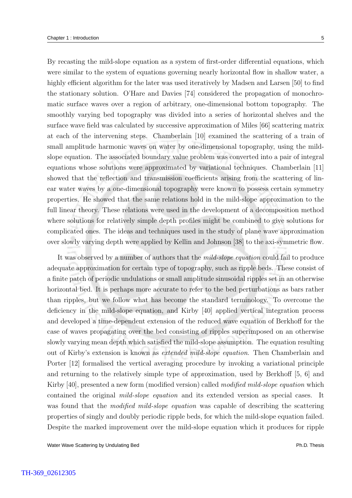By recasting the mild-slope equation as a system of first-order differential equations, which were similar to the system of equations governing nearly horizontal flow in shallow water, a highly efficient algorithm for the later was used iteratively by Madsen and Larsen [50] to find the stationary solution. O'Hare and Davies [74] considered the propagation of monochromatic surface waves over a region of arbitrary, one-dimensional bottom topography. The smoothly varying bed topography was divided into a series of horizontal shelves and the surface wave field was calculated by successive approximation of Miles [66] scattering matrix at each of the intervening steps. Chamberlain [10] examined the scattering of a train of small amplitude harmonic waves on water by one-dimensional topography, using the mildslope equation. The associated boundary value problem was converted into a pair of integral equations whose solutions were approximated by variational techniques. Chamberlain [11] showed that the reflection and transmission coefficients arising from the scattering of linear water waves by a one-dimensional topography were known to possess certain symmetry properties. He showed that the same relations hold in the mild-slope approximation to the full linear theory. These relations were used in the development of a decomposition method where solutions for relatively simple depth profiles might be combined to give solutions for complicated ones. The ideas and techniques used in the study of plane wave approximation over slowly varying depth were applied by Kellin and Johnson [38] to the axi-symmetric flow.

It was observed by a number of authors that the *mild-slope equation* could fail to produce adequate approximation for certain type of topography, such as ripple beds. These consist of a finite patch of periodic undulations or small amplitude sinusoidal ripples set in an otherwise horizontal bed. It is perhaps more accurate to refer to the bed perturbations as bars rather than ripples, but we follow what has become the standard terminology. To overcome the deficiency in the mild-slope equation, and Kirby [40] applied vertical integration process and developed a time-dependent extension of the reduced wave equation of Berkhoff for the case of waves propagating over the bed consisting of ripples superimposed on an otherwise slowly varying mean depth which satisfied the mild-slope assumption. The equation resulting out of Kirby's extension is known as extended mild-slope equation. Then Chamberlain and Porter [12] formalised the vertical averaging procedure by invoking a variational principle and returning to the relatively simple type of approximation, used by Berkhoff [5, 6] and Kirby [40], presented a new form (modified version) called *modified mild-slope equation* which contained the original mild-slope equation and its extended version as special cases. It was found that the *modified mild-slope equation* was capable of describing the scattering properties of singly and doubly periodic ripple beds, for which the mild-slope equation failed. Despite the marked improvement over the mild-slope equation which it produces for ripple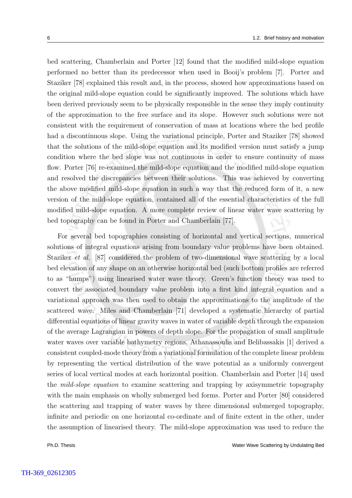bed scattering, Chamberlain and Porter [12] found that the modified mild-slope equation performed no better than its predecessor when used in Booij's problem [7]. Porter and Staziker [78] explained this result and, in the process, showed how approximations based on the original mild-slope equation could be significantly improved. The solutions which have been derived previously seem to be physically responsible in the sense they imply continuity of the approximation to the free surface and its slope. However such solutions were not consistent with the requirement of conservation of mass at locations where the bed profile had a discontinuous slope. Using the variational principle, Porter and Staziker [78] showed that the solutions of the mild-slope equation and its modified version must satisfy a jump condition where the bed slope was not continuous in order to ensure continuity of mass flow. Porter [76] re-examined the mild-slope equation and the modified mild-slope equation and resolved the discrepancies between their solutions. This was achieved by converting the above modified mild-slope equation in such a way that the reduced form of it, a new version of the mild-slope equation, contained all of the essential characteristics of the full modified mild-slope equation. A more complete review of linear water wave scattering by bed topography can be found in Porter and Chamberlain [77].

For several bed topographies consisting of horizontal and vertical sections, numerical solutions of integral equations arising from boundary value problems have been obtained. Staziker et al. [87] considered the problem of two-dimensional wave scattering by a local bed elevation of any shape on an otherwise horizontal bed (such bottom profiles are referred to as "humps") using linearised water wave theory. Green's function theory was used to convert the associated boundary value problem into a first kind integral equation and a variational approach was then used to obtain the approximations to the amplitude of the scattered wave. Miles and Chamberlain [71] developed a systematic hierarchy of partial differential equations of linear gravity waves in water of variable depth through the expansion of the average Lagrangian in powers of depth slope. For the propagation of small amplitude water waves over variable bathymetry regions, Athanassoulis and Belibassakis [1] derived a consistent coupled-mode theory from a variational formulation of the complete linear problem by representing the vertical distribution of the wave potential as a uniformly convergent series of local vertical modes at each horizontal position. Chamberlain and Porter [14] used the mild-slope equation to examine scattering and trapping by axisymmetric topography with the main emphasis on wholly submerged bed forms. Porter and Porter [80] considered the scattering and trapping of water waves by three dimensional submerged topography, infinite and periodic on one horizontal co-ordinate and of finite extent in the other, under the assumption of linearised theory. The mild-slope approximation was used to reduce the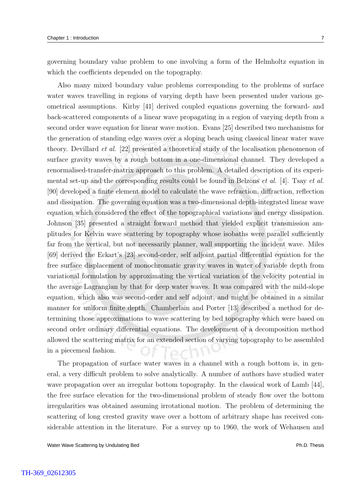governing boundary value problem to one involving a form of the Helmholtz equation in which the coefficients depended on the topography.

Also many mixed boundary value problems corresponding to the problems of surface water waves travelling in regions of varying depth have been presented under various geometrical assumptions. Kirby [41] derived coupled equations governing the forward- and back-scattered components of a linear wave propagating in a region of varying depth from a second order wave equation for linear wave motion. Evans [25] described two mechanisms for the generation of standing edge waves over a sloping beach using classical linear water wave theory. Devillard et al. [22] presented a theoretical study of the localisation phenomenon of surface gravity waves by a rough bottom in a one-dimensional channel. They developed a renormalised-transfer-matrix approach to this problem. A detailed description of its experimental set-up and the corresponding results could be found in Belzons *et al.* [4]. Tsay *et al.* [90] developed a finite element model to calculate the wave refraction, diffraction, reflection and dissipation. The governing equation was a two-dimensional depth-integrated linear wave equation which considered the effect of the topographical variations and energy dissipation. Johnson [35] presented a straight forward method that yielded explicit transmission amplitudes for Kelvin wave scattering by topography whose isobaths were parallel sufficiently far from the vertical, but not necessarily planner, wall supporting the incident wave. Miles [69] derived the Eckart's [23] second-order, self adjoint partial differential equation for the free surface displacement of monochromatic gravity waves in water of variable depth from variational formulation by approximating the vertical variation of the velocity potential in the average Lagrangian by that for deep water waves. It was compared with the mild-slope equation, which also was second-order and self adjoint, and might be obtained in a similar manner for uniform finite depth. Chamberlain and Porter [13] described a method for determining those approximations to wave scattering by bed topography which were based on second order ordinary differential equations. The development of a decomposition method allowed the scattering matrix for an extended section of varying topography to be assembled in a piecemeal fashion. DС

The propagation of surface water waves in a channel with a rough bottom is, in general, a very difficult problem to solve analytically. A number of authors have studied water wave propagation over an irregular bottom topography. In the classical work of Lamb [44], the free surface elevation for the two-dimensional problem of steady flow over the bottom irregularities was obtained assuming irrotational motion. The problem of determining the scattering of long crested gravity wave over a bottom of arbitrary shape has received considerable attention in the literature. For a survey up to 1960, the work of Wehausen and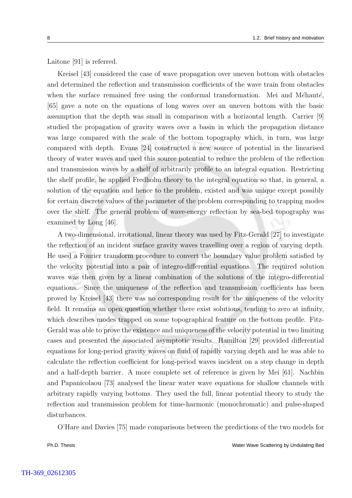Laitone [91] is referred.

Kreisel [43] considered the case of wave propagation over uneven bottom with obstacles and determined the reflection and transmission coefficients of the wave train from obstacles when the surface remained free using the conformal transformation. Mei and  $M\acute{e}$ haut $\acute{e}$ , [65] gave a note on the equations of long waves over an uneven bottom with the basic assumption that the depth was small in comparison with a horizontal length. Carrier [9] studied the propagation of gravity waves over a basin in which the propagation distance was large compared with the scale of the bottom topography which, in turn, was large compared with depth. Evans [24] constructed a new source of potential in the linearised theory of water waves and used this source potential to reduce the problem of the reflection and transmission waves by a shelf of arbitrarily profile to an integral equation. Restricting the shelf profile, he applied Fredholm theory to the integral equation so that, in general, a solution of the equation and hence to the problem, existed and was unique except possibly for certain discrete values of the parameter of the problem corresponding to trapping modes over the shelf. The general problem of wave-energy reflection by sea-bed topography was examined by Long [46].

A two-dimensional, irrotational, linear theory was used by Fitz-Gerald [27] to investigate the reflection of an incident surface gravity waves travelling over a region of varying depth. He used a Fourier transform procedure to convert the boundary value problem satisfied by the velocity potential into a pair of integro-differential equations. The required solution waves was then given by a linear combination of the solutions of the integro-differential equations. Since the uniqueness of the reflection and transmission coefficients has been proved by Kreisel [43] there was no corresponding result for the uniqueness of the velocity field. It remains an open question whether there exist solutions, tending to zero at infinity, which describes modes trapped on some topographical feature on the bottom profile. Fitz-Gerald was able to prove the existence and uniqueness of the velocity potential in two limiting cases and presented the associated asymptotic results. Hamilton [29] provided differential equations for long-period gravity waves on fluid of rapidly varying depth and he was able to calculate the reflection coefficient for long-period waves incident on a step change in depth and a half-depth barrier. A more complete set of reference is given by Mei [61]. Nachbin and Papanicolaou [73] analysed the linear water wave equations for shallow channels with arbitrary rapidly varying bottoms. They used the full, linear potential theory to study the reflection and transmission problem for time-harmonic (monochromatic) and pulse-shaped disturbances.

O'Hare and Davies [75] made comparisons between the predictions of the two models for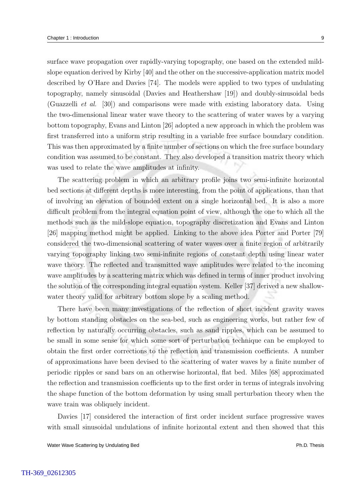surface wave propagation over rapidly-varying topography, one based on the extended mildslope equation derived by Kirby [40] and the other on the successive-application matrix model described by O'Hare and Davies [74]. The models were applied to two types of undulating topography, namely sinusoidal (Davies and Heathershaw [19]) and doubly-sinusoidal beds (Guazzelli et al. [30]) and comparisons were made with existing laboratory data. Using the two-dimensional linear water wave theory to the scattering of water waves by a varying bottom topography, Evans and Linton [26] adopted a new approach in which the problem was first transferred into a uniform strip resulting in a variable free surface boundary condition. This was then approximated by a finite number of sections on which the free surface boundary condition was assumed to be constant. They also developed a transition matrix theory which was used to relate the wave amplitudes at infinity.

The scattering problem in which an arbitrary profile joins two semi-infinite horizontal bed sections at different depths is more interesting, from the point of applications, than that of involving an elevation of bounded extent on a single horizontal bed. It is also a more difficult problem from the integral equation point of view, although the one to which all the methods such as the mild-slope equation, topography discretization and Evans and Linton [26] mapping method might be applied. Linking to the above idea Porter and Porter [79] considered the two-dimensional scattering of water waves over a finite region of arbitrarily varying topography linking two semi-infinite regions of constant depth using linear water wave theory. The reflected and transmitted wave amplitudes were related to the incoming wave amplitudes by a scattering matrix which was defined in terms of inner product involving the solution of the corresponding integral equation system. Keller [37] derived a new shallowwater theory valid for arbitrary bottom slope by a scaling method.

There have been many investigations of the reflection of short incident gravity waves by bottom standing obstacles on the sea-bed, such as engineering works, but rather few of reflection by naturally occurring obstacles, such as sand ripples, which can be assumed to be small in some sense for which some sort of perturbation technique can be employed to obtain the first order corrections to the reflection and transmission coefficients. A number of approximations have been devised to the scattering of water waves by a finite number of periodic ripples or sand bars on an otherwise horizontal, flat bed. Miles [68] approximated the reflection and transmission coefficients up to the first order in terms of integrals involving the shape function of the bottom deformation by using small perturbation theory when the wave train was obliquely incident.

Davies [17] considered the interaction of first order incident surface progressive waves with small sinusoidal undulations of infinite horizontal extent and then showed that this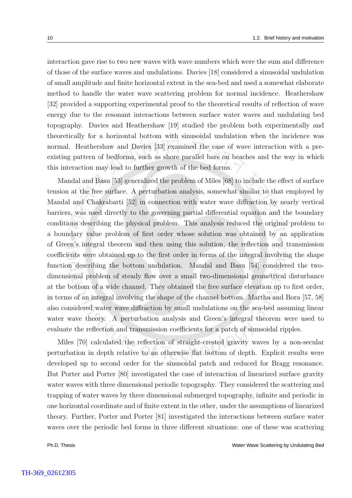interaction gave rise to two new waves with wave numbers which were the sum and difference of those of the surface waves and undulations. Davies [18] considered a sinusoidal undulation of small amplitude and finite horizontal extent in the sea-bed and used a somewhat elaborate method to handle the water wave scattering problem for normal incidence. Heathershaw [32] provided a supporting experimental proof to the theoretical results of reflection of wave energy due to the resonant interactions between surface water waves and undulating bed topography. Davies and Heathershaw [19] studied the problem both experimentally and theoretically for a horizontal bottom with sinusoidal undulation when the incidence was normal. Heathershaw and Davies [33] examined the case of wave interaction with a preexisting pattern of bedforms, such as shore parallel bars on beaches and the way in which this interaction may lead to further growth of the bed forms.

Mandal and Basu [53] generalized the problem of Miles [68] to include the effect of surface tension at the free surface. A perturbation analysis, somewhat similar to that employed by Mandal and Chakrabarti [52] in connection with water wave diffraction by nearly vertical barriers, was used directly to the governing partial differential equation and the boundary conditions describing the physical problem. This analysis reduced the original problem to a boundary value problem of first order whose solution was obtained by an application of Green's integral theorem and then using this solution, the reflection and transmission coefficients were obtained up to the first order in terms of the integral involving the shape function describing the bottom undulation. Mandal and Basu [54] considered the twodimensional problem of steady flow over a small two-dimensional geometrical disturbance at the bottom of a wide channel. They obtained the free surface elevation up to first order, in terms of an integral involving the shape of the channel bottom. Martha and Bora [57, 58] also considered water wave diffraction by small undulations on the sea-bed assuming linear water wave theory. A perturbation analysis and Green's integral theorem were used to evaluate the reflection and transmission coefficients for a patch of sinusoidal ripples.

Miles [70] calculated the reflection of straight-crested gravity waves by a non-secular perturbation in depth relative to an otherwise flat bottom of depth. Explicit results were developed up to second order for the sinusoidal patch and reduced for Bragg resonance. But Porter and Porter [80] investigated the case of interaction of linearized surface gravity water waves with three dimensional periodic topography. They considered the scattering and trapping of water waves by three dimensional submerged topography, infinite and periodic in one horizontal coordinate and of finite extent in the other, under the assumptions of linearized theory. Further, Porter and Porter [81] investigated the interactions between surface water waves over the periodic bed forms in three different situations: one of these was scattering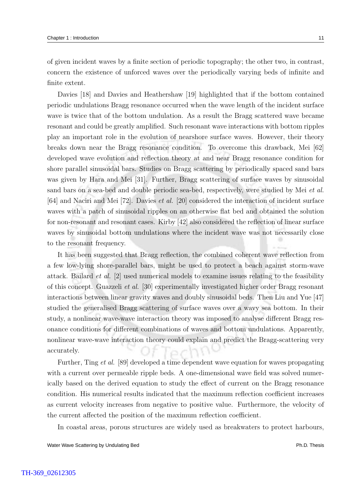of given incident waves by a finite section of periodic topography; the other two, in contrast, concern the existence of unforced waves over the periodically varying beds of infinite and finite extent.

Davies [18] and Davies and Heathershaw [19] highlighted that if the bottom contained periodic undulations Bragg resonance occurred when the wave length of the incident surface wave is twice that of the bottom undulation. As a result the Bragg scattered wave became resonant and could be greatly amplified. Such resonant wave interactions with bottom ripples play an important role in the evolution of nearshore surface waves. However, their theory breaks down near the Bragg resonance condition. To overcome this drawback, Mei [62] developed wave evolution and reflection theory at and near Bragg resonance condition for shore parallel sinusoidal bars. Studies on Bragg scattering by periodically spaced sand bars was given by Hara and Mei [31]. Further, Bragg scattering of surface waves by sinusoidal sand bars on a sea-bed and double periodic sea-bed, respectively, were studied by Mei et al. [64] and Naciri and Mei [72]. Davies et al. [20] considered the interaction of incident surface waves with a patch of sinusoidal ripples on an otherwise flat bed and obtained the solution for non-resonant and resonant cases. Kirby [42] also considered the reflection of linear surface waves by sinusoidal bottom undulations where the incident wave was not necessarily close to the resonant frequency.

It has been suggested that Bragg reflection, the combined coherent wave reflection from a few low-lying shore-parallel bars, might be used to protect a beach against storm-wave attack. Bailard et al. [2] used numerical models to examine issues relating to the feasibility of this concept. Guazzeli et al. [30] experimentally investigated higher order Bragg resonant interactions between linear gravity waves and doubly sinusoidal beds. Then Liu and Yue [47] studied the generalised Bragg scattering of surface waves over a wavy sea bottom. In their study, a nonlinear wave-wave interaction theory was imposed to analyse different Bragg resonance conditions for different combinations of waves and bottom undulations. Apparently, nonlinear wave-wave interaction theory could explain and predict the Bragg-scattering very accurately.

Further, Ting et al. [89] developed a time dependent wave equation for waves propagating with a current over permeable ripple beds. A one-dimensional wave field was solved numerically based on the derived equation to study the effect of current on the Bragg resonance condition. His numerical results indicated that the maximum reflection coefficient increases as current velocity increases from negative to positive value. Furthermore, the velocity of the current affected the position of the maximum reflection coefficient.

In coastal areas, porous structures are widely used as breakwaters to protect harbours,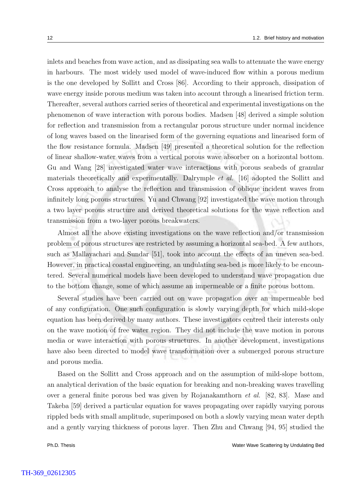inlets and beaches from wave action, and as dissipating sea walls to attenuate the wave energy in harbours. The most widely used model of wave-induced flow within a porous medium is the one developed by Sollitt and Cross [86]. According to their approach, dissipation of wave energy inside porous medium was taken into account through a linearised friction term. Thereafter, several authors carried series of theoretical and experimental investigations on the phenomenon of wave interaction with porous bodies. Madsen [48] derived a simple solution for reflection and transmission from a rectangular porous structure under normal incidence of long waves based on the linearised form of the governing equations and linearised form of the flow resistance formula. Madsen [49] presented a theoretical solution for the reflection of linear shallow-water waves from a vertical porous wave absorber on a horizontal bottom. Gu and Wang [28] investigated water wave interactions with porous seabeds of granular materials theoretically and experimentally. Dalrymple et al. [16] adopted the Sollitt and Cross approach to analyse the reflection and transmission of oblique incident waves from infinitely long porous structures. Yu and Chwang [92] investigated the wave motion through a two layer porous structure and derived theoretical solutions for the wave reflection and transmission from a two-layer porous breakwaters.

Almost all the above existing investigations on the wave reflection and/or transmission problem of porous structures are restricted by assuming a horizontal sea-bed. A few authors, such as Mallayachari and Sundar [51], took into account the effects of an uneven sea-bed. However, in practical coastal engineering, an undulating sea-bed is more likely to be encountered. Several numerical models have been developed to understand wave propagation due to the bottom change, some of which assume an impermeable or a finite porous bottom.

Several studies have been carried out on wave propagation over an impermeable bed of any configuration. One such configuration is slowly varying depth for which mild-slope equation has been derived by many authors. These investigators centred their interests only on the wave motion of free water region. They did not include the wave motion in porous media or wave interaction with porous structures. In another development, investigations have also been directed to model wave transformation over a submerged porous structure and porous media.

Based on the Sollitt and Cross approach and on the assumption of mild-slope bottom, an analytical derivation of the basic equation for breaking and non-breaking waves travelling over a general finite porous bed was given by Rojanakamthorn et al. [82, 83]. Mase and Takeba [59] derived a particular equation for waves propagating over rapidly varying porous rippled beds with small amplitude, superimposed on both a slowly varying mean water depth and a gently varying thickness of porous layer. Then Zhu and Chwang [94, 95] studied the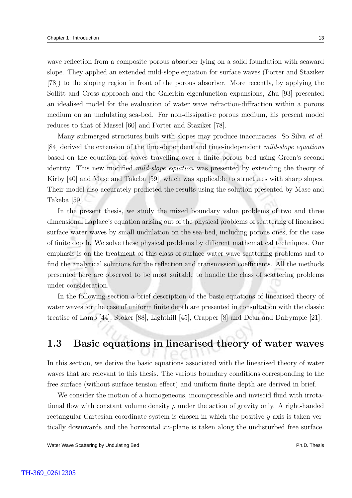wave reflection from a composite porous absorber lying on a solid foundation with seaward slope. They applied an extended mild-slope equation for surface waves (Porter and Staziker [78]) to the sloping region in front of the porous absorber. More recently, by applying the Sollitt and Cross approach and the Galerkin eigenfunction expansions, Zhu [93] presented an idealised model for the evaluation of water wave refraction-diffraction within a porous medium on an undulating sea-bed. For non-dissipative porous medium, his present model reduces to that of Massel [60] and Porter and Staziker [78].

Many submerged structures built with slopes may produce inaccuracies. So Silva *et al.* [84] derived the extension of the time-dependent and time-independent mild-slope equations based on the equation for waves travelling over a finite porous bed using Green's second identity. This new modified mild-slope equation was presented by extending the theory of Kirby [40] and Mase and Takeba [59], which was applicable to structures with sharp slopes. Their model also accurately predicted the results using the solution presented by Mase and Takeba [59].

In the present thesis, we study the mixed boundary value problems of two and three dimensional Laplace's equation arising out of the physical problems of scattering of linearised surface water waves by small undulation on the sea-bed, including porous ones, for the case of finite depth. We solve these physical problems by different mathematical techniques. Our emphasis is on the treatment of this class of surface water wave scattering problems and to find the analytical solutions for the reflection and transmission coefficients. All the methods presented here are observed to be most suitable to handle the class of scattering problems under consideration.

In the following section a brief description of the basic equations of linearised theory of water waves for the case of uniform finite depth are presented in consultation with the classic treatise of Lamb [44], Stoker [88], Lighthill [45], Crapper [8] and Dean and Dalrymple [21].

### 1.3 Basic equations in linearised theory of water waves

In this section, we derive the basic equations associated with the linearised theory of water waves that are relevant to this thesis. The various boundary conditions corresponding to the free surface (without surface tension effect) and uniform finite depth are derived in brief.

We consider the motion of a homogeneous, incompressible and inviscid fluid with irrotational flow with constant volume density  $\rho$  under the action of gravity only. A right-handed rectangular Cartesian coordinate system is chosen in which the positive y-axis is taken vertically downwards and the horizontal  $xz$ -plane is taken along the undisturbed free surface.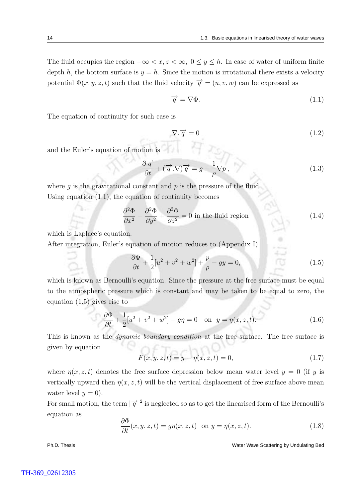The fluid occupies the region  $-\infty < x, z < \infty$ ,  $0 \le y \le h$ . In case of water of uniform finite depth h, the bottom surface is  $y = h$ . Since the motion is irrotational there exists a velocity potential  $\Phi(x, y, z, t)$  such that the fluid velocity  $\overrightarrow{q} = (u, v, w)$  can be expressed as

$$
\overrightarrow{q} = \nabla \Phi. \tag{1.1}
$$

The equation of continuity for such case is

$$
\nabla \cdot \overrightarrow{q} = 0 \tag{1.2}
$$

and the Euler's equation of motion is

$$
\frac{\partial \overrightarrow{q}}{\partial t} + (\overrightarrow{q} \cdot \nabla) \overrightarrow{q} = g - \frac{1}{\rho} \nabla p , \qquad (1.3)
$$

H Rep

where  $q$  is the gravitational constant and  $p$  is the pressure of the fluid. Using equation (1.1), the equation of continuity becomes

$$
\frac{\partial^2 \Phi}{\partial x^2} + \frac{\partial^2 \Phi}{\partial y^2} + \frac{\partial^2 \Phi}{\partial z^2} = 0
$$
 in the fluid region (1.4)

which is Laplace's equation.

After integration, Euler's equation of motion reduces to (Appendix I)

$$
\frac{\partial \Phi}{\partial t} + \frac{1}{2} [u^2 + v^2 + w^2] + \frac{p}{\rho} - gy = 0,
$$
\n(1.5)

which is known as Bernoulli's equation. Since the pressure at the free surface must be equal to the atmospheric pressure which is constant and may be taken to be equal to zero, the equation (1.5) gives rise to

$$
\frac{\partial \Phi}{\partial t} + \frac{1}{2} [u^2 + v^2 + w^2] - g\eta = 0 \quad \text{on} \quad y = \eta(x, z, t). \tag{1.6}
$$

This is known as the *dynamic boundary condition* at the free surface. The free surface is  $16T - \ln r$ given by equation

$$
F(x, y, z, t) = y - \eta(x, z, t) = 0,
$$
\n(1.7)

where  $\eta(x, z, t)$  denotes the free surface depression below mean water level  $y = 0$  (if y is vertically upward then  $\eta(x, z, t)$  will be the vertical displacement of free surface above mean water level  $y = 0$ ).

For small motion, the term  $|\vec{q}|^2$  is neglected so as to get the linearised form of the Bernoulli's equation as

$$
\frac{\partial \Phi}{\partial t}(x, y, z, t) = g\eta(x, z, t) \text{ on } y = \eta(x, z, t). \tag{1.8}
$$

Ph.D. Thesis Water Wave Scattering by Undulating Bed

TH-369\_02612305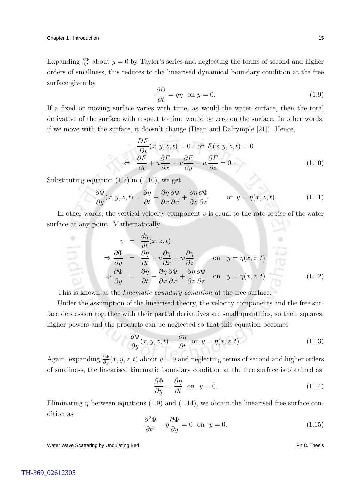٠

g

Expanding  $\frac{\partial \Phi}{\partial t}$  about  $y = 0$  by Taylor's series and neglecting the terms of second and higher orders of smallness, this reduces to the linearised dynamical boundary condition at the free surface given by

$$
\frac{\partial \Phi}{\partial t} = g\eta \quad \text{on } y = 0. \tag{1.9}
$$

If a fixed or moving surface varies with time, as would the water surface, then the total derivative of the surface with respect to time would be zero on the surface. In other words, if we move with the surface, it doesn't change (Dean and Dalrymple [21]). Hence,

$$
\frac{DF}{Dt}(x, y, z, t) = 0 \quad \text{on } F(x, y, z, t) = 0
$$

$$
\Leftrightarrow \frac{\partial F}{\partial t} + u \frac{\partial F}{\partial x} + v \frac{\partial F}{\partial y} + w \frac{\partial F}{\partial z} = 0.
$$
(1.10)

Substituting equation  $(1.7)$  in  $(1.10)$ , we get

$$
\frac{\partial \Phi}{\partial y}(x, y, z, t) = \frac{\partial \eta}{\partial t} + \frac{\partial \eta}{\partial x} \frac{\partial \Phi}{\partial x} + \frac{\partial \eta}{\partial z} \frac{\partial \Phi}{\partial z} \qquad \text{on } y = \eta(x, z, t). \tag{1.11}
$$

In other words, the vertical velocity component  $v$  is equal to the rate of rise of the water surface at any point. Mathematically

$$
v = \frac{d\eta}{dt}(x, z, t)
$$
  
\n
$$
\Rightarrow \frac{\partial \Phi}{\partial y} = \frac{\partial \eta}{\partial t} + u \frac{\partial \eta}{\partial x} + w \frac{\partial \eta}{\partial z} \quad \text{on} \quad y = \eta(x, z, t)
$$
  
\n
$$
\Rightarrow \frac{\partial \Phi}{\partial y} = \frac{\partial \eta}{\partial t} + \frac{\partial \eta}{\partial x} \frac{\partial \Phi}{\partial x} + \frac{\partial \eta}{\partial z} \frac{\partial \Phi}{\partial z} \quad \text{on} \quad y = \eta(x, z, t).
$$
 (1.12)

This is known as the *kinematic boundary condition* at the free surface.

Under the assumption of the linearised theory, the velocity components and the free surface depression together with their partial derivatives are small quantities, so their squares, higher powers and the products can be neglected so that this equation becomes

$$
\frac{\partial \Phi}{\partial y}(x, y, z, t) = \frac{\partial \eta}{\partial t} \quad \text{on } y = \eta(x, z, t). \tag{1.13}
$$

Again, expanding  $\frac{\partial \Phi}{\partial y}(x, y, z, t)$  about  $y = 0$  and neglecting terms of second and higher orders of smallness, the linearised kinematic boundary condition at the free surface is obtained as

$$
\frac{\partial \Phi}{\partial y} = \frac{\partial \eta}{\partial t} \quad \text{on} \quad y = 0. \tag{1.14}
$$

Eliminating  $\eta$  between equations (1.9) and (1.14), we obtain the linearised free surface condition as

$$
\frac{\partial^2 \Phi}{\partial t^2} - g \frac{\partial \Phi}{\partial y} = 0 \quad \text{on} \quad y = 0. \tag{1.15}
$$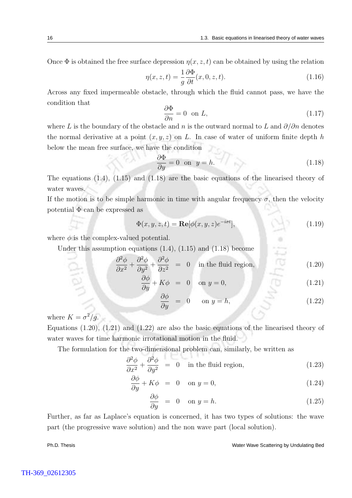Once  $\Phi$  is obtained the free surface depression  $\eta(x, z, t)$  can be obtained by using the relation

$$
\eta(x, z, t) = \frac{1}{g} \frac{\partial \Phi}{\partial t}(x, 0, z, t).
$$
\n(1.16)

Across any fixed impermeable obstacle, through which the fluid cannot pass, we have the condition that

$$
\frac{\partial \Phi}{\partial n} = 0 \quad \text{on } L,\tag{1.17}
$$

where L is the boundary of the obstacle and n is the outward normal to L and  $\partial/\partial n$  denotes the normal derivative at a point  $(x, y, z)$  on L. In case of water of uniform finite depth h below the mean free surface, we have the condition

$$
\frac{\partial \Phi}{\partial y} = 0 \quad \text{on} \quad y = h. \tag{1.18}
$$

The equations (1.4), (1.15) and (1.18) are the basic equations of the linearised theory of water waves.

If the motion is to be simple harmonic in time with angular frequency  $\sigma$ , then the velocity potential  $\Phi$  can be expressed as

$$
\Phi(x, y, z, t) = \mathbf{Re}[\phi(x, y, z)e^{-i\sigma t}], \qquad (1.19)
$$

where  $\phi$  is the complex-valued potential.

Under this assumption equations  $(1.4)$ ,  $(1.15)$  and  $(1.18)$  become

$$
\frac{\partial^2 \phi}{\partial x^2} + \frac{\partial^2 \phi}{\partial y^2} + \frac{\partial^2 \phi}{\partial z^2} = 0 \quad \text{in the fluid region,}
$$
 (1.20)

$$
\frac{\partial \phi}{\partial y} + K\phi = 0 \quad \text{on } y = 0,
$$
\n(1.21)

$$
\frac{\partial \phi}{\partial y} = 0 \quad \text{on } y = h,\tag{1.22}
$$

where  $K = \sigma^2/g$ .

Equations (1.20), (1.21) and (1.22) are also the basic equations of the linearised theory of water waves for time harmonic irrotational motion in the fluid.

The formulation for the two-dimensional problem can, similarly, be written as

$$
\frac{\partial^2 \phi}{\partial x^2} + \frac{\partial^2 \phi}{\partial y^2} = 0 \quad \text{in the fluid region}, \tag{1.23}
$$

$$
\frac{\partial \phi}{\partial y} + K\phi = 0 \quad \text{on } y = 0,
$$
\n(1.24)

$$
\frac{\partial \phi}{\partial y} = 0 \quad \text{on } y = h. \tag{1.25}
$$

Further, as far as Laplace's equation is concerned, it has two types of solutions: the wave part (the progressive wave solution) and the non wave part (local solution).

#### Ph.D. Thesis Water Wave Scattering by Undulating Bed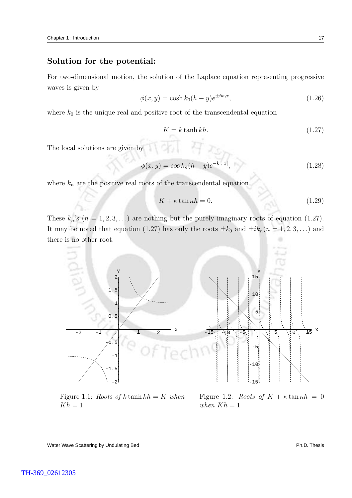#### Solution for the potential:

For two-dimensional motion, the solution of the Laplace equation representing progressive waves is given by

$$
\phi(x,y) = \cosh k_0 (h-y) e^{\pm ik_0 x},\tag{1.26}
$$

where  $k_0$  is the unique real and positive root of the transcendental equation

$$
K = k \tanh kh. \tag{1.27}
$$

The local solutions are given by

$$
\phi(x,y) = \cos k_n (h-y) e^{-k_n |x|}, \qquad (1.28)
$$

where  $k_n$  are the positive real roots of the transcendental equation

$$
K + \kappa \tan \kappa h = 0. \tag{1.29}
$$

These  $k_n$ 's  $(n = 1, 2, 3, ...)$  are nothing but the purely imaginary roots of equation (1.27). It may be noted that equation (1.27) has only the roots  $\pm k_0$  and  $\pm ik_n(n = 1, 2, 3, ...)$  and there is no other root.



Figure 1.1: *Roots of k* tanh  $kh = K$  when  $Kh = 1$ 

Figure 1.2: *Roots of*  $K + \kappa \tan \kappa h = 0$ when  $Kh = 1$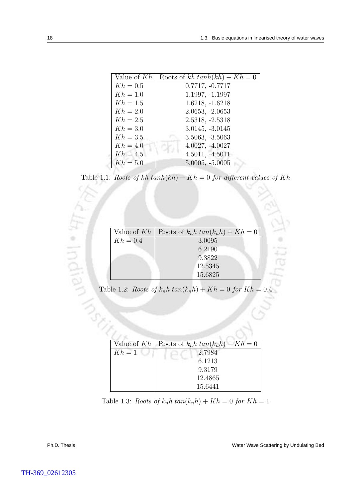| Value of $Kh$ | Roots of $kh \tanh(kh) - Kh = 0$ |
|---------------|----------------------------------|
| $Kh = 0.5$    | $0.7717, -0.7717$                |
| $Kh = 1.0$    | 1.1997, -1.1997                  |
| $Kh = 1.5$    | $1.6218, -1.6218$                |
| $Kh = 2.0$    | $2.0653, -2.0653$                |
| $Kh = 2.5$    | 2.5318, -2.5318                  |
| $Kh = 3.0$    | $3.0145, -3.0145$                |
| $Kh = 3.5$    | $3.5063, -3.5063$                |
| $Kh = 4.0$    | $4.0027, -4.0027$                |
| $Kh = 4.5$    | $4.5011, -4.5011$                |
| $Kh = 5.0$    | $5.0005, -5.0005$                |

Table 1.1: Roots of kh tanh(kh) – Kh = 0 for different values of Kh

| Value of $Kh$ | Roots of $k_n h \tan(k_n h) + Kh = 0$ |
|---------------|---------------------------------------|
| $Kh = 0.4$    | 3.0095                                |
|               | 6.2190                                |
|               | 9.3822                                |
|               | 12.5345                               |
|               | 15.6825                               |
|               |                                       |
|               |                                       |
|               |                                       |
| Value of Kh   | Roots of $k_n h \tan(k_n h) + Kh = 0$ |
| $Kh=1$        | 2.7984                                |

| Value of Kh   Roots of $k_n h \tan(k_n h) + Kh = 0$ |
|-----------------------------------------------------|
| 2.7984                                              |
| 6.1213                                              |
| 9.3179                                              |
| 12.4865                                             |
| 15.6441                                             |
|                                                     |

Table 1.3: Roots of  $k_n h \tan(k_n h) + Kh = 0$  for  $Kh = 1$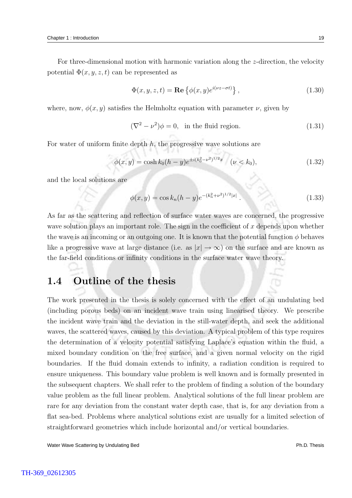For three-dimensional motion with harmonic variation along the z-direction, the velocity potential  $\Phi(x, y, z, t)$  can be represented as

$$
\Phi(x, y, z, t) = \text{Re}\left\{\phi(x, y)e^{i(\nu z - \sigma t)}\right\},\tag{1.30}
$$

where, now,  $\phi(x, y)$  satisfies the Helmholtz equation with parameter  $\nu$ , given by

$$
(\nabla^2 - \nu^2)\phi = 0, \text{ in the fluid region.} \tag{1.31}
$$

For water of uniform finite depth  $h$ , the progressive wave solutions are

$$
\phi(x,y) = \cosh k_0 (h-y) e^{\pm i(k_0^2 - \nu^2)^{1/2} x} \quad (\nu < k_0), \tag{1.32}
$$

and the local solutions are

$$
\phi(x,y) = \cos k_n (h-y) e^{-(k_n^2 + \nu^2)^{1/2} |x|} \,. \tag{1.33}
$$

As far as the scattering and reflection of surface water waves are concerned, the progressive wave solution plays an important role. The sign in the coefficient of  $x$  depends upon whether the wave is an incoming or an outgoing one. It is known that the potential function  $\phi$  behaves like a progressive wave at large distance (i.e. as  $|x| \to \infty$ ) on the surface and are known as the far-field conditions or infinity conditions in the surface water wave theory.

#### 1.4 Outline of the thesis

The work presented in the thesis is solely concerned with the effect of an undulating bed (including porous beds) on an incident wave train using linearised theory. We prescribe the incident wave train and the deviation in the still-water depth, and seek the additional waves, the scattered waves, caused by this deviation. A typical problem of this type requires the determination of a velocity potential satisfying Laplace's equation within the fluid, a mixed boundary condition on the free surface, and a given normal velocity on the rigid boundaries. If the fluid domain extends to infinity, a radiation condition is required to ensure uniqueness. This boundary value problem is well known and is formally presented in the subsequent chapters. We shall refer to the problem of finding a solution of the boundary value problem as the full linear problem. Analytical solutions of the full linear problem are rare for any deviation from the constant water depth case, that is, for any deviation from a flat sea-bed. Problems where analytical solutions exist are usually for a limited selection of straightforward geometries which include horizontal and/or vertical boundaries.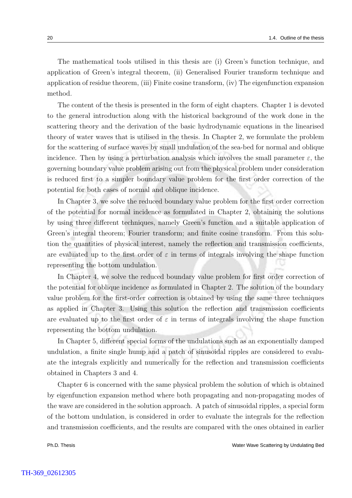The mathematical tools utilised in this thesis are (i) Green's function technique, and application of Green's integral theorem, (ii) Generalised Fourier transform technique and application of residue theorem, (iii) Finite cosine transform, (iv) The eigenfunction expansion method.

The content of the thesis is presented in the form of eight chapters. Chapter 1 is devoted to the general introduction along with the historical background of the work done in the scattering theory and the derivation of the basic hydrodynamic equations in the linearised theory of water waves that is utilised in the thesis. In Chapter 2, we formulate the problem for the scattering of surface waves by small undulation of the sea-bed for normal and oblique incidence. Then by using a perturbation analysis which involves the small parameter  $\varepsilon$ , the governing boundary value problem arising out from the physical problem under consideration is reduced first to a simpler boundary value problem for the first order correction of the potential for both cases of normal and oblique incidence.

In Chapter 3, we solve the reduced boundary value problem for the first order correction of the potential for normal incidence as formulated in Chapter 2, obtaining the solutions by using three different techniques, namely Green's function and a suitable application of Green's integral theorem; Fourier transform; and finite cosine transform. From this solution the quantities of physical interest, namely the reflection and transmission coefficients, are evaluated up to the first order of  $\varepsilon$  in terms of integrals involving the shape function representing the bottom undulation.

In Chapter 4, we solve the reduced boundary value problem for first order correction of the potential for oblique incidence as formulated in Chapter 2. The solution of the boundary value problem for the first-order correction is obtained by using the same three techniques as applied in Chapter 3. Using this solution the reflection and transmission coefficients are evaluated up to the first order of  $\varepsilon$  in terms of integrals involving the shape function representing the bottom undulation.

In Chapter 5, different special forms of the undulations such as an exponentially damped undulation, a finite single hump and a patch of sinusoidal ripples are considered to evaluate the integrals explicitly and numerically for the reflection and transmission coefficients obtained in Chapters 3 and 4.

Chapter 6 is concerned with the same physical problem the solution of which is obtained by eigenfunction expansion method where both propagating and non-propagating modes of the wave are considered in the solution approach. A patch of sinusoidal ripples, a special form of the bottom undulation, is considered in order to evaluate the integrals for the reflection and transmission coefficients, and the results are compared with the ones obtained in earlier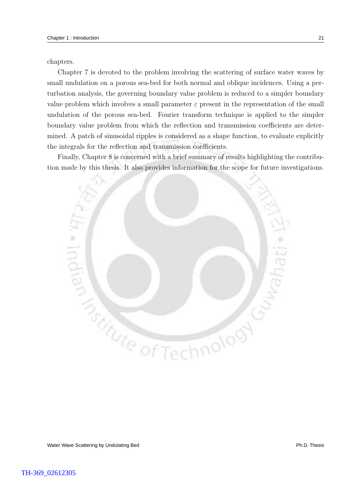chapters.

Chapter 7 is devoted to the problem involving the scattering of surface water waves by small undulation on a porous sea-bed for both normal and oblique incidences. Using a perturbation analysis, the governing boundary value problem is reduced to a simpler boundary value problem which involves a small parameter  $\varepsilon$  present in the representation of the small undulation of the porous sea-bed. Fourier transform technique is applied to the simpler boundary value problem from which the reflection and transmission coefficients are determined. A patch of sinusoidal ripples is considered as a shape function, to evaluate explicitly the integrals for the reflection and transmission coefficients.

Finally, Chapter 8 is concerned with a brief summary of results highlighting the contribution made by this thesis. It also provides information for the scope for future investigations.

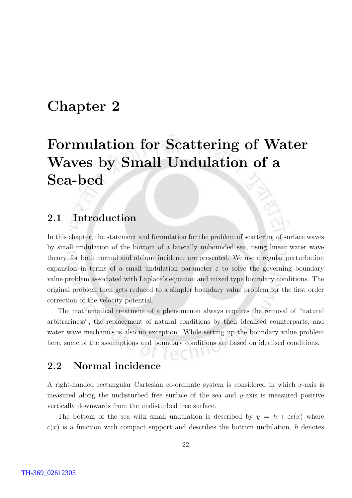# Chapter 2

# Formulation for Scattering of Water Waves by Small Undulation of a Sea-bed

## 2.1 Introduction

In this chapter, the statement and formulation for the problem of scattering of surface waves by small undulation of the bottom of a laterally unbounded sea, using linear water wave theory, for both normal and oblique incidence are presented. We use a regular perturbation expansion in terms of a small undulation parameter  $\varepsilon$  to solve the governing boundary value problem associated with Laplace's equation and mixed type boundary conditions. The original problem then gets reduced to a simpler boundary value problem for the first order correction of the velocity potential.

The mathematical treatment of a phenomenon always requires the removal of "natural arbitrariness", the replacement of natural conditions by their idealised counterparts, and water wave mechanics is also no exception. While setting up the boundary value problem here, some of the assumptions and boundary conditions are based on idealised conditions.

## 2.2 Normal incidence

A right-handed rectangular Cartesian co-ordinate system is considered in which  $x$ -axis is measured along the undisturbed free surface of the sea and  $y$ -axis is measured positive vertically downwards from the undisturbed free surface.

The bottom of the sea with small undulation is described by  $y = h + \varepsilon c(x)$  where  $c(x)$  is a function with compact support and describes the bottom undulation, h denotes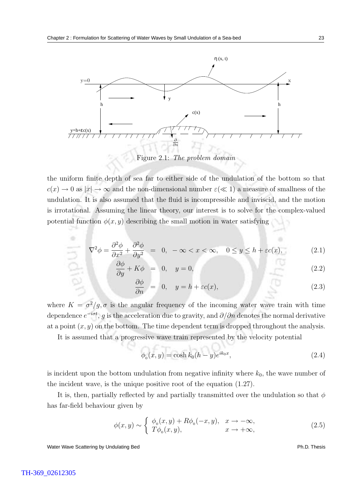

the uniform finite depth of sea far to either side of the undulation of the bottom so that  $c(x) \to 0$  as  $|x| \to \infty$  and the non-dimensional number  $\varepsilon(\ll 1)$  a measure of smallness of the

undulation. It is also assumed that the fluid is incompressible and inviscid, and the motion is irrotational. Assuming the linear theory, our interest is to solve for the complex-valued potential function  $\phi(x, y)$  describing the small motion in water satisfying

$$
\nabla^2 \phi = \frac{\partial^2 \phi}{\partial x^2} + \frac{\partial^2 \phi}{\partial y^2} = 0, \ -\infty < x < \infty, \quad 0 \le y \le h + \varepsilon c(x), \tag{2.1}
$$

$$
\frac{\partial \phi}{\partial y} + K\phi = 0, \quad y = 0,\tag{2.2}
$$

$$
\frac{\partial \phi}{\partial n} = 0, \quad y = h + \varepsilon c(x), \tag{2.3}
$$

where  $K = \sigma^2/g$ ,  $\sigma$  is the angular frequency of the incoming water wave train with time dependence  $e^{-i\sigma t}$ , g is the acceleration due to gravity, and  $\partial/\partial n$  denotes the normal derivative at a point  $(x, y)$  on the bottom. The time dependent term is dropped throughout the analysis.

It is assumed that a progressive wave train represented by the velocity potential

$$
\phi_0(x, y) = \cosh k_0 (h - y) e^{ik_0 x}, \qquad (2.4)
$$

is incident upon the bottom undulation from negative infinity where  $k_0$ , the wave number of the incident wave, is the unique positive root of the equation (1.27).

It is, then, partially reflected by and partially transmitted over the undulation so that  $\phi$ has far-field behaviour given by

$$
\phi(x,y) \sim \begin{cases} \phi_0(x,y) + R\phi_0(-x,y), & x \to -\infty, \\ T\phi_0(x,y), & x \to +\infty, \end{cases}
$$
\n(2.5)

Water Wave Scattering by Undulating Bed **Ph.D. Thesis** Ph.D. Thesis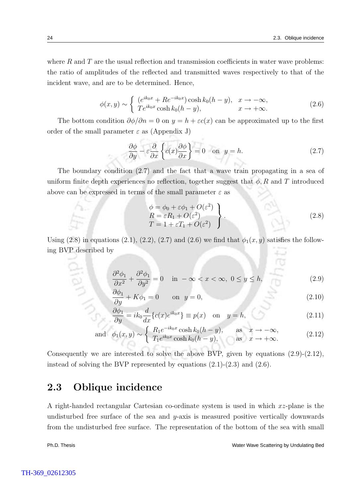where  $R$  and  $T$  are the usual reflection and transmission coefficients in water wave problems: the ratio of amplitudes of the reflected and transmitted waves respectively to that of the incident wave, and are to be determined. Hence,

$$
\phi(x,y) \sim \begin{cases}\n(e^{ik_0x} + Re^{-ik_0x})\cosh k_0(h-y), & x \to -\infty, \\
Te^{ik_0x}\cosh k_0(h-y), & x \to +\infty.\n\end{cases}
$$
\n(2.6)

The bottom condition  $\partial \phi / \partial n = 0$  on  $y = h + \varepsilon c(x)$  can be approximated up to the first order of the small parameter  $\varepsilon$  as (Appendix J)

$$
\frac{\partial \phi}{\partial y} - \varepsilon \frac{\partial}{\partial x} \left\{ c(x) \frac{\partial \phi}{\partial x} \right\} = 0 \quad \text{on} \quad y = h. \tag{2.7}
$$

The boundary condition (2.7) and the fact that a wave train propagating in a sea of uniform finite depth experiences no reflection, together suggest that  $\phi$ , R and T introduced above can be expressed in terms of the small parameter  $\varepsilon$  as

$$
\begin{aligned}\n\phi &= \phi_0 + \varepsilon \phi_1 + O(\varepsilon^2) \\
R &= \varepsilon R_1 + O(\varepsilon^2) \\
T &= 1 + \varepsilon T_1 + O(\varepsilon^2)\n\end{aligned}
$$
\n(2.8)

Using (2.8) in equations (2.1), (2.2), (2.7) and (2.6) we find that  $\phi_1(x, y)$  satisfies the following BVP described by

$$
\frac{\partial^2 \phi_1}{\partial x^2} + \frac{\partial^2 \phi_1}{\partial y^2} = 0 \quad \text{in } -\infty < x < \infty, \ 0 \le y \le h,\tag{2.9}
$$

$$
\frac{\partial \phi_1}{\partial y} + K\phi_1 = 0 \qquad \text{on} \quad y = 0,\tag{2.10}
$$

$$
\frac{\partial \phi_1}{\partial y} = ik_0 \frac{d}{dx} \{c(x)e^{ik_0 x}\} \equiv p(x) \quad \text{on} \quad y = h,\tag{2.11}
$$

and 
$$
\phi_1(x, y) \sim \begin{cases} R_1 e^{-ik_0 x} \cosh k_0 (h - y), & \text{as } x \to -\infty, \\ T_1 e^{ik_0 x} \cosh k_0 (h - y), & \text{as } x \to +\infty. \end{cases}
$$
 (2.12)

Consequently we are interested to solve the above BVP, given by equations  $(2.9)-(2.12)$ , instead of solving the BVP represented by equations  $(2.1)-(2.3)$  and  $(2.6)$ .

## 2.3 Oblique incidence

A right-handed rectangular Cartesian co-ordinate system is used in which xz-plane is the undisturbed free surface of the sea and  $y$ -axis is measured positive vertically downwards from the undisturbed free surface. The representation of the bottom of the sea with small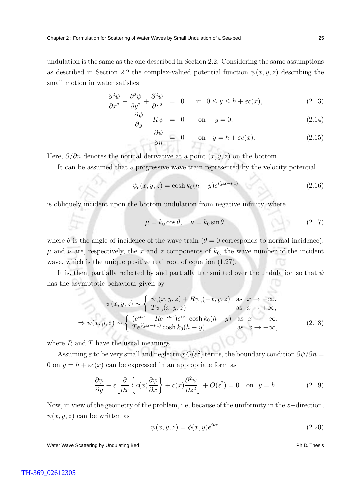undulation is the same as the one described in Section 2.2. Considering the same assumptions as described in Section 2.2 the complex-valued potential function  $\psi(x, y, z)$  describing the small motion in water satisfies

$$
\frac{\partial^2 \psi}{\partial x^2} + \frac{\partial^2 \psi}{\partial y^2} + \frac{\partial^2 \psi}{\partial z^2} = 0 \quad \text{in } 0 \le y \le h + \varepsilon c(x), \tag{2.13}
$$

$$
\frac{\partial \psi}{\partial y} + K\psi = 0 \quad \text{on} \quad y = 0,
$$
\n(2.14)

$$
\frac{\partial \psi}{\partial n} = 0 \quad \text{on} \quad y = h + \varepsilon c(x). \tag{2.15}
$$

Here,  $\partial/\partial n$  denotes the normal derivative at a point  $(x, y, z)$  on the bottom.

It can be assumed that a progressive wave train represented by the velocity potential

$$
\psi_0(x, y, z) = \cosh k_0 (h - y) e^{i(\mu x + \nu z)}
$$
\n(2.16)

is obliquely incident upon the bottom undulation from negative infinity, where

$$
\mu = k_0 \cos \theta, \quad \nu = k_0 \sin \theta,\tag{2.17}
$$

where  $\theta$  is the angle of incidence of the wave train  $(\theta = 0$  corresponds to normal incidence),  $\mu$  and  $\nu$  are, respectively, the x and z components of  $k_0$ , the wave number of the incident wave, which is the unique positive real root of equation  $(1.27)$ .

It is, then, partially reflected by and partially transmitted over the undulation so that  $\psi$ has the asymptotic behaviour given by

$$
\psi(x, y, z) \sim \begin{cases} \psi_0(x, y, z) + R\psi_0(-x, y, z) & \text{as } x \to -\infty, \\ T\psi_0(x, y, z) & \text{as } x \to +\infty, \end{cases}
$$
  
\n
$$
\Rightarrow \psi(x, y, z) \sim \begin{cases} (e^{i\mu x} + R e^{-i\mu x}) e^{i\nu z} \cosh k_0(h - y) & \text{as } x \to -\infty, \\ T e^{i(\mu x + \nu z)} \cosh k_0(h - y) & \text{as } x \to +\infty, \end{cases}
$$
\n(2.18)

where  $R$  and  $T$  have the usual meanings.

Assuming  $\varepsilon$  to be very small and neglecting  $O(\varepsilon^2)$  terms, the boundary condition  $\partial \psi / \partial n =$ 0 on  $y = h + \varepsilon c(x)$  can be expressed in an appropriate form as

$$
\frac{\partial \psi}{\partial y} - \varepsilon \left[ \frac{\partial}{\partial x} \left\{ c(x) \frac{\partial \psi}{\partial x} \right\} + c(x) \frac{\partial^2 \psi}{\partial z^2} \right] + O(\varepsilon^2) = 0 \quad \text{on} \quad y = h. \tag{2.19}
$$

Now, in view of the geometry of the problem, i.e, because of the uniformity in the z−direction,  $\psi(x, y, z)$  can be written as

$$
\psi(x, y, z) = \phi(x, y)e^{i\nu z}.\tag{2.20}
$$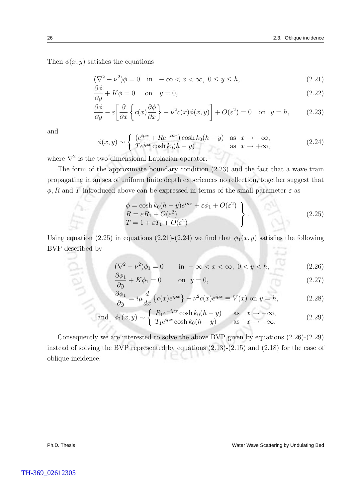Then  $\phi(x, y)$  satisfies the equations

$$
(\nabla^2 - \nu^2)\phi = 0 \quad \text{in} \quad -\infty < x < \infty, \ 0 \le y \le h,\tag{2.21}
$$

$$
\frac{\partial \phi}{\partial y} + K\phi = 0 \quad \text{on} \quad y = 0,
$$
\n(2.22)

$$
\frac{\partial \phi}{\partial y} - \varepsilon \left[ \frac{\partial}{\partial x} \left\{ c(x) \frac{\partial \phi}{\partial x} \right\} - \nu^2 c(x) \phi(x, y) \right] + O(\varepsilon^2) = 0 \quad \text{on} \quad y = h,
$$
 (2.23)

and

$$
\phi(x,y) \sim \begin{cases}\n(e^{i\mu x} + Re^{-i\mu x})\cosh k_0(h-y) & \text{as } x \to -\infty, \\
Te^{i\mu x}\cosh k_0(h-y) & \text{as } x \to +\infty,\n\end{cases}
$$
\n(2.24)

where  $\nabla^2$  is the two-dimensional Laplacian operator.

The form of the approximate boundary condition (2.23) and the fact that a wave train propagating in an sea of uniform finite depth experiences no reflection, together suggest that  $\phi$ , R and T introduced above can be expressed in terms of the small parameter  $\varepsilon$  as

$$
\begin{aligned}\n\phi &= \cosh k_0 (h - y) e^{i\mu x} + \varepsilon \phi_1 + O(\varepsilon^2) \\
R &= \varepsilon R_1 + O(\varepsilon^2) \\
T &= 1 + \varepsilon T_1 + O(\varepsilon^2)\n\end{aligned}
$$
\n(2.25)

Using equation (2.25) in equations (2.21)-(2.24) we find that  $\phi_1(x, y)$  satisfies the following BVP described by

$$
(\nabla^2 - \nu^2)\phi_1 = 0 \qquad \text{in } -\infty < x < \infty, \ 0 < y < h,\tag{2.26}
$$

$$
\frac{\partial \phi_1}{\partial y} + K\phi_1 = 0 \qquad \text{on } y = 0,
$$
\n(2.27)

$$
\frac{\partial \phi_1}{\partial y} = i\mu \frac{d}{dx} \left\{ c(x)e^{i\mu x} \right\} - \nu^2 c(x)e^{i\mu x} \equiv V(x) \text{ on } y = h,
$$
\n(2.28)

and 
$$
\phi_1(x, y) \sim \begin{cases} R_1 e^{-i\mu x} \cosh k_0 (h - y) & \text{as } x \to -\infty, \\ T_1 e^{i\mu x} \cosh k_0 (h - y) & \text{as } x \to +\infty. \end{cases}
$$
 (2.29)

Consequently we are interested to solve the above BVP given by equations (2.26)-(2.29) instead of solving the BVP represented by equations (2.13)-(2.15) and (2.18) for the case of oblique incidence.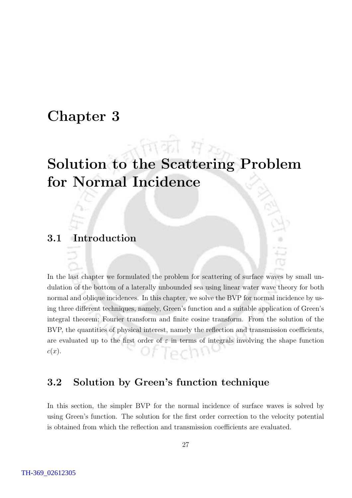# Chapter 3

# Solution to the Scattering Problem for Normal Incidence

Л Ни

## 3.1 Introduction

In the last chapter we formulated the problem for scattering of surface waves by small undulation of the bottom of a laterally unbounded sea using linear water wave theory for both normal and oblique incidences. In this chapter, we solve the BVP for normal incidence by using three different techniques, namely, Green's function and a suitable application of Green's integral theorem; Fourier transform and finite cosine transform. From the solution of the BVP, the quantities of physical interest, namely the reflection and transmission coefficients, are evaluated up to the first order of  $\varepsilon$  in terms of integrals involving the shape function of Techr  $c(x)$ .

# 3.2 Solution by Green's function technique

In this section, the simpler BVP for the normal incidence of surface waves is solved by using Green's function. The solution for the first order correction to the velocity potential is obtained from which the reflection and transmission coefficients are evaluated.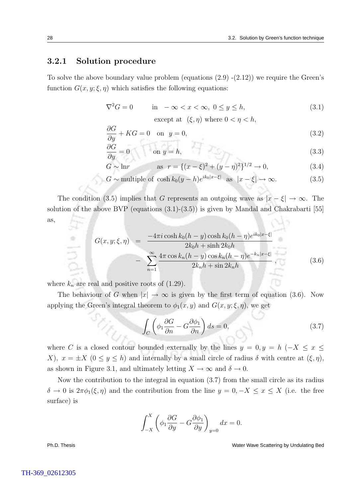#### 3.2.1 Solution procedure

∂G

To solve the above boundary value problem (equations  $(2.9)$  - $(2.12)$ ) we require the Green's function  $G(x, y; \xi, \eta)$  which satisfies the following equations:

$$
\nabla^2 G = 0 \qquad \text{in } -\infty < x < \infty, \ 0 \le y \le h,\tag{3.1}
$$

except at  $(\xi, \eta)$  where  $0 < \eta < h$ ,

$$
\frac{\partial G}{\partial y} + KG = 0 \quad \text{on} \quad y = 0,\tag{3.2}
$$

$$
\frac{\partial G}{\partial y} = 0 \qquad \text{on } y = h,\tag{3.3}
$$

$$
G \sim \ln r \qquad \text{as } r = \{ (x - \xi)^2 + (y - \eta)^2 \}^{1/2} \to 0,
$$
 (3.4)

$$
G \sim \text{multiple of } \cosh k_0 (y - h) e^{ik_0 |x - \xi|} \quad \text{as} \quad |x - \xi| \to \infty. \tag{3.5}
$$

The condition (3.5) implies that G represents an outgoing wave as  $|x - \xi| \to \infty$ . The solution of the above BVP (equations (3.1)-(3.5)) is given by Mandal and Chakrabarti [55] as,

$$
G(x, y; \xi, \eta) = \frac{-4\pi i \cosh k_0 (h - y) \cosh k_0 (h - \eta) e^{ik_0 |x - \xi|}}{2k_0 h + \sinh 2k_0 h} - \sum_{n=1}^{\infty} \frac{4\pi \cos k_n (h - y) \cos k_n (h - \eta) e^{-k_n |x - \xi|}}{2k_n h + \sin 2k_n h},
$$
(3.6)

where  $k_n$  are real and positive roots of  $(1.29)$ .

The behaviour of G when  $|x| \to \infty$  is given by the first term of equation (3.6). Now applying the Green's integral theorem to  $\phi_1(x, y)$  and  $G(x, y; \xi, \eta)$ , we get

$$
\int_C \left( \phi_1 \frac{\partial G}{\partial n} - G \frac{\partial \phi_1}{\partial n} \right) ds = 0,
$$
\n(3.7)

where C is a closed contour bounded externally by the lines  $y = 0, y = h \ (-X \le x \le y)$ X),  $x = \pm X$   $(0 \le y \le h)$  and internally by a small circle of radius  $\delta$  with centre at  $(\xi, \eta)$ , as shown in Figure 3.1, and ultimately letting  $X \to \infty$  and  $\delta \to 0$ .

Now the contribution to the integral in equation (3.7) from the small circle as its radius  $\delta \to 0$  is  $2\pi\phi_1(\xi, \eta)$  and the contribution from the line  $y = 0, -X \leq x \leq X$  (i.e. the free surface) is

$$
\int_{-X}^{X} \left( \phi_1 \frac{\partial G}{\partial y} - G \frac{\partial \phi_1}{\partial y} \right)_{y=0} dx = 0.
$$

Ph.D. Thesis Water Wave Scattering by Undulating Bed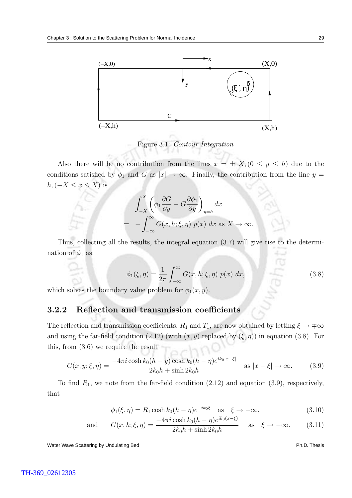

Figure 3.1: Contour Integration

Also there will be no contribution from the lines  $x = \pm X$ ,  $(0 \le y \le h)$  due to the conditions satisfied by  $\phi_1$  and G as  $|x| \to \infty$ . Finally, the contribution from the line  $y =$  $h, (-X \leq x \leq X)$  is

$$
\int_{-X}^{X} \left( \phi_1 \frac{\partial G}{\partial y} - G \frac{\partial \phi_1}{\partial y} \right)_{y=h} dx
$$
  
= 
$$
- \int_{-\infty}^{\infty} G(x, h; \xi, \eta) p(x) dx \text{ as } X \to \infty.
$$

Thus, collecting all the results, the integral equation (3.7) will give rise to the determination of  $\phi_1$  as:

$$
\phi_1(\xi,\eta) = \frac{1}{2\pi} \int_{-\infty}^{\infty} G(x,h;\xi,\eta) \ p(x) \ dx,
$$
\n(3.8)

which solves the boundary value problem for  $\phi_1(x, y)$ .

### 3.2.2 Reflection and transmission coefficients

The reflection and transmission coefficients,  $R_1$  and  $T_1$ , are now obtained by letting  $\xi \to \pm \infty$ and using the far-field condition (2.12) (with  $(x, y)$  replaced by  $(\xi, \eta)$ ) in equation (3.8). For this, from (3.6) we require the result

$$
G(x, y; \xi, \eta) = \frac{-4\pi i \cosh k_0 (h - y) \cosh k_0 (h - \eta) e^{ik_0 |x - \xi|}}{2k_0 h + \sinh 2k_0 h} \quad \text{as } |x - \xi| \to \infty. \tag{3.9}
$$

To find  $R_1$ , we note from the far-field condition  $(2.12)$  and equation  $(3.9)$ , respectively, that

$$
\phi_1(\xi, \eta) = R_1 \cosh k_0 (h - \eta) e^{-ik_0 \xi} \quad \text{as} \quad \xi \to -\infty,
$$
\n(3.10)

and 
$$
G(x, h; \xi, \eta) = \frac{-4\pi i \cosh k_0 (h - \eta) e^{ik_0 (x - \xi)}}{2k_0 h + \sinh 2k_0 h} \quad \text{as} \quad \xi \to -\infty.
$$
 (3.11)

Water Wave Scattering by Undulating Bed Ph.D. Thesis and Ph.D. Thesis and Ph.D. Thesis

#### TH-369\_02612305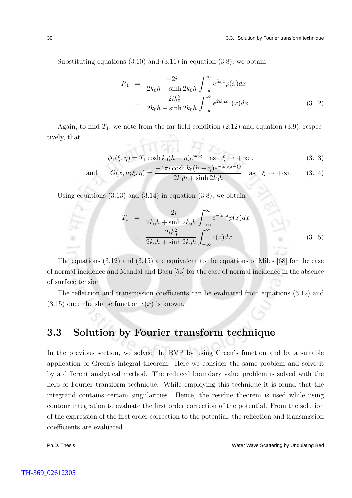Substituting equations  $(3.10)$  and  $(3.11)$  in equation  $(3.8)$ , we obtain

$$
R_1 = \frac{-2i}{2k_0h + \sinh 2k_0h} \int_{-\infty}^{\infty} e^{ik_0x} p(x) dx
$$
  
= 
$$
\frac{-2ik_0^2}{2k_0h + \sinh 2k_0h} \int_{-\infty}^{\infty} e^{2ik_0x} c(x) dx.
$$
 (3.12)

Again, to find  $T_1$ , we note from the far-field condition  $(2.12)$  and equation  $(3.9)$ , respectively, that ्रताकी मंत्र

$$
\phi_1(\xi, \eta) = T_1 \cosh k_0 (h - \eta) e^{ik_0 \xi} \quad \text{as} \quad \xi \to +\infty \;, \tag{3.13}
$$

and 
$$
G(x, h; \xi, \eta) = \frac{-4\pi i \cosh k_0 (h - \eta) e^{-ik_0(x-\xi)}}{2k_0 h + \sinh 2k_0 h} \text{ as } \xi \to +\infty.
$$
 (3.14)

Using equations  $(3.13)$  and  $(3.14)$  in equation  $(3.8)$ , we obtain

$$
T_1 = \frac{-2i}{2k_0h + \sinh 2k_0h} \int_{-\infty}^{\infty} e^{-ik_0x} p(x) dx
$$
  
= 
$$
\frac{2ik_0^2}{2k_0h + \sinh 2k_0h} \int_{-\infty}^{\infty} c(x) dx.
$$
 (3.15)

The equations (3.12) and (3.15) are equivalent to the equations of Miles [68] for the case of normal incidence and Mandal and Basu [53] for the case of normal incidence in the absence of surface tension.

The reflection and transmission coefficients can be evaluated from equations (3.12) and  $(3.15)$  once the shape function  $c(x)$  is known.

## 3.3 Solution by Fourier transform technique

In the previous section, we solved the BVP by using Green's function and by a suitable application of Green's integral theorem. Here we consider the same problem and solve it by a different analytical method. The reduced boundary value problem is solved with the help of Fourier transform technique. While employing this technique it is found that the integrand contains certain singularities. Hence, the residue theorem is used while using contour integration to evaluate the first order correction of the potential. From the solution of the expression of the first order correction to the potential, the reflection and transmission coefficients are evaluated.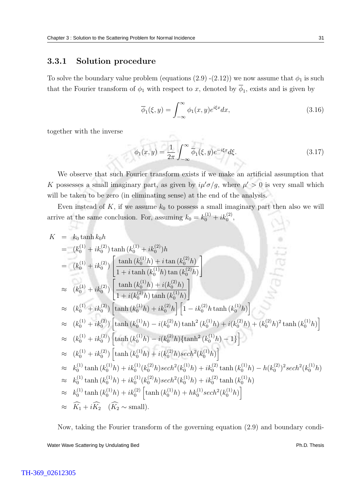### 3.3.1 Solution procedure

To solve the boundary value problem (equations (2.9) -(2.12)) we now assume that  $\phi_1$  is such that the Fourier transform of  $\phi_1$  with respect to x, denoted by  $\overline{\phi}_1$ , exists and is given by

$$
\overline{\phi}_1(\xi, y) = \int_{-\infty}^{\infty} \phi_1(x, y) e^{i\xi x} dx,
$$
\n(3.16)

together with the inverse

54

$$
\phi_1(x,y) = \frac{1}{2\pi} \int_{-\infty}^{\infty} \overline{\phi}_1(\xi, y) e^{-i\xi x} d\xi.
$$
\n(3.17)

We observe that such Fourier transform exists if we make an artificial assumption that K possesses a small imaginary part, as given by  $i\mu' \sigma / g$ , where  $\mu' > 0$  is very small which will be taken to be zero (in eliminating sense) at the end of the analysis.

 $\mathcal{F}^{\alpha_{n}}$  .

Even instead of  $K$ , if we assume  $k_0$  to possess a small imaginary part then also we will arrive at the same conclusion. For, assuming  $k_0 = k_0^{(1)} + ik_0^{(2)}$ ,

$$
K = k_0 \tanh k_0 h
$$
  
\n
$$
= (k_0^{(1)} + ik_0^{(2)}) \tanh (k_0^{(1)} + ik_0^{(2)}) h
$$
  
\n
$$
= (k_0^{(1)} + ik_0^{(2)}) \left[ \frac{\tanh (k_0^{(1)}h) + i \tan (k_0^{(2)}h)}{1 + i \tanh (k_0^{(1)}h) \tan (k_0^{(2)}h)} \right]
$$
  
\n
$$
\approx (k_0^{(1)} + ik_0^{(2)}) \left[ \frac{\tanh (k_0^{(1)}h) + i(k_0^{(2)}h)}{1 + i(k_0^{(2)}h) \tanh (k_0^{(1)}h)} \right]
$$
  
\n
$$
\approx (k_0^{(1)} + ik_0^{(2)}) \left[ \tanh (k_0^{(1)}h) + ik_0^{(2)}h \right] \left[ 1 - ik_0^{(2)}h \tanh (k_0^{(1)}h) \right]
$$
  
\n
$$
\approx (k_0^{(1)} + ik_0^{(2)}) \left[ \tanh (k_0^{(1)}h) - i(k_0^{(2)}h) \tanh^2 (k_0^{(1)}h) + i(k_0^{(2)}h)^2 + (k_0^{(2)}h)^2 \tanh (k_0^{(1)}h) \right]
$$
  
\n
$$
\approx (k_0^{(1)} + ik_0^{(2)}) \left[ \tanh (k_0^{(1)}h) - i(k_0^{(2)}h) \tanh^2 (k_0^{(1)}h) - 1 \right]
$$
  
\n
$$
\approx (k_0^{(1)} + ik_0^{(2)}) \left[ \tanh (k_0^{(1)}h) + i(k_0^{(2)}h) \tanh^2 (k_0^{(1)}h) \right]
$$
  
\n
$$
\approx k_0^{(1)} \tanh (k_0^{(1)}h) + ik_0^{(1)} (k_0^{(2)}h) \text{sech}^2 (k_0^{(1)}h) + ik_0^{(2)} \tanh (k_0^{(1)}h) - h(k_0^{(2)})^2 \text{sech}^2 (k_0^{(1)}h)
$$
  
\n
$$
\approx k_0^{(1)} \tanh (k_0^{(1)}h) + ik_0^{(1)} (k_0^{(2)}h) \text{sech}
$$

Now, taking the Fourier transform of the governing equation (2.9) and boundary condi-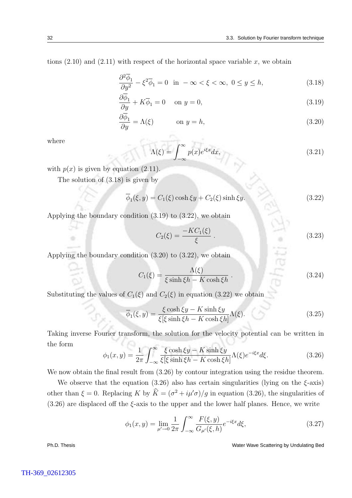tions  $(2.10)$  and  $(2.11)$  with respect of the horizontal space variable x, we obtain

$$
\frac{\partial^2 \overline{\phi}_1}{\partial y^2} - \xi^2 \overline{\phi}_1 = 0 \quad \text{in } -\infty < \xi < \infty, \ 0 \le y \le h,\tag{3.18}
$$

$$
\frac{\partial \overline{\phi}_1}{\partial y} + K \overline{\phi}_1 = 0 \quad \text{on } y = 0,
$$
\n(3.19)

$$
\frac{\partial \overline{\phi}_1}{\partial y} = \Lambda(\xi) \qquad \text{on } y = h,
$$
\n(3.20)

where

$$
\Lambda(\xi) = \int_{-\infty}^{\infty} p(x)e^{i\xi x} dx,
$$
\n(3.21)

with  $p(x)$  is given by equation (2.11).

The solution of (3.18) is given by

$$
\phi_1(\xi, y) = C_1(\xi) \cosh \xi y + C_2(\xi) \sinh \xi y. \tag{3.22}
$$

Applying the boundary condition (3.19) to (3.22), we obtain

$$
C_2(\xi) = \frac{-KC_1(\xi)}{\xi} \,. \tag{3.23}
$$

Applying the boundary condition (3.20) to (3.22), we obtain

$$
C_1(\xi) = \frac{\Lambda(\xi)}{\xi \sinh \xi h - K \cosh \xi h} \,. \tag{3.24}
$$

Substituting the values of  $C_1(\xi)$  and  $C_2(\xi)$  in equation (3.22) we obtain

$$
\overline{\phi}_1(\xi, y) = \frac{\xi \cosh \xi y - K \sinh \xi y}{\xi [\xi \sinh \xi h - K \cosh \xi h]} \Lambda(\xi).
$$
\n(3.25)

Taking inverse Fourier transform, the solution for the velocity potential can be written in the form  $r^{\infty}$ 

$$
\phi_1(x,y) = \frac{1}{2\pi} \int_{-\infty}^{\infty} \frac{\xi \cosh \xi y - K \sinh \xi y}{\xi[\xi \sinh \xi h - K \cosh \xi h]} \Lambda(\xi) e^{-i\xi x} d\xi.
$$
 (3.26)

We now obtain the final result from  $(3.26)$  by contour integration using the residue theorem.

We observe that the equation (3.26) also has certain singularities (lying on the  $\xi$ -axis) other than  $\xi = 0$ . Replacing K by  $\widehat{K} = (\sigma^2 + i\mu'\sigma)/g$  in equation (3.26), the singularities of  $(3.26)$  are displaced off the  $\xi$ -axis to the upper and the lower half planes. Hence, we write

$$
\phi_1(x, y) = \lim_{\mu' \to 0} \frac{1}{2\pi} \int_{-\infty}^{\infty} \frac{F(\xi, y)}{G_{\mu'}(\xi, h)} e^{-i\xi x} d\xi,
$$
\n(3.27)

Ph.D. Thesis Water Wave Scattering by Undulating Bed

#### TH-369\_02612305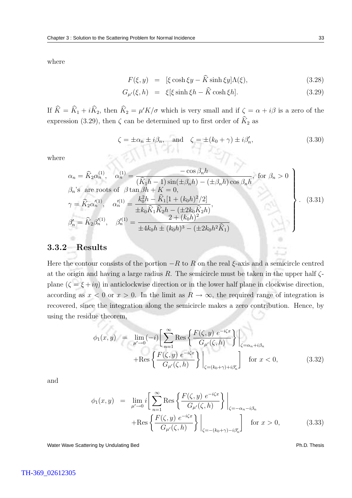where

$$
F(\xi, y) = [\xi \cosh \xi y - \widehat{K} \sinh \xi y] \Lambda(\xi), \qquad (3.28)
$$

$$
G_{\mu'}(\xi, h) = \xi[\xi \sinh \xi h - \widehat{K} \cosh \xi h]. \tag{3.29}
$$

If  $\hat{K} = \hat{K}_1 + i\hat{K}_2$ , then  $\hat{K}_2 = \mu' K/\sigma$  which is very small and if  $\zeta = \alpha + i\beta$  is a zero of the expression (3.29), then  $\zeta$  can be determined up to first order of  $\widehat{K}_2$  as

$$
\zeta = \pm \alpha_n \pm i\beta_n, \quad \text{and} \quad \zeta = \pm (k_0 + \gamma) \pm i\beta_n', \tag{3.30}
$$

where

$$
\alpha_n = \widehat{K}_2 \alpha_n^{(1)}, \quad \alpha_n^{(1)} = \frac{-\cos \beta_n h}{(\widehat{K}_1 h - 1) \sin(\pm \beta_n h) - (\pm \beta_n h) \cos \beta_n h}, \text{ for } \beta_n > 0
$$
  
\n
$$
\beta_n \text{'s are roots of } \beta \tan \beta h + K = 0,
$$
  
\n
$$
\gamma = \widehat{K}_2 \alpha_n^{'(1)}, \quad \alpha_n^{'(1)} = \frac{k_0^2 h - \widehat{K}_1 [1 + (k_0 h)^2 / 2]}{\pm k_0 \widehat{K}_1 \widehat{K}_2 h - (\pm 2k_0 \widehat{K}_2 h)},
$$
  
\n
$$
\beta_n' = \widehat{K}_2 \beta_n^{'(1)}, \quad \beta_n^{'(1)} = \frac{2 + (k_0 h)^2}{\pm 4k_0 h \pm (k_0 h)^3 - (\pm 2k_0 h^2 \widehat{K}_1)}
$$
\n(3.31)

### 3.3.2 Results

Here the contour consists of the portion  $-R$  to R on the real  $\xi$ -axis and a semicircle centred at the origin and having a large radius R. The semicircle must be taken in the upper half  $\zeta$ plane  $(\zeta = \xi + i\eta)$  in anticlockwise direction or in the lower half plane in clockwise direction, according as  $x < 0$  or  $x > 0$ . In the limit as  $R \to \infty$ , the required range of integration is recovered, since the integration along the semicircle makes a zero contribution. Hence, by using the residue theorem,

$$
\phi_1(x, y) = \lim_{\mu' \to 0} (-i) \left[ \sum_{n=1}^{\infty} \text{Res} \left\{ \frac{F(\zeta, y) e^{-i\zeta x}}{G_{\mu'}(\zeta, h)} \right\} \Big|_{\zeta = \alpha_n + i\beta_n} + \text{Res} \left\{ \frac{F(\zeta, y) e^{-i\zeta x}}{G_{\mu'}(\zeta, h)} \right\} \Big|_{\zeta = (k_0 + \gamma) + i\beta'_n} \text{for } x < 0,
$$
\n(3.32)

and

$$
\phi_1(x, y) = \lim_{\mu' \to 0} i \left[ \sum_{n=1}^{\infty} \text{Res} \left\{ \frac{F(\zeta, y) e^{-i\zeta x}}{G_{\mu'}(\zeta, h)} \right\} \Big|_{\zeta = -\alpha_n - i\beta_n} + \text{Res} \left\{ \frac{F(\zeta, y) e^{-i\zeta x}}{G_{\mu'}(\zeta, h)} \right\} \Big|_{\zeta = -(k_0 + \gamma) - i\beta'_n} \text{ for } x > 0,
$$
\n(3.33)

Water Wave Scattering by Undulating Bed Ph.D. Thesis and Ph.D. Thesis and Ph.D. Thesis

アコ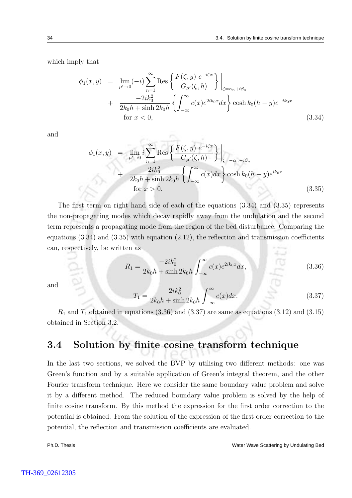which imply that

$$
\phi_1(x, y) = \lim_{\mu' \to 0} (-i) \sum_{n=1}^{\infty} \text{Res} \left\{ \frac{F(\zeta, y) e^{-i\zeta x}}{G_{\mu'}(\zeta, h)} \right\} \Big|_{\zeta = \alpha_n + i\beta_n} \n+ \frac{-2ik_0^2}{2k_0h + \sinh 2k_0h} \left\{ \int_{-\infty}^{\infty} c(x) e^{2ik_0x} dx \right\} \cosh k_0(h - y) e^{-ik_0x} \n\text{for } x < 0,
$$
\n(3.34)

and

$$
\phi_1(x, y) = \lim_{\mu' \to 0} i \sum_{n=1}^{\infty} \text{Res}\left\{\frac{F(\zeta, y) e^{-i\zeta x}}{G_{\mu'}(\zeta, h)}\right\}\Big|_{\zeta = -\alpha_n - i\beta_n}
$$
  
+ 
$$
\frac{2ik_0^2}{2k_0h + \sinh 2k_0h} \left\{\int_{-\infty}^{\infty} c(x) dx\right\} \cosh k_0(h - y) e^{ik_0x}
$$
  
for  $x > 0$ . (3.35)

The first term on right hand side of each of the equations (3.34) and (3.35) represents the non-propagating modes which decay rapidly away from the undulation and the second term represents a propagating mode from the region of the bed disturbance. Comparing the equations  $(3.34)$  and  $(3.35)$  with equation  $(2.12)$ , the reflection and transmission coefficients can, respectively, be written as

$$
R_1 = \frac{-2ik_0^2}{2k_0h + \sinh 2k_0h} \int_{-\infty}^{\infty} c(x)e^{2ik_0x} dx,
$$
\n(3.36)

and

$$
T_1 = \frac{2ik_0^2}{2k_0h + \sinh 2k_0h} \int_{-\infty}^{\infty} c(x)dx.
$$
 (3.37)

 $R_1$  and  $T_1$  obtained in equations (3.36) and (3.37) are same as equations (3.12) and (3.15) obtained in Section 3.2.

# 3.4 Solution by finite cosine transform technique

In the last two sections, we solved the BVP by utilising two different methods: one was Green's function and by a suitable application of Green's integral theorem, and the other Fourier transform technique. Here we consider the same boundary value problem and solve it by a different method. The reduced boundary value problem is solved by the help of finite cosine transform. By this method the expression for the first order correction to the potential is obtained. From the solution of the expression of the first order correction to the potential, the reflection and transmission coefficients are evaluated.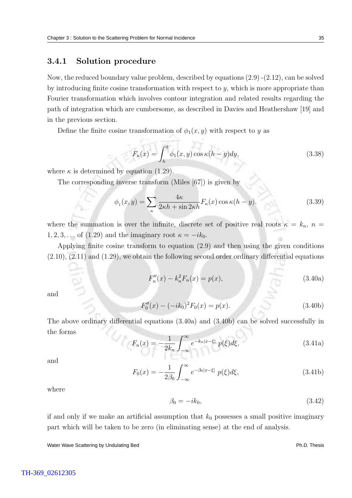#### 3.4.1 Solution procedure

Now, the reduced boundary value problem, described by equations (2.9) -(2.12), can be solved by introducing finite cosine transformation with respect to  $y$ , which is more appropriate than Fourier transformation which involves contour integration and related results regarding the path of integration which are cumbersome, as described in Davies and Heathershaw [19] and in the previous section.

Define the finite cosine transformation of  $\phi_1(x, y)$  with respect to y as

$$
F_{\kappa}(x) = \int_{h}^{0} \phi_1(x, y) \cos \kappa (h - y) dy,
$$
\n(3.38)

where  $\kappa$  is determined by equation (1.29).

The corresponding inverse transform (Miles [67]) is given by

$$
\phi_1(x,y) = \sum_{\kappa} \frac{4\kappa}{2\kappa h + \sin 2\kappa h} F_{\kappa}(x) \cos \kappa (h - y). \tag{3.39}
$$

where the summation is over the infinite, discrete set of positive real roots  $\kappa = k_n$ ,  $n =$  $1, 2, 3, \ldots$  of  $(1.29)$  and the imaginary root  $\kappa = -ik_0$ .

Applying finite cosine transform to equation (2.9) and then using the given conditions  $(2.10)$ ,  $(2.11)$  and  $(1.29)$ , we obtain the following second order ordinary differential equations

$$
F_n''(x) - k_n^2 F_n(x) = p(x),
$$
\n(3.40a)

and

$$
F_0''(x) - (-ik_0)^2 F_0(x) = p(x).
$$
\n(3.40b)

The above ordinary differential equations (3.40a) and (3.40b) can be solved successfully in the forms  $r^{\infty}$ 

$$
F_n(x) = -\frac{1}{2k_n} \int_{-\infty}^{\infty} e^{-k_n|x-\xi|} p(\xi) d\xi,
$$
\n(3.41a)

and

$$
F_0(x) = -\frac{1}{2\beta_0} \int_{-\infty}^{\infty} e^{-\beta_0 |x - \xi|} p(\xi) d\xi,
$$
 (3.41b)

where

$$
\beta_0 = -ik_0,\tag{3.42}
$$

if and only if we make an artificial assumption that  $k_0$  possesses a small positive imaginary part which will be taken to be zero (in eliminating sense) at the end of analysis.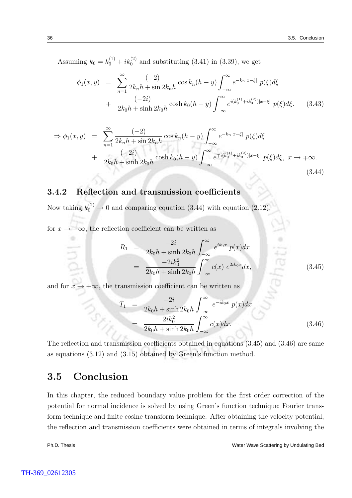Assuming  $k_0 = k_0^{(1)} + ik_0^{(2)}$  and substituting (3.41) in (3.39), we get

$$
\phi_1(x, y) = \sum_{n=1}^{\infty} \frac{(-2)}{2k_n h + \sin 2k_n h} \cos k_n (h - y) \int_{-\infty}^{\infty} e^{-k_n |x - \xi|} p(\xi) d\xi \n+ \frac{(-2i)}{2k_0 h + \sinh 2k_0 h} \cosh k_0 (h - y) \int_{-\infty}^{\infty} e^{i(k_0^{(1)} + ik_0^{(2)}) |x - \xi|} p(\xi) d\xi.
$$
\n(3.43)

$$
\Rightarrow \phi_1(x, y) = \sum_{n=1}^{\infty} \frac{(-2)}{2k_n h + \sin 2k_n h} \cos k_n (h - y) \int_{-\infty}^{\infty} e^{-k_n |x - \xi|} p(\xi) d\xi \n+ \frac{(-2i)}{2k_0 h + \sinh 2k_0 h} \cosh k_0 (h - y) \int_{-\infty}^{\infty} e^{\mp i (k_0^{(1)} + ik_0^{(2)}) |x - \xi|} p(\xi) d\xi, \ x \to \mp \infty.
$$
\n(3.44)

## 3.4.2 Reflection and transmission coefficients

Now taking  $k_0^{(2)} \to 0$  and comparing equation (3.44) with equation (2.12),

for  $x \to -\infty$ , the reflection coefficient can be written as

$$
R_1 = \frac{-2i}{2k_0h + \sinh 2k_0h} \int_{-\infty}^{\infty} e^{ik_0x} p(x) dx
$$
  
= 
$$
\frac{-2ik_0^2}{2k_0h + \sinh 2k_0h} \int_{-\infty}^{\infty} c(x) e^{2ik_0x} dx,
$$
 (3.45)

and for  $x \to +\infty$ , the transmission coefficient can be written as

$$
T_1 = \frac{-2i}{2k_0h + \sinh 2k_0h} \int_{-\infty}^{\infty} e^{-ik_0x} p(x) dx
$$
  
= 
$$
\frac{2ik_0^2}{2k_0h + \sinh 2k_0h} \int_{-\infty}^{\infty} c(x) dx.
$$
 (3.46)

The reflection and transmission coefficients obtained in equations (3.45) and (3.46) are same as equations (3.12) and (3.15) obtained by Green's function method.

# 3.5 Conclusion

In this chapter, the reduced boundary value problem for the first order correction of the potential for normal incidence is solved by using Green's function technique; Fourier transform technique and finite cosine transform technique. After obtaining the velocity potential, the reflection and transmission coefficients were obtained in terms of integrals involving the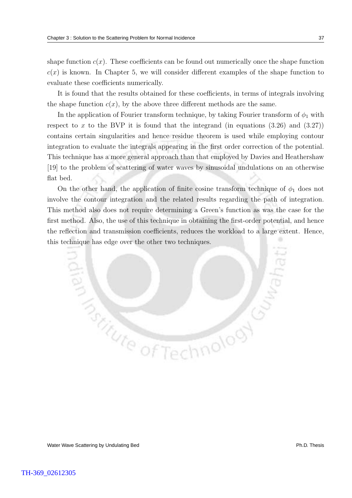shape function  $c(x)$ . These coefficients can be found out numerically once the shape function  $c(x)$  is known. In Chapter 5, we will consider different examples of the shape function to evaluate these coefficients numerically.

It is found that the results obtained for these coefficients, in terms of integrals involving the shape function  $c(x)$ , by the above three different methods are the same.

In the application of Fourier transform technique, by taking Fourier transform of  $\phi_1$  with respect to x to the BVP it is found that the integrand (in equations  $(3.26)$ ) and  $(3.27)$ ) contains certain singularities and hence residue theorem is used while employing contour integration to evaluate the integrals appearing in the first order correction of the potential. This technique has a more general approach than that employed by Davies and Heathershaw [19] to the problem of scattering of water waves by sinusoidal undulations on an otherwise flat bed.

On the other hand, the application of finite cosine transform technique of  $\phi_1$  does not involve the contour integration and the related results regarding the path of integration. This method also does not require determining a Green's function as was the case for the first method. Also, the use of this technique in obtaining the first-order potential, and hence the reflection and transmission coefficients, reduces the workload to a large extent. Hence, this technique has edge over the other two techniques.

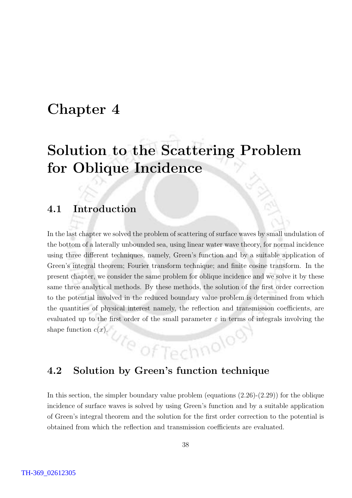# Chapter 4

# Solution to the Scattering Problem for Oblique Incidence

# 4.1 Introduction

In the last chapter we solved the problem of scattering of surface waves by small undulation of the bottom of a laterally unbounded sea, using linear water wave theory, for normal incidence using three different techniques, namely, Green's function and by a suitable application of Green's integral theorem; Fourier transform technique; and finite cosine transform. In the present chapter, we consider the same problem for oblique incidence and we solve it by these same three analytical methods. By these methods, the solution of the first order correction to the potential involved in the reduced boundary value problem is determined from which the quantities of physical interest namely, the reflection and transmission coefficients, are evaluated up to the first order of the small parameter  $\varepsilon$  in terms of integrals involving the shape function  $c(x)$ . the of Technology

## 4.2 Solution by Green's function technique

In this section, the simpler boundary value problem (equations (2.26)-(2.29)) for the oblique incidence of surface waves is solved by using Green's function and by a suitable application of Green's integral theorem and the solution for the first order correction to the potential is obtained from which the reflection and transmission coefficients are evaluated.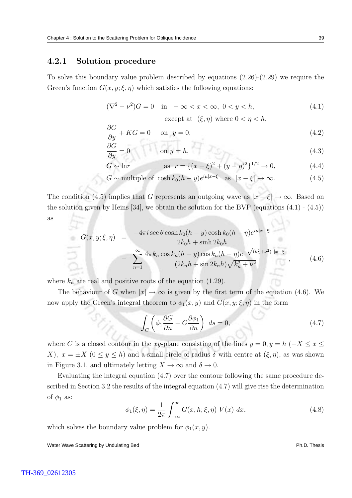### 4.2.1 Solution procedure

 $\Omega$ 

To solve this boundary value problem described by equations (2.26)-(2.29) we require the Green's function  $G(x, y; \xi, \eta)$  which satisfies the following equations:

$$
(\nabla^2 - \nu^2)G = 0 \quad \text{in} \quad -\infty < x < \infty, \ 0 < y < h,\tag{4.1}
$$

except at  $(\xi, \eta)$  where  $0 < \eta < h$ ,

$$
\frac{\partial G}{\partial y} + KG = 0 \quad \text{on} \quad y = 0,\tag{4.2}
$$

$$
\frac{\partial G}{\partial y} = 0 \qquad \text{on } y = h,\tag{4.3}
$$

$$
G \sim \ln r \qquad \qquad \text{as} \ \ r = \{ (x - \xi)^2 + (y - \eta)^2 \}^{1/2} \to 0,
$$
 (4.4)

$$
G \sim \text{multiple of } \cosh k_0 (h - y) e^{i\mu |x - \xi|} \quad \text{as} \quad |x - \xi| \to \infty. \tag{4.5}
$$

The condition (4.5) implies that G represents an outgoing wave as  $|x-\xi| \to \infty$ . Based on the solution given by Heins [34], we obtain the solution for the BVP (equations  $(4.1)$  -  $(4.5)$ ) as

$$
G(x, y; \xi, \eta) = \frac{-4\pi i \sec \theta \cosh k_0 (h - y) \cosh k_0 (h - \eta) e^{i\mu |x - \xi|}}{2k_0 h + \sinh 2k_0 h} - \sum_{n=1}^{\infty} \frac{4\pi k_n \cos k_n (h - y) \cos k_n (h - \eta) e^{-\sqrt{(k_n^2 + \nu^2)} |x - \xi|}}{(2k_n h + \sin 2k_n h)\sqrt{k_n^2 + \nu^2}}, \qquad (4.6)
$$

where  $k_n$  are real and positive roots of the equation (1.29).

The behaviour of G when  $|x| \to \infty$  is given by the first term of the equation (4.6). We now apply the Green's integral theorem to  $\phi_1(x, y)$  and  $G(x, y; \xi, \eta)$  in the form

$$
\int_C \left( \phi_1 \frac{\partial G}{\partial n} - G \frac{\partial \phi_1}{\partial n} \right) ds = 0,
$$
\n(4.7)

where C is a closed contour in the xy-plane consisting of the lines  $y = 0, y = h \ (-X \le x \le y)$ X),  $x = \pm X$  ( $0 \le y \le h$ ) and a small circle of radius  $\delta$  with centre at  $(\xi, \eta)$ , as was shown in Figure 3.1, and ultimately letting  $X \to \infty$  and  $\delta \to 0$ .

Evaluating the integral equation (4.7) over the contour following the same procedure described in Section 3.2 the results of the integral equation (4.7) will give rise the determination of  $\phi_1$  as:  $\overline{r}$ 

$$
\phi_1(\xi, \eta) = \frac{1}{2\pi} \int_{-\infty}^{\infty} G(x, h; \xi, \eta) V(x) dx,
$$
\n(4.8)

which solves the boundary value problem for  $\phi_1(x, y)$ .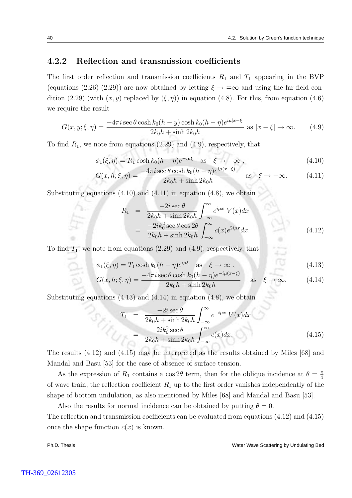#### 4.2.2 Reflection and transmission coefficients

The first order reflection and transmission coefficients  $R_1$  and  $T_1$  appearing in the BVP (equations (2.26)-(2.29)) are now obtained by letting  $\xi \to \pm \infty$  and using the far-field condition (2.29) (with  $(x, y)$  replaced by  $(\xi, \eta)$ ) in equation (4.8). For this, from equation (4.6) we require the result

$$
G(x, y; \xi, \eta) = \frac{-4\pi i \sec \theta \cosh k_0 (h - y) \cosh k_0 (h - \eta) e^{i\mu |x - \xi|}}{2k_0 h + \sinh 2k_0 h} \text{ as } |x - \xi| \to \infty.
$$
 (4.9)

To find  $R_1$ , we note from equations  $(2.29)$  and  $(4.9)$ , respectively, that

$$
\phi_1(\xi, \eta) = R_1 \cosh k_0 (h - \eta) e^{-i\mu\xi} \quad \text{as} \quad \xi \to -\infty \;, \tag{4.10}
$$
\n
$$
-4\pi i \cos \theta \cosh k_0 (h - \eta) e^{i\mu(x - \xi)}
$$

$$
G(x, h; \xi, \eta) = \frac{-4\pi i \sec \theta \cosh k_0 (h - \eta) e^{i\mu(x - \xi)}}{2k_0 h + \sinh 2k_0 h} \quad \text{as} \quad \xi \to -\infty. \tag{4.11}
$$

Substituting equations  $(4.10)$  and  $(4.11)$  in equation  $(4.8)$ , we obtain

$$
R_1 = \frac{-2i \sec \theta}{2k_0 h + \sinh 2k_0 h} \int_{-\infty}^{\infty} e^{i\mu x} V(x) dx
$$
  
= 
$$
\frac{-2ik_0^2 \sec \theta \cos 2\theta}{2k_0 h + \sinh 2k_0 h} \int_{-\infty}^{\infty} c(x) e^{2i\mu x} dx.
$$
 (4.12)

To find  $T_1$ , we note from equations (2.29) and (4.9), respectively, that

$$
\phi_1(\xi, \eta) = T_1 \cosh k_0 (h - \eta) e^{i\mu \xi} \quad \text{as} \quad \xi \to \infty \tag{4.13}
$$

$$
G(x, h; \xi, \eta) = \frac{-4\pi i \sec \theta \cosh k_0 (h - \eta) e^{-i\mu(x - \xi)}}{2k_0 h + \sinh 2k_0 h} \quad \text{as} \quad \xi \to \infty. \tag{4.14}
$$

Substituting equations  $(4.13)$  and  $(4.14)$  in equation  $(4.8)$ , we obtain

s.

$$
T_1 = \frac{-2i \sec \theta}{2k_0 h + \sinh 2k_0 h} \int_{-\infty}^{\infty} e^{-i\mu x} V(x) dx
$$
  
= 
$$
\frac{2ik_0^2 \sec \theta}{2k_0 h + \sinh 2k_0 h} \int_{-\infty}^{\infty} c(x) dx.
$$
 (4.15)

The results (4.12) and (4.15) may be interpreted as the results obtained by Miles [68] and Mandal and Basu [53] for the case of absence of surface tension.

As the expression of  $R_1$  contains a cos 2 $\theta$  term, then for the oblique incidence at  $\theta = \frac{\pi}{4}$ 4 of wave train, the reflection coefficient  $R_1$  up to the first order vanishes independently of the shape of bottom undulation, as also mentioned by Miles [68] and Mandal and Basu [53].

Also the results for normal incidence can be obtained by putting  $\theta = 0$ .

The reflection and transmission coefficients can be evaluated from equations (4.12) and (4.15) once the shape function  $c(x)$  is known.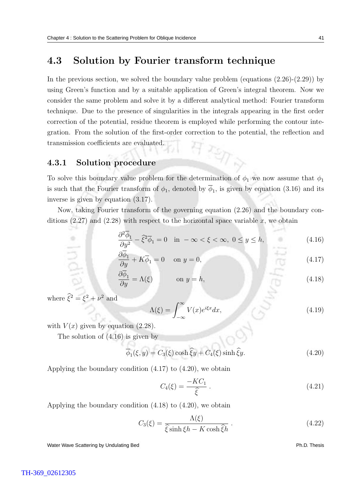## 4.3 Solution by Fourier transform technique

In the previous section, we solved the boundary value problem (equations  $(2.26)-(2.29)$ ) by using Green's function and by a suitable application of Green's integral theorem. Now we consider the same problem and solve it by a different analytical method: Fourier transform technique. Due to the presence of singularities in the integrals appearing in the first order correction of the potential, residue theorem is employed while performing the contour integration. From the solution of the first-order correction to the potential, the reflection and transmission coefficients are evaluated.

#### 4.3.1 Solution procedure

To solve this boundary value problem for the determination of  $\phi_1$  we now assume that  $\phi_1$ is such that the Fourier transform of  $\phi_1$ , denoted by  $\overline{\phi}_1$ , is given by equation (3.16) and its inverse is given by equation (3.17).

Now, taking Fourier transform of the governing equation (2.26) and the boundary conditions  $(2.27)$  and  $(2.28)$  with respect to the horizontal space variable x, we obtain

$$
\frac{\partial^2 \overline{\phi}_1}{\partial y^2} - \hat{\xi}^2 \overline{\phi}_1 = 0 \quad \text{in } -\infty < \xi < \infty, \ 0 \le y \le h,\tag{4.16}
$$

$$
\frac{\partial \phi_1}{\partial y} + K \overline{\phi}_1 = 0 \quad \text{on } y = 0,
$$
\n(4.17)

$$
\frac{\partial \overline{\phi}_1}{\partial y} = \Lambda(\xi) \qquad \text{on } y = h,
$$
\n(4.18)

where  $\widehat{\xi}^2 = \xi^2 + \nu^2$  and

$$
\Lambda(\xi) = \int_{-\infty}^{\infty} V(x)e^{i\xi x} dx,
$$
\n(4.19)

with  $V(x)$  given by equation (2.28).

The solution of (4.16) is given by

$$
\overline{\phi}_1(\xi, y) = C_3(\xi) \cosh \widehat{\xi} y + C_4(\xi) \sinh \widehat{\xi} y.
$$
\n(4.20)

Applying the boundary condition (4.17) to (4.20), we obtain

$$
C_4(\xi) = \frac{-KC_1}{\hat{\xi}} \,. \tag{4.21}
$$

Applying the boundary condition (4.18) to (4.20), we obtain

$$
C_3(\xi) = \frac{\Lambda(\xi)}{\hat{\xi}\sinh\xi h - K\cosh\hat{\xi}h} \,. \tag{4.22}
$$

Water Wave Scattering by Undulating Bed Ph.D. Thesis and Ph.D. Thesis and Ph.D. Thesis

#### TH-369\_02612305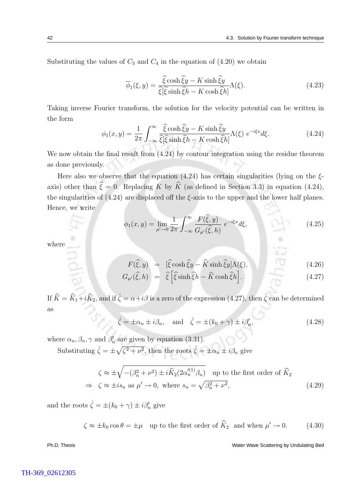Substituting the values of  $C_3$  and  $C_4$  in the equation of (4.20) we obtain

$$
\overline{\phi}_1(\xi, y) = \frac{\widehat{\xi}\cosh\widehat{\xi}y - K\sinh\widehat{\xi}y}{\widehat{\xi}[\widehat{\xi}\sinh\widehat{\xi}h - K\cosh\widehat{\xi}h]} \Lambda(\xi).
$$
\n(4.23)

Taking inverse Fourier transform, the solution for the velocity potential can be written in the form

$$
\phi_1(x,y) = \frac{1}{2\pi} \int_{-\infty}^{\infty} \frac{\hat{\xi} \cosh \hat{\xi} y - K \sinh \hat{\xi} y}{\hat{\xi} [\hat{\xi} \sinh \hat{\xi} h - K \cosh \hat{\xi} h]} \Lambda(\xi) e^{-i\xi x} d\xi.
$$
 (4.24)

We now obtain the final result from (4.24) by contour integration using the residue theorem as done previously.

Here also we observe that the equation (4.24) has certain singularities (lying on the  $\xi$ axis) other than  $\hat{\xi} = 0$ . Replacing K by  $\hat{K}$  (as defined in Section 3.3) in equation (4.24), the singularities of  $(4.24)$  are displaced off the  $\xi$ -axis to the upper and the lower half planes. Hence, we write

$$
\phi_1(x, y) = \lim_{\mu' \to 0} \frac{1}{2\pi} \int_{-\infty}^{\infty} \frac{F(\hat{\xi}, y)}{G_{\mu'}(\hat{\xi}, h)} e^{-i\xi x} d\xi,
$$
\n(4.25)

where

$$
F(\hat{\xi}, y) = [\hat{\xi}\cosh \hat{\xi}y - \hat{K}\sinh \hat{\xi}y]\Lambda(\xi), \qquad (4.26)
$$

$$
G_{\mu'}(\hat{\xi},h) = \hat{\xi}\left[\hat{\xi}\sinh\hat{\xi}h - \hat{K}\cosh\hat{\xi}h\right].\tag{4.27}
$$

If  $\hat{K} = \hat{K}_1 + i\hat{K}_2$ , and if  $\hat{\zeta} = \alpha + i\beta$  is a zero of the expression (4.27), then  $\hat{\zeta}$  can be determined as

$$
\hat{\zeta} = \pm \alpha_n \pm i\beta_n, \quad \text{and} \quad \hat{\zeta} = \pm (k_0 + \gamma) \pm i\beta_n', \tag{4.28}
$$

where  $\alpha_n, \beta_n, \gamma$  and  $\beta'_n$  are given by equation (3.31).

Substituting  $\hat{\zeta} = \pm \sqrt{\frac{\hat{\zeta} - \hat{\zeta}}{T}}$  $\overline{\zeta^2+\nu^2}$ , then the roots  $\hat{\zeta}=\pm\alpha_n\pm i\beta_n$  give

$$
\zeta \approx \pm \sqrt{-(\beta_n^2 + \nu^2) \pm i \hat{K}_2(2\alpha_n^{\prime(1)}\beta_n)} \quad \text{up to the first order of } \hat{K}_2
$$
\n
$$
\Rightarrow \quad \zeta \approx \pm i s_n \text{ as } \mu' \to 0, \text{ where } s_n = \sqrt{\beta_n^2 + \nu^2}, \tag{4.29}
$$

and the roots  $\hat{\zeta} = \pm (k_0 + \gamma) \pm i \beta_n'$  give

$$
\zeta \approx \pm k_0 \cos \theta = \pm \mu \quad \text{up to the first order of } \hat{K}_2 \text{ and when } \mu' \to 0. \tag{4.30}
$$

Ph.D. Thesis Water Wave Scattering by Undulating Bed

#### TH-369\_02612305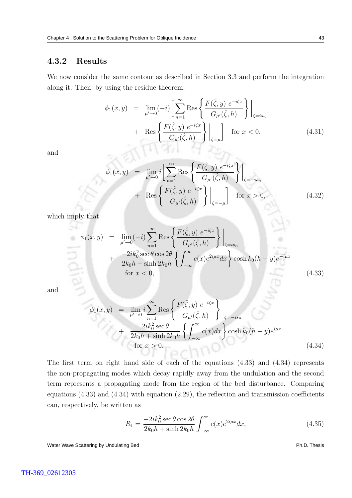### 4.3.2 Results

We now consider the same contour as described in Section 3.3 and perform the integration along it. Then, by using the residue theorem,

$$
\phi_1(x, y) = \lim_{\mu' \to 0} (-i) \left[ \sum_{n=1}^{\infty} \text{Res} \left\{ \frac{F(\hat{\zeta}, y) e^{-i\zeta x}}{G_{\mu'}(\hat{\zeta}, h)} \right\} \Big|_{\zeta = i s_n} + \text{Res} \left\{ \frac{F(\hat{\zeta}, y) e^{-i\zeta x}}{G_{\mu'}(\hat{\zeta}, h)} \right\} \Big|_{\zeta = \mu} \right] \text{ for } x < 0,
$$
\n(4.31)

and

$$
\phi_1(x, y) = \lim_{\mu' \to 0} i \left[ \sum_{n=1}^{\infty} \text{Res} \left\{ \frac{F(\hat{\zeta}, y) e^{-i\zeta x}}{G_{\mu'}(\hat{\zeta}, h)} \right\} \Big|_{\zeta = -is_n} + \text{Res} \left\{ \frac{F(\hat{\zeta}, y) e^{-i\zeta x}}{G_{\mu'}(\hat{\zeta}, h)} \right\} \Big|_{\zeta = -\mu} \right] \text{ for } x > 0,
$$
\n(4.32)

which imply that

$$
\phi_1(x, y) = \lim_{\mu' \to 0} (-i) \sum_{n=1}^{\infty} \text{Res} \left\{ \frac{F(\hat{\zeta}, y) e^{-i\zeta x}}{G_{\mu'}(\hat{\zeta}, h)} \right\} \Big|_{\zeta = i s_n}
$$
  
+ 
$$
\frac{-2ik_0^2 \sec \theta \cos 2\theta}{2k_0 h + \sinh 2k_0 h} \left\{ \int_{-\infty}^{\infty} c(x) e^{2i\mu x} dx \right\} \cosh k_0 (h - y) e^{-i\mu x}
$$
  
for  $x < 0$ , (4.33)

and

$$
\phi_1(x, y) = \lim_{\mu' \to 0} i \sum_{n=1}^{\infty} \text{Res} \left\{ \frac{F(\hat{\zeta}, y) e^{-i\zeta x}}{G_{\mu'}(\hat{\zeta}, h)} \right\} \Big|_{\zeta = -is_n}
$$
  
+ 
$$
\frac{2ik_0^2 \sec \theta}{2k_0 h + \sinh 2k_0 h} \left\{ \int_{-\infty}^{\infty} c(x) dx \right\} \cosh k_0 (h - y) e^{i\mu x}
$$
  
for  $x > 0$ . (4.34)

The first term on right hand side of each of the equations (4.33) and (4.34) represents the non-propagating modes which decay rapidly away from the undulation and the second term represents a propagating mode from the region of the bed disturbance. Comparing equations  $(4.33)$  and  $(4.34)$  with equation  $(2.29)$ , the reflection and transmission coefficients can, respectively, be written as

$$
R_1 = \frac{-2ik_0^2 \sec \theta \cos 2\theta}{2k_0 h + \sinh 2k_0 h} \int_{-\infty}^{\infty} c(x)e^{2i\mu x} dx,
$$
\n(4.35)

Water Wave Scattering by Undulating Bed **Ph.D. Thesis** Ph.D. Thesis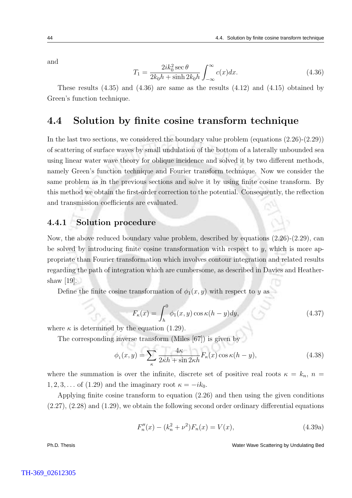and

$$
T_1 = \frac{2ik_0^2 \sec \theta}{2k_0 h + \sinh 2k_0 h} \int_{-\infty}^{\infty} c(x) dx.
$$
 (4.36)

These results  $(4.35)$  and  $(4.36)$  are same as the results  $(4.12)$  and  $(4.15)$  obtained by Green's function technique.

## 4.4 Solution by finite cosine transform technique

In the last two sections, we considered the boundary value problem (equations  $(2.26)-(2.29)$ ) of scattering of surface waves by small undulation of the bottom of a laterally unbounded sea using linear water wave theory for oblique incidence and solved it by two different methods, namely Green's function technique and Fourier transform technique. Now we consider the same problem as in the previous sections and solve it by using finite cosine transform. By this method we obtain the first-order correction to the potential. Consequently, the reflection and transmission coefficients are evaluated.

#### 4.4.1 Solution procedure

Now, the above reduced boundary value problem, described by equations  $(2.26)-(2.29)$ , can be solved by introducing finite cosine transformation with respect to  $y$ , which is more appropriate than Fourier transformation which involves contour integration and related results regarding the path of integration which are cumbersome, as described in Davies and Heathershaw  $[19]$ .

Define the finite cosine transformation of  $\phi_1(x, y)$  with respect to y as

$$
F_{\kappa}(x) = \int_{h}^{0} \phi_1(x, y) \cos \kappa (h - y) dy,
$$
\n(4.37)

where  $\kappa$  is determined by the equation (1.29).

The corresponding inverse transform (Miles [67]) is given by

$$
\phi_1(x,y) = \sum_{\kappa} \frac{4\kappa}{2\kappa h + \sin 2\kappa h} F_{\kappa}(x) \cos \kappa (h - y), \tag{4.38}
$$

where the summation is over the infinite, discrete set of positive real roots  $\kappa = k_n$ ,  $n =$  $1, 2, 3, \ldots$  of  $(1.29)$  and the imaginary root  $\kappa = -ik_0$ .

Applying finite cosine transform to equation (2.26) and then using the given conditions  $(2.27), (2.28)$  and  $(1.29),$  we obtain the following second order ordinary differential equations

$$
F_n''(x) - (k_n^2 + \nu^2) F_n(x) = V(x), \tag{4.39a}
$$

Ph.D. Thesis Water Wave Scattering by Undulating Bed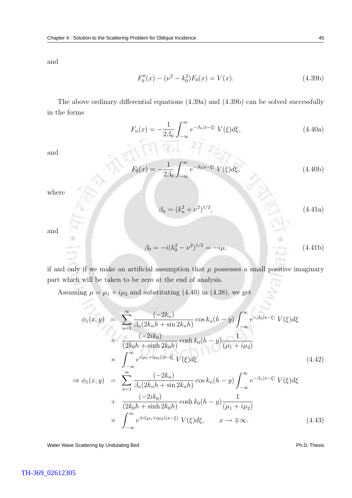and

$$
F_0''(x) - (\nu^2 - k_0^2)F_0(x) = V(x).
$$
\n(4.39b)

The above ordinary differential equations (4.39a) and (4.39b) can be solved successfully in the forms

$$
F_n(x) = -\frac{1}{2\beta_n} \int_{-\infty}^{\infty} e^{-\beta_n |x-\xi|} V(\xi) d\xi,
$$
\n(4.40a)

and

$$
F_0(x) = -\frac{1}{2\beta_0} \int_{-\infty}^{\infty} e^{-\beta_0 |x - \xi|} V(\xi) d\xi,
$$
 (4.40b)

where

$$
\beta_n = (k_n^2 + \nu^2)^{1/2},\tag{4.41a}
$$

and

$$
\beta_0 = -i(k_0^2 - \nu^2)^{1/2} = -i\mu,
$$
\n(4.41b)

if and only if we make an artificial assumption that  $\mu$  possesses a small positive imaginary part which will be taken to be zero at the end of analysis.

Assuming  $\mu = \mu_1 + i\mu_2$  and substituting (4.40) in (4.38), we get

$$
\phi_1(x, y) = \sum_{n=1}^{\infty} \frac{(-2k_n)}{\beta_n(2k_n h + \sin 2k_n h)} \cos k_n (h - y) \int_{-\infty}^{\infty} e^{-\beta_n |x - \xi|} V(\xi) d\xi
$$
  
+ 
$$
\frac{(-2ik_0)}{(2k_0 h + \sinh 2k_0 h)} \cosh k_0 (h - y) \frac{1}{(\mu_1 + i\mu_2)}
$$
  
 
$$
\times \int_{-\infty}^{\infty} e^{i(\mu_1 + i\mu_2)|x - \xi|} V(\xi) d\xi.
$$
  

$$
\Rightarrow \phi_1(x, y) = \sum_{n=1}^{\infty} \frac{(-2k_n)}{\beta_n(2k_n h + \sin 2k_n h)} \cos k_n (h - y) \int_{-\infty}^{\infty} e^{-\beta_n |x - \xi|} V(\xi) d\xi
$$
  
+ 
$$
\frac{(-2ik_0)}{(2k_0 h + \sinh 2k_0 h)} \cosh k_0 (h - y) \frac{1}{(\mu_1 + i\mu_2)}
$$
  

$$
\times \int_{-\infty}^{\infty} e^{\mp i(\mu_1 + i\mu_2)(x - \xi)} V(\xi) d\xi, \qquad x \to \mp \infty.
$$
 (4.43)

Water Wave Scattering by Undulating Bed **Ph.D. Thesis** Ph.D. Thesis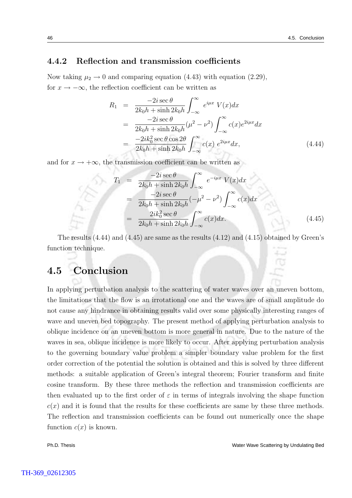#### 4.4.2 Reflection and transmission coefficients

Now taking  $\mu_2 \rightarrow 0$  and comparing equation (4.43) with equation (2.29), for  $x \to -\infty$ , the reflection coefficient can be written as

$$
R_1 = \frac{-2i \sec \theta}{2k_0 h + \sinh 2k_0 h} \int_{-\infty}^{\infty} e^{i\mu x} V(x) dx
$$
  
= 
$$
\frac{-2i \sec \theta}{2k_0 h + \sinh 2k_0 h} (\mu^2 - \nu^2) \int_{-\infty}^{\infty} c(x) e^{2i\mu x} dx
$$
  
= 
$$
\frac{-2ik_0^2 \sec \theta \cos 2\theta}{2k_0 h + \sinh 2k_0 h} \int_{-\infty}^{\infty} c(x) e^{2i\mu x} dx,
$$
(4.44)

and for  $x \to +\infty$ , the transmission coefficient can be written as

$$
T_1 = \frac{-2i \sec \theta}{2k_0 h + \sinh 2k_0 h} \int_{-\infty}^{\infty} e^{-i\mu x} V(x) dx
$$
  
\n
$$
= \frac{-2i \sec \theta}{2k_0 h + \sinh 2k_0 h} (-\mu^2 - \nu^2) \int_{-\infty}^{\infty} c(x) dx
$$
  
\n
$$
= \frac{2ik_0^2 \sec \theta}{2k_0 h + \sinh 2k_0 h} \int_{-\infty}^{\infty} c(x) dx.
$$
 (4.45)

The results (4.44) and (4.45) are same as the results (4.12) and (4.15) obtained by Green's function technique.

# 4.5 Conclusion

In applying perturbation analysis to the scattering of water waves over an uneven bottom, the limitations that the flow is an irrotational one and the waves are of small amplitude do not cause any hindrance in obtaining results valid over some physically interesting ranges of wave and uneven bed topography. The present method of applying perturbation analysis to oblique incidence on an uneven bottom is more general in nature. Due to the nature of the waves in sea, oblique incidence is more likely to occur. After applying perturbation analysis to the governing boundary value problem a simpler boundary value problem for the first order correction of the potential the solution is obtained and this is solved by three different methods: a suitable application of Green's integral theorem; Fourier transform and finite cosine transform. By these three methods the reflection and transmission coefficients are then evaluated up to the first order of  $\varepsilon$  in terms of integrals involving the shape function  $c(x)$  and it is found that the results for these coefficients are same by these three methods. The reflection and transmission coefficients can be found out numerically once the shape function  $c(x)$  is known.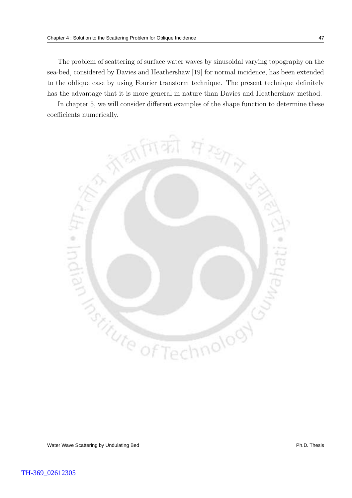The problem of scattering of surface water waves by sinusoidal varying topography on the sea-bed, considered by Davies and Heathershaw [19] for normal incidence, has been extended to the oblique case by using Fourier transform technique. The present technique definitely has the advantage that it is more general in nature than Davies and Heathershaw method.

In chapter 5, we will consider different examples of the shape function to determine these coefficients numerically.



Water Wave Scattering by Undulating Bed **Ph.D.** Thesis **Ph.D.** Thesis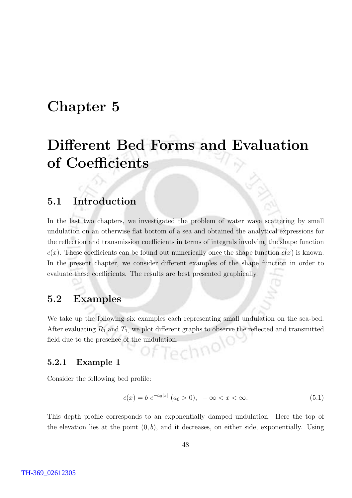# Chapter 5

# Different Bed Forms and Evaluation of Coefficients

## 5.1 Introduction

In the last two chapters, we investigated the problem of water wave scattering by small undulation on an otherwise flat bottom of a sea and obtained the analytical expressions for the reflection and transmission coefficients in terms of integrals involving the shape function  $c(x)$ . These coefficients can be found out numerically once the shape function  $c(x)$  is known. In the present chapter, we consider different examples of the shape function in order to evaluate these coefficients. The results are best presented graphically.

## 5.2 Examples

We take up the following six examples each representing small undulation on the sea-bed. After evaluating  $R_1$  and  $T_1$ , we plot different graphs to observe the reflected and transmitted field due to the presence of the undulation.

#### 5.2.1 Example 1

Consider the following bed profile:

$$
c(x) = b e^{-a_0|x|} (a_0 > 0), \quad -\infty < x < \infty. \tag{5.1}
$$

This depth profile corresponds to an exponentially damped undulation. Here the top of the elevation lies at the point  $(0, b)$ , and it decreases, on either side, exponentially. Using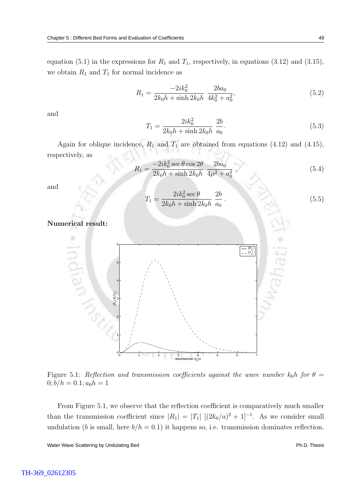equation (5.1) in the expressions for  $R_1$  and  $T_1$ , respectively, in equations (3.12) and (3.15), we obtain  $R_1$  and  $T_1$  for normal incidence as

$$
R_1 = \frac{-2ik_0^2}{2k_0h + \sinh 2k_0h} \frac{2ba_0}{4k_0^2 + a_0^2},
$$
\n(5.2)

and

$$
T_1 = \frac{2ik_0^2}{2k_0h + \sinh 2k_0h} \frac{2b}{a_0}.
$$
\n(5.3)

Again for oblique incidence,  $R_1$  and  $T_1$  are obtained from equations (4.12) and (4.15), respectively, as

$$
R_1 = \frac{-2ik_0^2 \sec \theta \cos 2\theta}{2k_0 h + \sinh 2k_0 h} \frac{2ba_0}{4\mu^2 + a_0^2},
$$
\n(5.4)

and

$$
T_1 = \frac{2ik_0^2 \sec \theta}{2k_0 h + \sinh 2k_0 h} \frac{2b}{a_0} \,. \tag{5.5}
$$

Numerical result:



Figure 5.1: Reflection and transmission coefficients against the wave number  $k_0 h$  for  $\theta =$  $0; b/h = 0.1; a_0h = 1$ 

From Figure 5.1, we observe that the reflection coefficient is comparatively much smaller than the transmission coefficient since  $|R_1| = |T_1| [(2k_0/a)^2 + 1]^{-1}$ . As we consider small undulation (b is small, here  $b/h = 0.1$ ) it happens so, i.e. transmission dominates reflection.

Water Wave Scattering by Undulating Bed **Ph.D. Thesis** Ph.D. Thesis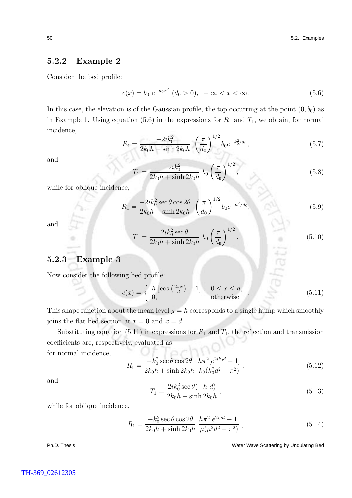### 5.2.2 Example 2

Consider the bed profile:

$$
c(x) = b_0 e^{-d_0 x^2} (d_0 > 0), \quad -\infty < x < \infty. \tag{5.6}
$$

In this case, the elevation is of the Gaussian profile, the top occurring at the point  $(0, b_0)$  as in Example 1. Using equation (5.6) in the expressions for  $R_1$  and  $T_1$ , we obtain, for normal incidence,

$$
R_1 = \frac{-2ik_0^2}{2k_0h + \sinh 2k_0h} \left(\frac{\pi}{d_0}\right)^{1/2} b_0 e^{-k_0^2/d_0},\tag{5.7}
$$

and

$$
T_1 = \frac{2ik_0^2}{2k_0h + \sinh 2k_0h} b_0 \left(\frac{\pi}{d_0}\right)^{1/2},\tag{5.8}
$$

while for oblique incidence

$$
R_1 = \frac{-2ik_0^2 \sec \theta \cos 2\theta}{2k_0 h + \sinh 2k_0 h} \left(\frac{\pi}{d_0}\right)^{1/2} b_0 e^{-\mu^2/d_0},\tag{5.9}
$$

and

$$
T_1 = \frac{2ik_0^2 \sec \theta}{2k_0 h + \sinh 2k_0 h} b_0 \left(\frac{\pi}{d_0}\right)^{1/2}.
$$
 (5.10)

## 5.2.3 Example 3

Now consider the following bed profile:

$$
c(x) = \begin{cases} h\left[\cos\left(\frac{2\pi x}{d}\right) - 1\right], & 0 \le x \le d, \\ 0, & \text{otherwise} \end{cases}
$$
(5.11)

This shape function about the mean level  $y = h$  corresponds to a single hump which smoothly joins the flat bed section at  $x = 0$  and  $x = d$ .

Substituting equation (5.11) in expressions for  $R_1$  and  $T_1$ , the reflection and transmission coefficients are, respectively, evaluated as

for normal incidence,

$$
R_1 = \frac{-k_0^2 \sec \theta \cos 2\theta}{2k_0 h + \sinh 2k_0 h} \frac{h\pi^2 [e^{2ik_0 d} - 1]}{k_0 (k_0^2 d^2 - \pi^2)},
$$
(5.12)

and

$$
T_1 = \frac{2ik_0^2 \sec \theta(-h \ d)}{2k_0 h + \sinh 2k_0 h} \ , \tag{5.13}
$$

while for oblique incidence,

$$
R_1 = \frac{-k_0^2 \sec \theta \cos 2\theta}{2k_0 h + \sinh 2k_0 h} \frac{h\pi^2 [e^{2i\mu d} - 1]}{\mu(\mu^2 d^2 - \pi^2)},
$$
(5.14)

Ph.D. Thesis Water Wave Scattering by Undulating Bed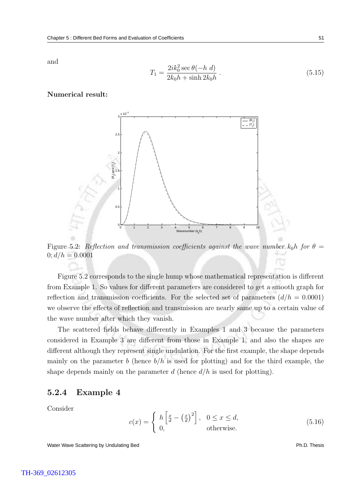and

$$
T_1 = \frac{2ik_0^2 \sec \theta(-h \, d)}{2k_0 h + \sinh 2k_0 h} \,. \tag{5.15}
$$

Numerical result:



Figure 5.2: Reflection and transmission coefficients against the wave number  $k_0 h$  for  $\theta =$  $0; d/h = 0.0001$ 

Figure 5.2 corresponds to the single hump whose mathematical representation is different from Example 1. So values for different parameters are considered to get a smooth graph for reflection and transmission coefficients. For the selected set of parameters  $(d/h = 0.0001)$ we observe the effects of reflection and transmission are nearly same up to a certain value of the wave number after which they vanish.

The scattered fields behave differently in Examples 1 and 3 because the parameters considered in Example 3 are different from those in Example 1, and also the shapes are different although they represent single undulation. For the first example, the shape depends mainly on the parameter b (hence  $b/h$  is used for plotting) and for the third example, the shape depends mainly on the parameter d (hence  $d/h$  is used for plotting).

### 5.2.4 Example 4

Consider

$$
c(x) = \begin{cases} h\left[\frac{x}{d} - \left(\frac{x}{d}\right)^2\right], & 0 \le x \le d, \\ 0, & \text{otherwise.} \end{cases}
$$
 (5.16)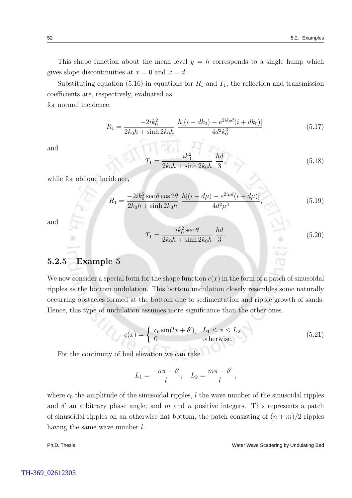This shape function about the mean level  $y = h$  corresponds to a single hump which gives slope discontinuities at  $x = 0$  and  $x = d$ .

Substituting equation (5.16) in equations for  $R_1$  and  $T_1$ , the reflection and transmission coefficients are, respectively, evaluated as for normal incidence,

**THE T** 

$$
R_1 = \frac{-2ik_0^2}{2k_0h + \sinh 2k_0h} \frac{h[(i - dk_0) - e^{2ik_0d}(i + dk_0)]}{4d^2k_0^3},
$$
\n(5.17)

and

$$
T_1 = \frac{ik_0^2}{2k_0h + \sinh 2k_0h} \frac{hd}{3},\tag{5.18}
$$

while for oblique incidence,

$$
R_1 = \frac{-2ik_0^2 \sec \theta \cos 2\theta}{2k_0 h + \sinh 2k_0 h} \frac{h[(i - d\mu) - e^{2i\mu d}(i + d\mu)]}{4d^2 \mu^3},
$$
(5.19)

and

$$
T_1 = \frac{ik_0^2 \sec \theta}{2k_0 h + \sinh 2k_0 h} \frac{hd}{3}.
$$
 (5.20)

### 5.2.5 Example 5

We now consider a special form for the shape function  $c(x)$  in the form of a patch of sinusoidal ripples as the bottom undulation. This bottom undulation closely resembles some naturally occurring obstacles formed at the bottom due to sedimentation and ripple growth of sands. Hence, this type of undulation assumes more significance than the other ones.

$$
c(x) = \begin{cases} c_0 \sin(lx + \delta'), & L_1 \le x \le L_2 \\ 0 & \text{otherwise,} \end{cases}
$$
 (5.21)

For the continuity of bed elevation we can take

$$
L_1 = \frac{-n\pi - \delta'}{l}, \quad L_2 = \frac{m\pi - \delta'}{l},
$$

where  $c_0$  the amplitude of the sinusoidal ripples, l the wave number of the sinusoidal ripples and  $\delta'$  an arbitrary phase angle; and m and n positive integers. This represents a patch of sinusoidal ripples on an otherwise flat bottom, the patch consisting of  $(n + m)/2$  ripples having the same wave number l.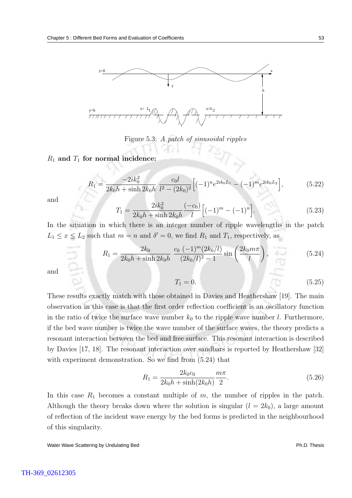

Figure 5.3: A patch of sinusoidal ripples

#### $R_1$  and  $T_1$  for normal incidence:

$$
R_1 = \frac{-2ik_0^2}{2k_0h + \sinh 2k_0h} \frac{c_0l}{l^2 - (2k_0)^2} \left[ (-1)^n e^{2ik_0L_1} - (-1)^m e^{2ik_0L_2} \right],\tag{5.22}
$$

and

$$
T_1 = \frac{2ik_0^2}{2k_0h + \sinh 2k_0h} \frac{(-c_0)}{l} \left[ (-1)^m - (-1)^n \right].
$$
 (5.23)

In the situation in which there is an integer number of ripple wavelengths in the patch  $L_1 \leq x \leq L_2$  such that  $m = n$  and  $\delta' = 0$ , we find  $R_1$  and  $T_1$ , respectively, as

$$
R_1 = \frac{2k_0}{2k_0h + \sinh 2k_0h} \frac{c_0 (-1)^m (2k_0/l)}{(2k_0/l)^2 - 1} \sin\left(\frac{2k_0m\pi}{l}\right),\tag{5.24}
$$

and

$$
T_1 = 0.\t\t(5.25)
$$

These results exactly match with those obtained in Davies and Heathershaw [19]. The main observation in this case is that the first order reflection coefficient is an oscillatory function in the ratio of twice the surface wave number  $k_0$  to the ripple wave number l. Furthermore, if the bed wave number is twice the wave number of the surface waves, the theory predicts a resonant interaction between the bed and free surface. This resonant interaction is described by Davies [17, 18]. The resonant interaction over sandbars is reported by Heathershaw [32] with experiment demonstration. So we find from  $(5.24)$  that

$$
R_1 = \frac{2k_0c_0}{2k_0h + \sinh(2k_0h)} \frac{m\pi}{2}.
$$
\n(5.26)

In this case  $R_1$  becomes a constant multiple of  $m$ , the number of ripples in the patch. Although the theory breaks down where the solution is singular  $(l = 2k_0)$ , a large amount of reflection of the incident wave energy by the bed forms is predicted in the neighbourhood of this singularity.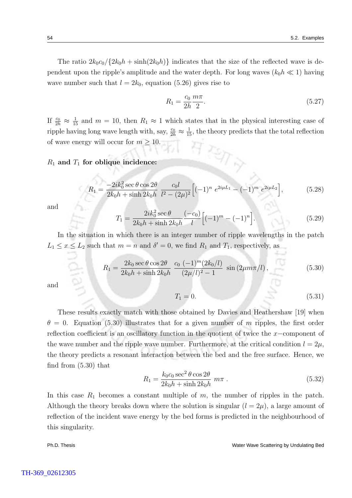The ratio  $2k_0c_0/(2k_0h + \sinh(2k_0h))$  indicates that the size of the reflected wave is dependent upon the ripple's amplitude and the water depth. For long waves  $(k_0h \ll 1)$  having wave number such that  $l = 2k_0$ , equation (5.26) gives rise to

$$
R_1 = \frac{c_0}{2h} \frac{m\pi}{2}.
$$
\n(5.27)

If  $\frac{c_0}{2h} \approx \frac{1}{15}$  and  $m = 10$ , then  $R_1 \approx 1$  which states that in the physical interesting case of ripple having long wave length with, say,  $\frac{c_0}{2h} \approx \frac{1}{15}$ , the theory predicts that the total reflection of wave energy will occur for  $m \geq 10$ .

#### $R_1$  and  $T_1$  for oblique incidence:

$$
R_1 = \frac{-2ik_0^2 \sec \theta \cos 2\theta}{2k_0 h + \sinh 2k_0 h} \frac{c_0 l}{l^2 - (2\mu)^2} \left[ (-1)^n e^{2i\mu L_1} - (-1)^m e^{2i\mu L_2} \right],
$$
 (5.28)

and

$$
T_1 = \frac{2ik_0^2 \sec \theta}{2k_0 h + \sinh 2k_0 h} \left[ (-1)^m - (-1)^n \right].
$$
 (5.29)

In the situation in which there is an integer number of ripple wavelengths in the patch  $L_1 \leq x \leq L_2$  such that  $m = n$  and  $\delta' = 0$ , we find  $R_1$  and  $T_1$ , respectively, as

$$
R_1 = \frac{2k_0 \sec \theta \cos 2\theta}{2k_0 h + \sinh 2k_0 h} \frac{c_0 (-1)^m (2k_0/l)}{(2\mu/l)^2 - 1} \sin (2\mu m \pi/l), \qquad (5.30)
$$

and

$$
T_1 = 0.\t\t(5.31)
$$

These results exactly match with those obtained by Davies and Heathershaw [19] when  $\theta = 0$ . Equation (5.30) illustrates that for a given number of m ripples, the first order reflection coefficient is an oscillatory function in the quotient of twice the x−component of the wave number and the ripple wave number. Furthermore, at the critical condition  $l = 2\mu$ , the theory predicts a resonant interaction between the bed and the free surface. Hence, we find from (5.30) that

$$
R_1 = \frac{k_0 c_0 \sec^2 \theta \cos 2\theta}{2k_0 h + \sinh 2k_0 h} m\pi
$$
 (5.32)

In this case  $R_1$  becomes a constant multiple of  $m$ , the number of ripples in the patch. Although the theory breaks down where the solution is singular  $(l = 2\mu)$ , a large amount of reflection of the incident wave energy by the bed forms is predicted in the neighbourhood of this singularity.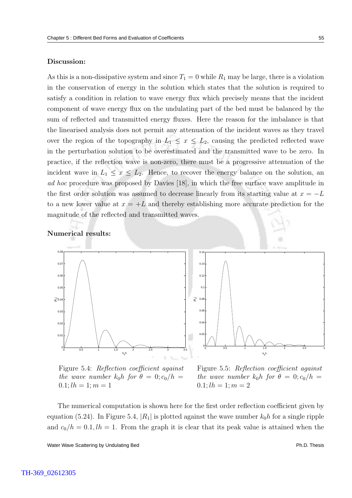#### Discussion:

As this is a non-dissipative system and since  $T_1 = 0$  while  $R_1$  may be large, there is a violation in the conservation of energy in the solution which states that the solution is required to satisfy a condition in relation to wave energy flux which precisely means that the incident component of wave energy flux on the undulating part of the bed must be balanced by the sum of reflected and transmitted energy fluxes. Here the reason for the imbalance is that the linearised analysis does not permit any attenuation of the incident waves as they travel over the region of the topography in  $L_1 \leq x \leq L_2$ , causing the predicted reflected wave in the perturbation solution to be overestimated and the transmitted wave to be zero. In practice, if the reflection wave is non-zero, there must be a progressive attenuation of the incident wave in  $L_1 \leq x \leq L_2$ . Hence, to recover the energy balance on the solution, an ad hoc procedure was proposed by Davies [18], in which the free surface wave amplitude in the first order solution was assumed to decrease linearly from its starting value at  $x = -L$ to a new lower value at  $x = +L$  and thereby establishing more accurate prediction for the magnitude of the reflected and transmitted waves.

Numerical results:



Figure 5.4: Reflection coefficient against the wave number  $k_0 h$  for  $\theta = 0$ ;  $c_0/h =$  $0.1; lh = 1; m = 1$ 

Figure 5.5: Reflection coefficient against the wave number  $k_0 h$  for  $\theta = 0$ ;  $c_0/h =$  $0.1$ ;  $lh = 1$ ;  $m = 2$ 

The numerical computation is shown here for the first order reflection coefficient given by equation (5.24). In Figure 5.4,  $|R_1|$  is plotted against the wave number  $k_0h$  for a single ripple and  $c_0/h = 0.1, lh = 1$ . From the graph it is clear that its peak value is attained when the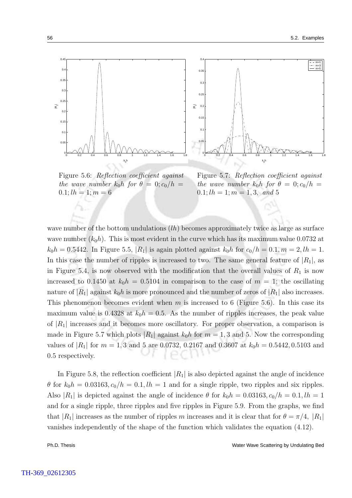



Figure 5.6: Reflection coefficient against the wave number  $k_0 h$  for  $\theta = 0$ ;  $c_0/h =$  $0.1; lh = 1; m = 6$ 

Figure 5.7: Reflection coefficient against the wave number  $k_0 h$  for  $\theta = 0$ ;  $c_0/h =$  $0.1; lh = 1; m = 1, 3, and 5$ 

wave number of the bottom undulations  $(lh)$  becomes approximately twice as large as surface wave number  $(k_0h)$ . This is most evident in the curve which has its maximum value 0.0732 at  $k_0h = 0.5442$ . In Figure 5.5,  $|R_1|$  is again plotted against  $k_0h$  for  $c_0/h = 0.1, m = 2, lh = 1$ . In this case the number of ripples is increased to two. The same general feature of  $|R_1|$ , as in Figure 5.4, is now observed with the modification that the overall values of  $R_1$  is now increased to 0.1450 at  $k_0h = 0.5104$  in comparison to the case of  $m = 1$ ; the oscillating nature of  $|R_1|$  against  $k_0h$  is more pronounced and the number of zeros of  $|R_1|$  also increases. This phenomenon becomes evident when m is increased to 6 (Figure 5.6). In this case its maximum value is 0.4328 at  $k_0h = 0.5$ . As the number of ripples increases, the peak value of  $|R_1|$  increases and it becomes more oscillatory. For proper observation, a comparison is made in Figure 5.7 which plots  $|R_1|$  against  $k_0h$  for  $m = 1, 3$  and 5. Now the corresponding values of |R<sub>1</sub>| for  $m = 1, 3$  and 5 are 0.0732, 0.2167 and 0.3607 at  $k_0 h = 0.5442, 0.5103$  and 0.5 respectively.

In Figure 5.8, the reflection coefficient  $|R_1|$  is also depicted against the angle of incidence  $\theta$  for  $k_0h = 0.03163$ ,  $c_0/h = 0.1$ ,  $lh = 1$  and for a single ripple, two ripples and six ripples. Also  $|R_1|$  is depicted against the angle of incidence  $\theta$  for  $k_0h = 0.03163, c_0/h = 0.1, lh = 1$ and for a single ripple, three ripples and five ripples in Figure 5.9. From the graphs, we find that  $|R_1|$  increases as the number of ripples m increases and it is clear that for  $\theta = \pi/4$ ,  $|R_1|$ vanishes independently of the shape of the function which validates the equation (4.12).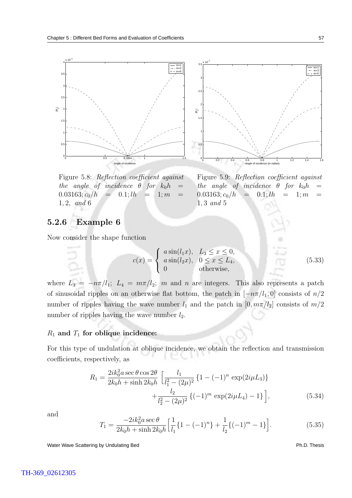

Figure 5.8: Reflection coefficient against the angle of incidence  $\theta$  for  $k_0 h$  =  $0.03163$ ;  $c_0/h = 0.1$ ;  $lh = 1$ ;  $m =$ 1, 2, and 6

Figure 5.9: Reflection coefficient against the angle of incidence  $\theta$  for  $k_0 h$  =  $0.03163$ ;  $c_0/h = 0.1$ ;  $lh = 1$ ;  $m =$ 1, 3 and 5

#### 5.2.6 Example 6

Now consider the shape function

$$
c(x) = \begin{cases} a\sin(l_1x), & L_3 \le x \le 0, \\ a\sin(l_2x), & 0 \le x \le L_4, \\ 0 & \text{otherwise,} \end{cases}
$$
 (5.33)

where  $L_3 = -n\pi/l_1$ ;  $L_4 = m\pi/l_2$ ; m and n are integers. This also represents a patch of sinusoidal ripples on an otherwise flat bottom, the patch in  $[-n\pi/l_1, 0]$  consists of  $n/2$ number of ripples having the wave number  $l_1$  and the patch in  $[0, m\pi/l_2]$  consists of  $m/2$ number of ripples having the wave number  $l_2$ .

#### $R_1$  and  $T_1$  for oblique incidence:

For this type of undulation at oblique incidence, we obtain the reflection and transmission coefficients, respectively, as

$$
R_1 = \frac{2ik_0^2 a \sec \theta \cos 2\theta}{2k_0 h + \sinh 2k_0 h} \left[ \frac{l_1}{l_1^2 - (2\mu)^2} \left\{ 1 - (-1)^n \exp(2i\mu L_3) \right\} + \frac{l_2}{l_2^2 - (2\mu)^2} \left\{ (-1)^m \exp(2i\mu L_4) - 1 \right\} \right],
$$
 (5.34)

and

$$
T_1 = \frac{-2ik_0^2 a \sec \theta}{2k_0 h + \sinh 2k_0 h} \Big[ \frac{1}{l_1} \{1 - (-1)^n\} + \frac{1}{l_2} \{(-1)^m - 1\} \Big].
$$
 (5.35)

Water Wave Scattering by Undulating Bed Ph.D. Thesis and Ph.D. Thesis and Ph.D. Thesis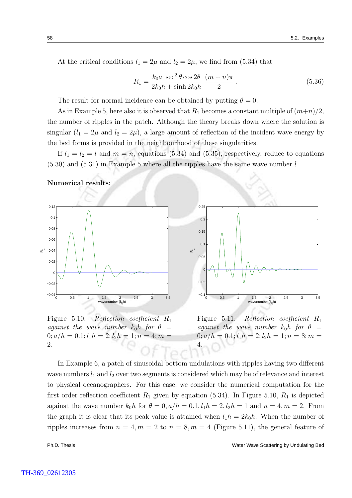At the critical conditions  $l_1 = 2\mu$  and  $l_2 = 2\mu$ , we find from (5.34) that

$$
R_1 = \frac{k_0 a \sec^2 \theta \cos 2\theta}{2k_0 h + \sinh 2k_0 h} \frac{(m+n)\pi}{2}.
$$
 (5.36)

The result for normal incidence can be obtained by putting  $\theta = 0$ .

As in Example 5, here also it is observed that  $R_1$  becomes a constant multiple of  $(m+n)/2$ , the number of ripples in the patch. Although the theory breaks down where the solution is singular  $(l_1 = 2\mu$  and  $l_2 = 2\mu$ ), a large amount of reflection of the incident wave energy by the bed forms is provided in the neighbourhood of these singularities.

If  $l_1 = l_2 = l$  and  $m = n$ , equations (5.34) and (5.35), respectively, reduce to equations (5.30) and (5.31) in Example 5 where all the ripples have the same wave number l.

Numerical results:



Figure 5.10: Reflection coefficient  $R_1$ against the wave number  $k_0 h$  for  $\theta =$  $0; a/h = 0.1; l_1 h = 2; l_2 h = 1; n = 4; m =$ 2.



Figure 5.11: Reflection coefficient  $R_1$ against the wave number  $k_0 h$  for  $\theta =$  $0; a/h = 0.1; l_1 h = 2; l_2 h = 1; n = 8; m =$ 4.

In Example 6, a patch of sinusoidal bottom undulations with ripples having two different wave numbers  $l_1$  and  $l_2$  over two segments is considered which may be of relevance and interest to physical oceanographers. For this case, we consider the numerical computation for the first order reflection coefficient  $R_1$  given by equation (5.34). In Figure 5.10,  $R_1$  is depicted against the wave number  $k_0h$  for  $\theta = 0, a/h = 0.1, l_1h = 2, l_2h = 1$  and  $n = 4, m = 2$ . From the graph it is clear that its peak value is attained when  $l_1h = 2k_0h$ . When the number of ripples increases from  $n = 4, m = 2$  to  $n = 8, m = 4$  (Figure 5.11), the general feature of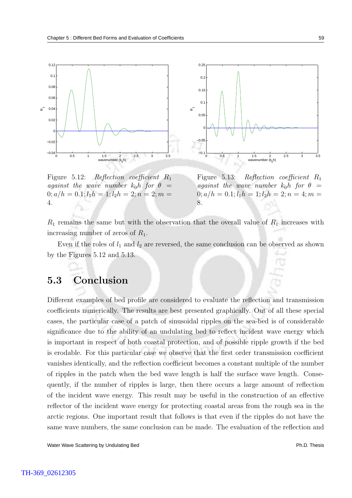



Figure 5.12: Reflection coefficient  $R_1$ against the wave number  $k_0 h$  for  $\theta =$  $0; a/h = 0.1; l_1h = 1; l_2h = 2; n = 2; m =$ 4.

Figure 5.13: Reflection coefficient  $R_1$ against the wave number  $k_0 h$  for  $\theta =$  $0; a/h = 0.1; l_1h = 1; l_2h = 2; n = 4; m =$ 8.

 $R_1$  remains the same but with the observation that the overall value of  $R_1$  increases with increasing number of zeros of  $R_1$ .

Even if the roles of  $l_1$  and  $l_2$  are reversed, the same conclusion can be observed as shown by the Figures 5.12 and 5.13.

## 5.3 Conclusion

Different examples of bed profile are considered to evaluate the reflection and transmission coefficients numerically. The results are best presented graphically. Out of all these special cases, the particular case of a patch of sinusoidal ripples on the sea-bed is of considerable significance due to the ability of an undulating bed to reflect incident wave energy which is important in respect of both coastal protection, and of possible ripple growth if the bed is erodable. For this particular case we observe that the first order transmission coefficient vanishes identically, and the reflection coefficient becomes a constant multiple of the number of ripples in the patch when the bed wave length is half the surface wave length. Consequently, if the number of ripples is large, then there occurs a large amount of reflection of the incident wave energy. This result may be useful in the construction of an effective reflector of the incident wave energy for protecting coastal areas from the rough sea in the arctic regions. One important result that follows is that even if the ripples do not have the same wave numbers, the same conclusion can be made. The evaluation of the reflection and

Water Wave Scattering by Undulating Bed Ph.D. Thesis and Ph.D. Thesis and Ph.D. Thesis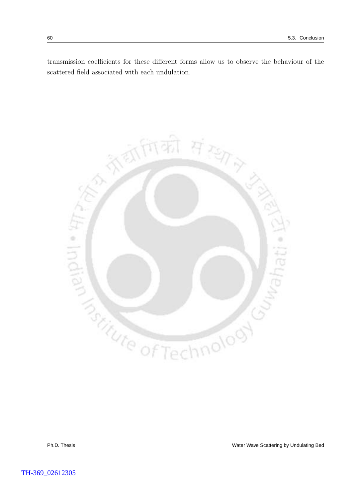transmission coefficients for these different forms allow us to observe the behaviour of the scattered field associated with each undulation.



Ph.D. Thesis **Ph.D.** Thesis **Example 20** and the United States of Water Wave Scattering by Undulating Bed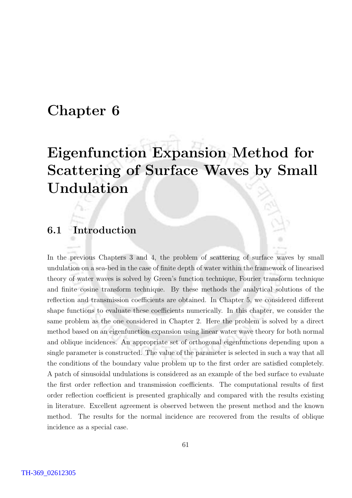# Chapter 6

# Eigenfunction Expansion Method for Scattering of Surface Waves by Small Undulation

## 6.1 Introduction

In the previous Chapters 3 and 4, the problem of scattering of surface waves by small undulation on a sea-bed in the case of finite depth of water within the framework of linearised theory of water waves is solved by Green's function technique, Fourier transform technique and finite cosine transform technique. By these methods the analytical solutions of the reflection and transmission coefficients are obtained. In Chapter 5, we considered different shape functions to evaluate these coefficients numerically. In this chapter, we consider the same problem as the one considered in Chapter 2. Here the problem is solved by a direct method based on an eigenfunction expansion using linear water wave theory for both normal and oblique incidences. An appropriate set of orthogonal eigenfunctions depending upon a single parameter is constructed. The value of the parameter is selected in such a way that all the conditions of the boundary value problem up to the first order are satisfied completely. A patch of sinusoidal undulations is considered as an example of the bed surface to evaluate the first order reflection and transmission coefficients. The computational results of first order reflection coefficient is presented graphically and compared with the results existing in literature. Excellent agreement is observed between the present method and the known method. The results for the normal incidence are recovered from the results of oblique incidence as a special case.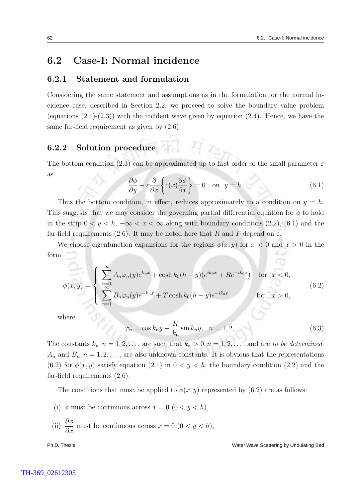### 6.2 Case-I: Normal incidence

#### 6.2.1 Statement and formulation

Considering the same statement and assumptions as in the formulation for the normal incidence case, described in Section 2.2, we proceed to solve the boundary value problem (equations  $(2.1)-(2.3)$ ) with the incident wave given by equation  $(2.4)$ . Hence, we have the same far-field requirement as given by (2.6).

## 6.2.2 Solution procedure

The bottom condition (2.3) can be approximated up to first order of the small parameter  $\varepsilon$ as

$$
\frac{\partial \phi}{\partial y} - \varepsilon \frac{\partial}{\partial x} \left\{ c(x) \frac{\partial \phi}{\partial x} \right\} = 0 \quad \text{on} \quad y = h. \tag{6.1}
$$

Thus the bottom condition, in effect, reduces approximately to a condition on  $y = h$ . This suggests that we may consider the governing partial differential equation for  $\phi$  to hold in the strip  $0 < y < h$ ,  $-\infty < x < \infty$  along with boundary conditions (2.2), (6.1) and the far-field requirements (2.6). It may be noted here that R and T depend on  $\varepsilon$ .

We choose eigenfunction expansions for the regions  $\phi(x, y)$  for  $x < 0$  and  $x > 0$  in the form

$$
\phi(x,y) = \begin{cases} \sum_{n=1}^{\infty} A_n \varphi_n(y) e^{k_n x} + \cosh k_0 (h-y) (e^{ik_0 x} + R e^{-ik_0 x}) & \text{for } x < 0, \\ \sum_{n=1}^{\infty} B_n \varphi_n(y) e^{-k_n x} + T \cosh k_0 (h-y) e^{-ik_0 x} & \text{for } x > 0, \end{cases}
$$
(6.2)

where

$$
\varphi_n = \cos k_n y - \frac{K}{k_n} \sin k_n y, \quad n = 1, 2, \dots
$$
\n(6.3)

The constants  $k_n$ ,  $n = 1, 2, \ldots$ , are such that  $k_n > 0, n = 1, 2, \ldots$ , and are to be determined.  $A_n$  and  $B_n$ ,  $n = 1, 2, \ldots$ , are also unknown constants. It is obvious that the representations (6.2) for  $\phi(x, y)$  satisfy equation (2.1) in  $0 < y < h$ , the boundary condition (2.2) and the far-field requirements (2.6).

The conditions that must be applied to  $\phi(x, y)$  represented by (6.2) are as follows:

- (i)  $\phi$  must be continuous across  $x = 0$   $(0 \lt y \lt h)$ ,
- (ii)  $\frac{\partial \phi}{\partial x}$  $\frac{\partial \varphi}{\partial x}$  must be continuous across  $x = 0$   $(0 < y < h),$

#### Ph.D. Thesis Water Wave Scattering by Undulating Bed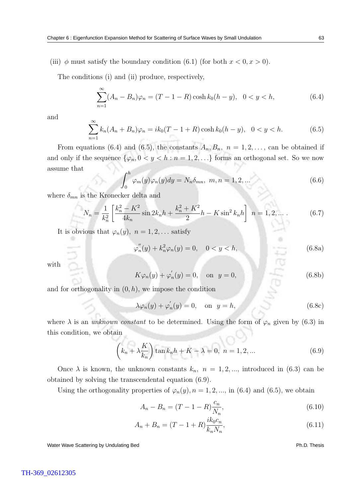(iii)  $\phi$  must satisfy the boundary condition (6.1) (for both  $x < 0, x > 0$ ).

The conditions (i) and (ii) produce, respectively,

$$
\sum_{n=1}^{\infty} (A_n - B_n)\varphi_n = (T - 1 - R)\cosh k_0(h - y), \quad 0 < y < h,\tag{6.4}
$$

and

$$
\sum_{n=1}^{\infty} k_n (A_n + B_n)\varphi_n = ik_0 (T - 1 + R) \cosh k_0 (h - y), \quad 0 < y < h. \tag{6.5}
$$

From equations (6.4) and (6.5), the constants  $A_n, B_n, n = 1, 2, \ldots$ , can be obtained if and only if the sequence  $\{\varphi_n, 0 \lt y \lt h : n = 1, 2, \ldots\}$  forms an orthogonal set. So we now assume that  $h$ 

$$
\int_0^n \varphi_m(y)\varphi_n(y)dy = N_n\delta_{mn}, \ m, n = 1, 2, \dots \tag{6.6}
$$

where  $\delta_{mn}$  is the Kronecker delta and

$$
N_n = \frac{1}{k_n^2} \left[ \frac{k_n^2 - K^2}{4k_n} \sin 2k_n h + \frac{k_n^2 + K^2}{2} h - K \sin^2 k_n h \right] \ n = 1, 2, \dots \tag{6.7}
$$

It is obvious that  $\varphi_n(y)$ ,  $n = 1, 2, \ldots$  satisfy

$$
\varphi_n''(y) + k_n^2 \varphi_n(y) = 0, \quad 0 < y < h,\tag{6.8a}
$$

with

$$
K\varphi_n(y) + \varphi'_n(y) = 0, \quad \text{on } y = 0,
$$
\n(6.8b)

and for orthogonality in  $(0, h)$ , we impose the condition

$$
\lambda \varphi_n(y) + \varphi'_n(y) = 0, \quad \text{on} \quad y = h,
$$
\n(6.8c)

where  $\lambda$  is an unknown constant to be determined. Using the form of  $\varphi_n$  given by (6.3) in this condition, we obtain

$$
\left(k_n + \lambda \frac{K}{k_n}\right) \tan k_n h + K - \lambda = 0, \ n = 1, 2, ...
$$
 (6.9)

Once  $\lambda$  is known, the unknown constants  $k_n$ ,  $n = 1, 2, \dots$ , introduced in (6.3) can be obtained by solving the transcendental equation (6.9).

Using the orthogonality properties of  $\varphi_n(y)$ ,  $n = 1, 2, \dots$ , in (6.4) and (6.5), we obtain

$$
A_n - B_n = (T - 1 - R)\frac{c_n}{N_n},
$$
\n(6.10)

$$
A_n + B_n = (T - 1 + R) \frac{i k_0 c_n}{k_n N_n},
$$
\n(6.11)

Water Wave Scattering by Undulating Bed Ph.D. Thesis and Ph.D. Thesis and Ph.D. Thesis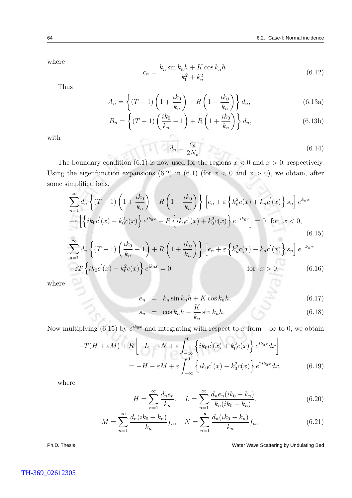where

$$
c_n = \frac{k_n \sin k_n h + K \cos k_n h}{k_0^2 + k_n^2}.
$$
\n(6.12)

Thus

$$
A_n = \left\{ (T-1) \left( 1 + \frac{ik_0}{k_n} \right) - R \left( 1 - \frac{ik_0}{k_n} \right) \right\} d_n,
$$
\n(6.13a)

$$
B_n = \left\{ (T-1) \left( \frac{ik_0}{k_n} - 1 \right) + R \left( 1 + \frac{ik_0}{k_n} \right) \right\} d_n, \tag{6.13b}
$$

with

$$
d_n = \frac{c_n}{2N_n}.\tag{6.14}
$$

The boundary condition (6.1) is now used for the regions  $x < 0$  and  $x > 0$ , respectively. Using the eigenfunction expansions (6.2) in (6.1) (for  $x < 0$  and  $x > 0$ ), we obtain, after some simplifications,

$$
\sum_{n=1}^{\infty} d_n \left\{ (T-1) \left( 1 + \frac{ik_0}{k_n} \right) - R \left( 1 - \frac{ik_0}{k_n} \right) \right\} \left[ e_n + \varepsilon \left\{ k_n^2 c(x) + k_n c'(x) \right\} s_n \right] e^{k_n x}
$$
  
+
$$
\varepsilon \left[ \left\{ ik_0 c'(x) - k_0^2 c(x) \right\} e^{ik_0 x} - R \left\{ ik_0 c'(x) + k_0^2 c(x) \right\} e^{-ik_0 x} \right] = 0 \text{ for } x < 0,
$$
  

$$
\sum_{n=1}^{\infty} d_n \left\{ (T-1) \left( \frac{ik_0}{k_n} - 1 \right) + R \left( 1 + \frac{ik_0}{k_n} \right) \right\} \left[ e_n + \varepsilon \left\{ k_n^2 c(x) - k_n c'(x) \right\} s_n \right] e^{-k_n x}
$$
  

$$
-\varepsilon T \left\{ ik_0 c'(x) - k_0^2 c(x) \right\} e^{ik_0 x} = 0 \qquad \text{for } x > 0,
$$
  
(6.16)

where

$$
e_n = k_n \sin k_n h + K \cos k_n h,\tag{6.17}
$$

$$
s_n = \cos k_n h - \frac{K}{k_n} \sin k_n h. \tag{6.18}
$$

Now multiplying (6.15) by  $e^{ik_0x}$  and integrating with respect to x from  $-\infty$  to 0, we obtain

$$
-T(H+\varepsilon M) + R\left[-L - \varepsilon N + \varepsilon \int_{-\infty}^{0} \left\{ik_0c'(x) + k_0^2c(x)\right\}e^{ik_0x}dx\right]
$$
  
= 
$$
-H - \varepsilon M + \varepsilon \int_{-\infty}^{0} \left\{ik_0c'(x) - k_0^2c(x)\right\}e^{2ik_0x}dx,
$$
(6.19)

where

$$
H = \sum_{n=1}^{\infty} \frac{d_n e_n}{k_n}, \quad L = \sum_{n=1}^{\infty} \frac{d_n e_n (ik_0 - k_n)}{k_n (ik_0 + k_n)},
$$
(6.20)

$$
M = \sum_{n=1}^{\infty} \frac{d_n(i k_0 + k_n)}{k_n} f_n, \quad N = \sum_{n=1}^{\infty} \frac{d_n(i k_0 - k_n)}{k_n} f_n,
$$
(6.21)

Ph.D. Thesis **Ph.D.** Thesis **Example 20** and the United States of Water Wave Scattering by Undulating Bed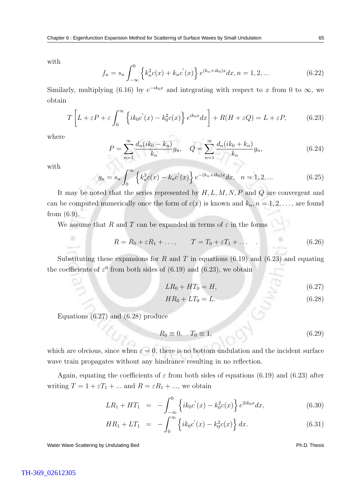with

$$
f_n = s_n \int_{-\infty}^0 \left\{ k_n^2 c(x) + k_n c'(x) \right\} e^{(k_n + ik_0)x} dx, n = 1, 2, \dots
$$
 (6.22)

Similarly, multiplying (6.16) by  $e^{-ik_0x}$  and integrating with respect to x from 0 to  $\infty$ , we obtain

$$
T\left[L+\varepsilon P+\varepsilon\int_0^\infty\left\{ik_0c'(x)-k_0^2c(x)\right\}e^{ik_0x}dx\right]+R(H+\varepsilon Q)=L+\varepsilon P,\tag{6.23}
$$

where

$$
P = \sum_{n=1}^{\infty} \frac{d_n(ik_0 - k_n)}{k_n} g_n, \quad Q = \sum_{n=1}^{\infty} \frac{d_n(ik_0 + k_n)}{k_n} g_n,
$$
(6.24)

with

$$
g_n = s_n \int_0^\infty \left\{ k_n^2 c(x) - k_n c'(x) \right\} e^{-(k_n + ik_0)x} dx, \quad n = 1, 2, \dots \tag{6.25}
$$

It may be noted that the series represented by  $H, L, M, N, P$  and  $Q$  are convergent and can be computed numerically once the form of  $c(x)$  is known and  $k_n$ ,  $n = 1, 2, \ldots$ , are found from  $(6.9)$ .

We assume that R and T can be expanded in terms of  $\varepsilon$  in the forms

$$
R = R_0 + \varepsilon R_1 + \dots, \qquad T = T_0 + \varepsilon T_1 + \dots \qquad (6.26)
$$

Substituting these expansions for R and T in equations  $(6.19)$  and  $(6.23)$  and equating the coefficients of  $\varepsilon^0$  from both sides of (6.19) and (6.23), we obtain

$$
LR_0 + HT_0 = H,\t\t(6.27)
$$

$$
HR_0 + LT_0 = L.\t\t(6.28)
$$

Equations (6.27) and (6.28) produce

$$
R_0 \equiv 0, \quad T_0 \equiv 1,\tag{6.29}
$$

which are obvious, since when  $\varepsilon = 0$ , there is no bottom undulation and the incident surface wave train propagates without any hindrance resulting in no reflection.

Again, equating the coefficients of  $\varepsilon$  from both sides of equations (6.19) and (6.23) after writing  $T = 1 + \varepsilon T_1 + \dots$  and  $R = \varepsilon R_1 + \dots$ , we obtain

$$
LR_1 + HT_1 = -\int_{-\infty}^0 \left\{ ik_0 c'(x) - k_0^2 c(x) \right\} e^{2ik_0 x} dx, \tag{6.30}
$$

$$
HR_1 + LT_1 = -\int_0^\infty \left\{ ik_0 c'(x) - k_0^2 c(x) \right\} dx.
$$
 (6.31)

Water Wave Scattering by Undulating Bed Ph.D. Thesis and Ph.D. Thesis and Ph.D. Thesis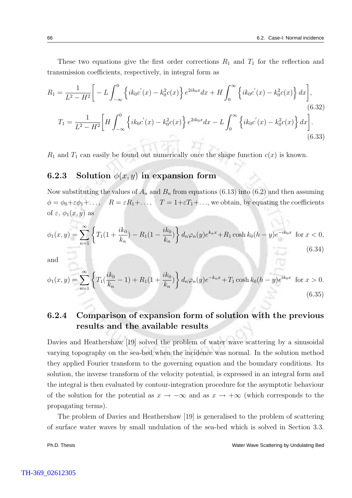These two equations give the first order corrections  $R_1$  and  $T_1$  for the reflection and transmission coefficients, respectively, in integral form as

$$
R_1 = \frac{1}{L^2 - H^2} \bigg[ -L \int_{-\infty}^0 \left\{ i k_0 c'(x) - k_0^2 c(x) \right\} e^{2ik_0 x} dx + H \int_0^\infty \left\{ i k_0 c'(x) - k_0^2 c(x) \right\} dx \bigg],
$$
\n
$$
T_1 = \frac{1}{L^2 - H^2} \bigg[ H \int_{-\infty}^0 \left\{ i k_0 c'(x) - k_0^2 c(x) \right\} e^{2ik_0 x} dx - L \int_0^\infty \left\{ i k_0 c'(x) - k_0^2 c(x) \right\} dx \bigg].
$$
\n(6.32)\n
$$
(6.33)
$$

 $R_1$  and  $T_1$  can easily be found out numerically once the shape function  $c(x)$  is known.

#### 6.2.3 Solution  $\phi(x, y)$  in expansion form

Now substituting the values of  $A_n$  and  $B_n$  from equations (6.13) into (6.2) and then assuming  $\phi = \phi_0 + \varepsilon \phi_1 + \dots$ ,  $R = \varepsilon R_1 + \dots$ ,  $T = 1 + \varepsilon T_1 + \dots$ , we obtain, by equating the coefficients of  $\varepsilon,$   $\phi_1(x,y)$  as

$$
\phi_1(x,y) = \sum_{n=1}^{\infty} \left\{ T_1(1 + \frac{ik_0}{k_n}) - R_1(1 - \frac{ik_0}{k_n}) \right\} d_n \varphi_n(y) e^{k_n x} + R_1 \cosh k_0 (h - y) e^{-ik_0 x} \text{ for } x < 0,
$$
\n(6.34)

and

$$
\phi_1(x,y) = \sum_{n=1}^{\infty} \left\{ T_1(\frac{ik_0}{k_n} - 1) + R_1(1 + \frac{ik_0}{k_n}) \right\} d_n \varphi_n(y) e^{-k_n x} + T_1 \cosh k_0 (h - y) e^{ik_0 x} \text{ for } x > 0.
$$
\n(6.35)

### 6.2.4 Comparison of expansion form of solution with the previous results and the available results

Davies and Heathershaw [19] solved the problem of water wave scattering by a sinusoidal varying topography on the sea-bed when the incidence was normal. In the solution method they applied Fourier transform to the governing equation and the boundary conditions. Its solution, the inverse transform of the velocity potential, is expressed in an integral form and the integral is then evaluated by contour-integration procedure for the asymptotic behaviour of the solution for the potential as  $x \to -\infty$  and as  $x \to +\infty$  (which corresponds to the propagating terms).

The problem of Davies and Heathershaw [19] is generalised to the problem of scattering of surface water waves by small undulation of the sea-bed which is solved in Section 3.3.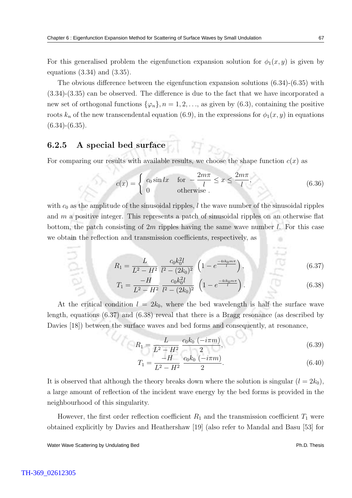For this generalised problem the eigenfunction expansion solution for  $\phi_1(x, y)$  is given by equations (3.34) and (3.35).

The obvious difference between the eigenfunction expansion solutions (6.34)-(6.35) with (3.34)-(3.35) can be observed. The difference is due to the fact that we have incorporated a new set of orthogonal functions  $\{\varphi_n\}, n = 1, 2, \ldots$ , as given by (6.3), containing the positive roots  $k_n$  of the new transcendental equation (6.9), in the expressions for  $\phi_1(x, y)$  in equations  $(6.34)$ - $(6.35)$ .

## 6.2.5 A special bed surface

For comparing our results with available results, we choose the shape function  $c(x)$  as

$$
c(x) = \begin{cases} c_0 \sin lx & \text{for } -\frac{2m\pi}{l} \le x \le \frac{2m\pi}{l}, \\ 0 & \text{otherwise.} \end{cases} \tag{6.36}
$$

with  $c_0$  as the amplitude of the sinusoidal ripples, l the wave number of the sinusoidal ripples and  $m$  a positive integer. This represents a patch of sinusoidal ripples on an otherwise flat bottom, the patch consisting of  $2m$  ripples having the same wave number l. For this case we obtain the reflection and transmission coefficients, respectively, as

$$
R_1 = \frac{L}{L^2 - H^2} \frac{c_0 k_0^2 l}{l^2 - (2k_0)^2} \left(1 - e^{\frac{-4ik_0 m \pi}{l}}\right),\tag{6.37}
$$

$$
T_1 = \frac{-H}{L^2 - H^2} \frac{c_0 k_0^2 l}{l^2 - (2k_0)^2} \left(1 - e^{\frac{-4ik_0 m \pi}{l}}\right).
$$
 (6.38)

At the critical condition  $l = 2k_0$ , where the bed wavelength is half the surface wave length, equations (6.37) and (6.38) reveal that there is a Bragg resonance (as described by Davies [18]) between the surface waves and bed forms and consequently, at resonance,

$$
R_1 = \frac{L}{L^2 - H^2} \frac{c_0 k_0 \ (-i\pi m)}{2},\tag{6.39}
$$

$$
T_1 = \frac{-H}{L^2 - H^2} \frac{c_0 k_0 \ (-i\pi m)}{2}.
$$
\n(6.40)

It is observed that although the theory breaks down where the solution is singular  $(l = 2k_0)$ , a large amount of reflection of the incident wave energy by the bed forms is provided in the neighbourhood of this singularity.

However, the first order reflection coefficient  $R_1$  and the transmission coefficient  $T_1$  were obtained explicitly by Davies and Heathershaw [19] (also refer to Mandal and Basu [53] for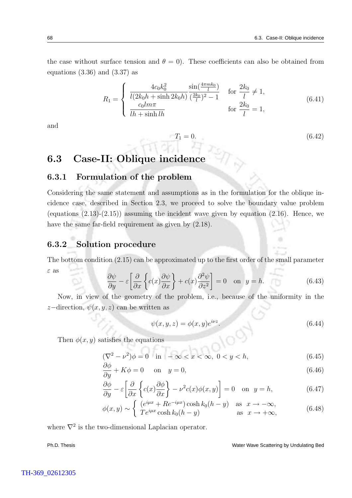the case without surface tension and  $\theta = 0$ . These coefficients can also be obtained from equations  $(3.36)$  and  $(3.37)$  as

$$
R_1 = \begin{cases} \frac{4c_0k_0^2}{l(2k_0h + \sinh 2k_0h)} \frac{\sin(\frac{4\pi mk_0}{l})}{(\frac{2k_0}{l})^2 - 1} & \text{for } \frac{2k_0}{l} \neq 1, \\ \frac{c_0lm\pi}{lh + \sinh lh} & \text{for } \frac{2k_0}{l} = 1, \end{cases}
$$
(6.41)

and

 $T_1 = 0.$  (6.42)

# 6.3 Case-II: Oblique incidence

#### 6.3.1 Formulation of the problem

Considering the same statement and assumptions as in the formulation for the oblique incidence case, described in Section 2.3, we proceed to solve the boundary value problem (equations  $(2.13)-(2.15)$ ) assuming the incident wave given by equation  $(2.16)$ . Hence, we have the same far-field requirement as given by  $(2.18)$ .

## 6.3.2 Solution procedure

The bottom condition (2.15) can be approximated up to the first order of the small parameter ε as ·  $\overline{a}$ 

$$
\frac{\partial \psi}{\partial y} - \varepsilon \left[ \frac{\partial}{\partial x} \left\{ c(x) \frac{\partial \psi}{\partial x} \right\} + c(x) \frac{\partial^2 \psi}{\partial z^2} \right] = 0 \quad \text{on} \quad y = h. \tag{6.43}
$$

Now, in view of the geometry of the problem, i.e., because of the uniformity in the z-direction,  $\psi(x, y, z)$  can be written as

$$
\psi(x, y, z) = \phi(x, y)e^{i\nu z}.\tag{6.44}
$$

Then  $\phi(x, y)$  satisfies the equations

$$
(\nabla^2 - \nu^2)\phi = 0 \quad \text{in} \quad -\infty < x < \infty, \ 0 < y < h,\tag{6.45}
$$

$$
\frac{\partial \phi}{\partial y} + K\phi = 0 \quad \text{on} \quad y = 0,
$$
\n(6.46)

$$
\frac{\partial \phi}{\partial y} - \varepsilon \left[ \frac{\partial}{\partial x} \left\{ c(x) \frac{\partial \phi}{\partial x} \right\} - \nu^2 c(x) \phi(x, y) \right] = 0 \quad \text{on} \quad y = h,
$$
\n(6.47)

$$
\phi(x,y) \sim \begin{cases}\n(e^{i\mu x} + Re^{-i\mu x})\cosh k_0(h-y) & \text{as } x \to -\infty, \\
Te^{i\mu x}\cosh k_0(h-y) & \text{as } x \to +\infty,\n\end{cases}
$$
\n(6.48)

where  $\nabla^2$  is the two-dimensional Laplacian operator.

Ph.D. Thesis Water Wave Scattering by Undulating Bed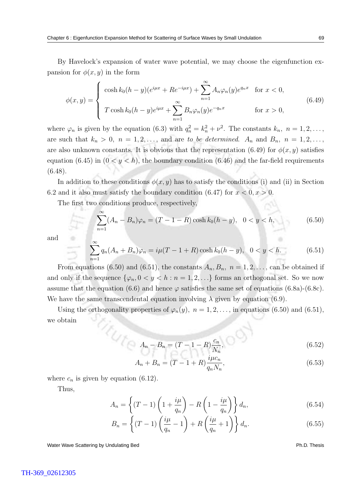By Havelock's expansion of water wave potential, we may choose the eigenfunction expansion for  $\phi(x, y)$  in the form

$$
\phi(x,y) = \begin{cases}\n\cosh k_0 (h-y) (e^{i\mu x} + R e^{-i\mu x}) + \sum_{n=1}^{\infty} A_n \varphi_n(y) e^{q_n x} & \text{for } x < 0, \\
T \cosh k_0 (h-y) e^{i\mu x} + \sum_{n=1}^{\infty} B_n \varphi_n(y) e^{-q_n x} & \text{for } x > 0,\n\end{cases}
$$
\n(6.49)

where  $\varphi_n$  is given by the equation (6.3) with  $q_n^2 = k_n^2 + \nu^2$ . The constants  $k_n$ ,  $n = 1, 2, \ldots$ , are such that  $k_n > 0$ ,  $n = 1, 2, \ldots$ , and are to be determined.  $A_n$  and  $B_n$ ,  $n = 1, 2, \ldots$ , are also unknown constants. It is obvious that the representation (6.49) for  $\phi(x, y)$  satisfies equation (6.45) in  $(0 < y < h)$ , the boundary condition (6.46) and the far-field requirements (6.48).

In addition to these conditions  $\phi(x, y)$  has to satisfy the conditions (i) and (ii) in Section 6.2 and it also must satisfy the boundary condition  $(6.47)$  for  $x < 0, x > 0$ .

The first two conditions produce, respectively,

$$
\sum_{n=1}^{\infty} (A_n - B_n)\varphi_n = (T - 1 - R)\cosh k_0(h - y), \quad 0 < y < h,\tag{6.50}
$$

and

$$
\sum_{n=1}^{\infty} q_n (A_n + B_n) \varphi_n = i\mu (T - 1 + R) \cosh k_0 (h - y), \quad 0 < y < h. \tag{6.51}
$$

From equations (6.50) and (6.51), the constants  $A_n, B_n, n = 1, 2, \ldots$ , can be obtained if and only if the sequence  $\{\varphi_n, 0 \lt y \lt h : n = 1, 2, \ldots\}$  forms an orthogonal set. So we now assume that the equation (6.6) and hence  $\varphi$  satisfies the same set of equations (6.8a)-(6.8c). We have the same transcendental equation involving  $\lambda$  given by equation (6.9).

Using the orthogonality properties of  $\varphi_n(y)$ ,  $n = 1, 2, \ldots$ , in equations (6.50) and (6.51), we obtain **TUTe** 

$$
A_n - B_n = (T - 1 - R)\frac{c_n}{N_n},
$$
\n(6.52)

$$
A_n + B_n = (T - 1 + R) \frac{i\mu c_n}{q_n N_n},
$$
\n(6.53)

where  $c_n$  is given by equation (6.12).

Thus,

$$
A_n = \left\{ (T-1) \left( 1 + \frac{i\mu}{q_n} \right) - R \left( 1 - \frac{i\mu}{q_n} \right) \right\} d_n,
$$
\n(6.54)

$$
B_n = \left\{ (T-1) \left( \frac{i\mu}{q_n} - 1 \right) + R \left( \frac{i\mu}{q_n} + 1 \right) \right\} d_n.
$$
 (6.55)

Water Wave Scattering by Undulating Bed Ph.D. Thesis and Ph.D. Thesis and Ph.D. Thesis

a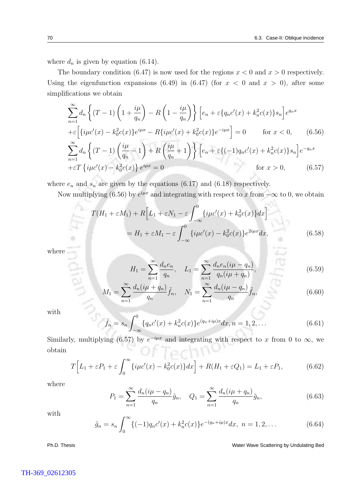where  $d_n$  is given by equation (6.14).

The boundary condition (6.47) is now used for the regions  $x < 0$  and  $x > 0$  respectively. Using the eigenfunction expansions (6.49) in (6.47) (for  $x < 0$  and  $x > 0$ ), after some simplifications we obtain

$$
\sum_{n=1}^{\infty} d_n \left\{ (T-1) \left( 1 + \frac{i\mu}{q_n} \right) - R \left( 1 - \frac{i\mu}{q_n} \right) \right\} \left[ e_n + \varepsilon \{ q_n c'(x) + k_n^2 c(x) \} s_n \right] e^{q_n x}
$$
  
+
$$
\varepsilon \left[ \{ i\mu c'(x) - k_0^2 c(x) \} e^{i\mu x} - R \{ i\mu c'(x) + k_0^2 c(x) \} e^{-i\mu x} \right] = 0 \quad \text{for } x < 0, \quad (6.56)
$$
  

$$
\sum_{n=1}^{\infty} d_n \left\{ (T-1) \left( \frac{i\mu}{q_n} - 1 \right) + R \left( \frac{i\mu}{q_n} + 1 \right) \right\} \left[ e_n + \varepsilon \{ (-1) q_n c'(x) + k_n^2 c(x) \} s_n \right] e^{-q_n x}
$$
  
+
$$
\varepsilon T \left\{ i\mu c'(x) - k_0^2 c(x) \right\} e^{i\mu x} = 0 \quad \text{for } x > 0, \quad (6.57)
$$

where  $e_n$  and  $s_n$  are given by the equations (6.17) and (6.18) respectively.

Now multiplying (6.56) by  $e^{i\mu x}$  and integrating with respect to x from  $-\infty$  to 0, we obtain

$$
T(H_1 + \varepsilon M_1) + R\Big[L_1 + \varepsilon N_1 - \varepsilon \int_{-\infty}^0 \{i\mu c'(x) + k_0^2 c(x)\} dx\Big]
$$
  
=  $H_1 + \varepsilon M_1 - \varepsilon \int_{-\infty}^0 \{i\mu c'(x) - k_0^2 c(x)\} e^{2i\mu x} dx,$  (6.58)

where

$$
H_1 = \sum_{n=1}^{\infty} \frac{d_n e_n}{q_n}, \quad L_1 = \sum_{n=1}^{\infty} \frac{d_n e_n (i\mu - q_n)}{q_n (i\mu + q_n)},
$$
(6.59)

$$
M_1 = \sum_{n=1}^{\infty} \frac{d_n(i\mu + q_n)}{q_n} \tilde{f}_n, \quad N_1 = \sum_{n=1}^{\infty} \frac{d_n(i\mu - q_n)}{q_n} \tilde{f}_n,
$$
\n(6.60)

with

$$
\tilde{f}_n = s_n \int_{-\infty}^0 \{q_n c'(x) + k_n^2 c(x)\} e^{(q_n + i\mu)x} dx, n = 1, 2, \dots
$$
\n(6.61)

Similarly, multiplying (6.57) by  $e^{-i\mu x}$  and integrating with respect to x from 0 to  $\infty$ , we obtain

$$
T\Big[L_1 + \varepsilon P_1 + \varepsilon \int_0^\infty \{i\mu c'(x) - k_0^2 c(x)\} dx\Big] + R(H_1 + \varepsilon Q_1) = L_1 + \varepsilon P_1,\tag{6.62}
$$

where

$$
P_1 = \sum_{n=1}^{\infty} \frac{d_n(i\mu - q_n)}{q_n} \tilde{g}_n, \quad Q_1 = \sum_{n=1}^{\infty} \frac{d_n(i\mu + q_n)}{q_n} \tilde{g}_n,
$$
(6.63)

with

$$
\tilde{g}_n = s_n \int_0^\infty \{ (-1) q_n c'(x) + k_n^2 c(x) \} e^{-(q_n + i\mu)x} dx, \ n = 1, 2, \dots \tag{6.64}
$$

Ph.D. Thesis Water Wave Scattering by Undulating Bed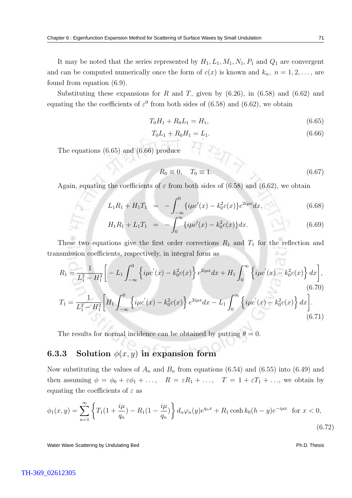It may be noted that the series represented by  $H_1, L_1, M_1, N_1, P_1$  and  $Q_1$  are convergent and can be computed numerically once the form of  $c(x)$  is known and  $k_n$ ,  $n = 1, 2, \ldots$ , are found from equation (6.9).

Substituting these expansions for R and T, given by  $(6.26)$ , in  $(6.58)$  and  $(6.62)$  and equating the the coefficients of  $\varepsilon^0$  from both sides of (6.58) and (6.62), we obtain

$$
T_0H_1 + R_0L_1 = H_1,\t\t(6.65)
$$

$$
T_0 L_1 + R_0 H_1 = L_1. \tag{6.66}
$$

The equations (6.65) and (6.66) produce

$$
R_0 \equiv 0, \quad T_0 \equiv 1. \tag{6.67}
$$

Again, equating the coefficients of  $\varepsilon$  from both sides of (6.58) and (6.62), we obtain

$$
L_1R_1 + H_1T_1 = -\int_{-\infty}^0 \{i\mu c'(x) - k_0^2 c(x)\} e^{2i\mu x} dx, \tag{6.68}
$$

$$
H_1R_1 + L_1T_1 = -\int_0^\infty \{i\mu c'(x) - k_0^2 c(x)\} dx.
$$
 (6.69)

These two equations give the first order corrections  $R_1$  and  $T_1$  for the reflection and transmission coefficients, respectively, in integral form as

$$
R_{1} = \frac{1}{L_{1}^{2} - H_{1}^{2}} \bigg[ -L_{1} \int_{-\infty}^{0} \left\{ i\mu c'(x) - k_{0}^{2} c(x) \right\} e^{2i\mu x} dx + H_{1} \int_{0}^{\infty} \left\{ i\mu c'(x) - k_{0}^{2} c(x) \right\} dx \bigg],
$$
\n(6.70)\n
$$
T_{1} = \frac{1}{L_{1}^{2} - H_{1}^{2}} \bigg[ H_{1} \int_{-\infty}^{0} \left\{ i\mu c'(x) - k_{0}^{2} c(x) \right\} e^{2i\mu x} dx - L_{1} \int_{0}^{\infty} \left\{ i\mu c'(x) - k_{0}^{2} c(x) \right\} dx \bigg].
$$
\n(6.71)

The results for normal incidence can be obtained by putting  $\theta = 0$ .

### 6.3.3 Solution  $\phi(x, y)$  in expansion form

Now substituting the values of  $A_n$  and  $B_n$  from equations (6.54) and (6.55) into (6.49) and then assuming  $\phi = \phi_0 + \varepsilon \phi_1 + \ldots$ ,  $R = \varepsilon R_1 + \ldots$ ,  $T = 1 + \varepsilon T_1 + \ldots$ , we obtain by equating the coefficients of  $\varepsilon$  as

$$
\phi_1(x,y) = \sum_{n=1}^{\infty} \left\{ T_1(1 + \frac{i\mu}{q_n}) - R_1(1 - \frac{i\mu}{q_n}) \right\} d_n \varphi_n(y) e^{q_n x} + R_1 \cosh k_0 (h - y) e^{-i\mu x} \text{ for } x < 0,
$$
\n(6.72)

Water Wave Scattering by Undulating Bed **Ph.D.** Thesis and Ph.D. Thesis and Ph.D. Thesis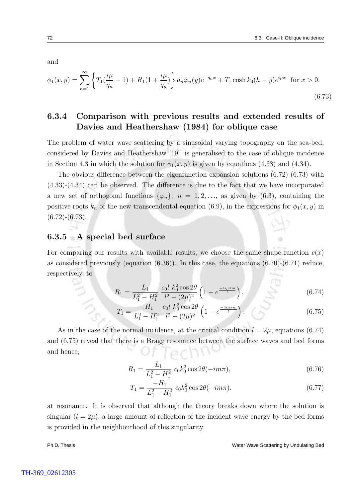and

$$
\phi_1(x,y) = \sum_{n=1}^{\infty} \left\{ T_1(\frac{i\mu}{q_n} - 1) + R_1(1 + \frac{i\mu}{q_n}) \right\} d_n \varphi_n(y) e^{-q_n x} + T_1 \cosh k_0 (h - y) e^{i\mu x} \text{ for } x > 0.
$$
\n(6.73)

### 6.3.4 Comparison with previous results and extended results of Davies and Heathershaw (1984) for oblique case

The problem of water wave scattering by a sinusoidal varying topography on the sea-bed, considered by Davies and Heathershaw [19], is generalised to the case of oblique incidence in Section 4.3 in which the solution for  $\phi_1(x, y)$  is given by equations (4.33) and (4.34).

The obvious difference between the eigenfunction expansion solutions (6.72)-(6.73) with (4.33)-(4.34) can be observed. The difference is due to the fact that we have incorporated a new set of orthogonal functions  $\{\varphi_n\}, n = 1, 2, \ldots$ , as given by (6.3), containing the positive roots  $k_n$  of the new transcendental equation (6.9), in the expressions for  $\phi_1(x, y)$  in  $(6.72)-(6.73)$ .

#### 6.3.5 A special bed surface

For comparing our results with available results, we choose the same shape function  $c(x)$ as considered previously (equation (6.36)). In this case, the equations (6.70)-(6.71) reduce, respectively, to

$$
R_1 = \frac{L_1}{L_1^2 - H_1^2} \frac{c_0 l \ k_0^2 \cos 2\theta}{l^2 - (2\mu)^2} \left(1 - e^{\frac{-4i\mu \pi m}{l}}\right),\tag{6.74}
$$

$$
T_1 = \frac{-H_1}{L_1^2 - H_1^2} \frac{c_0 l \ k_0^2 \cos 2\theta}{l^2 - (2\mu)^2} \left(1 - e^{\frac{-4i\mu \pi m}{l}}\right). \tag{6.75}
$$

As in the case of the normal incidence, at the critical condition  $l = 2\mu$ , equations (6.74) and (6.75) reveal that there is a Bragg resonance between the surface waves and bed forms and hence,

$$
R_1 = \frac{L_1}{L_1^2 - H_1^2} c_0 k_0^2 \cos 2\theta(-im\pi),
$$
\n(6.76)

$$
T_1 = \frac{-H_1}{L_1^2 - H_1^2} c_0 k_0^2 \cos 2\theta(-im\pi).
$$
 (6.77)

at resonance. It is observed that although the theory breaks down where the solution is singular  $(l = 2\mu)$ , a large amount of reflection of the incident wave energy by the bed forms is provided in the neighbourhood of this singularity.

Ph.D. Thesis Water Wave Scattering by Undulating Bed

m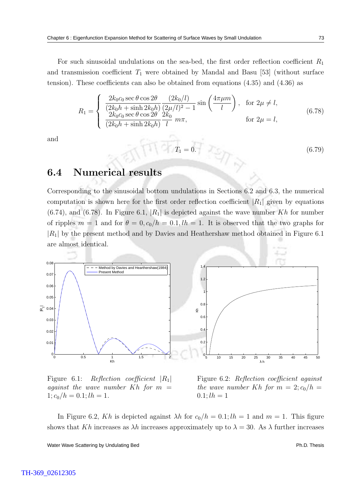For such sinusoidal undulations on the sea-bed, the first order reflection coefficient  $R_1$ and transmission coefficient  $T_1$  were obtained by Mandal and Basu [53] (without surface tension). These coefficients can also be obtained from equations (4.35) and (4.36) as

$$
R_1 = \begin{cases} \frac{2k_0c_0 \sec \theta \cos 2\theta}{(2k_0h + \sinh 2k_0h)} \frac{(2k_0/l)}{(2\mu/l)^2 - 1} \sin\left(\frac{4\pi\mu m}{l}\right), & \text{for } 2\mu \neq l, \\ \frac{2k_0c_0 \sec \theta \cos 2\theta}{(2k_0h + \sinh 2k_0h)} \frac{2k_0}{l} m\pi, & \text{for } 2\mu = l, \end{cases}
$$
(6.78)

and

$$
T_1 = 0.\tag{6.79}
$$

## 6.4 Numerical results

Corresponding to the sinusoidal bottom undulations in Sections 6.2 and 6.3, the numerical computation is shown here for the first order reflection coefficient  $|R_1|$  given by equations  $(6.74)$ , and  $(6.78)$ . In Figure 6.1,  $|R_1|$  is depicted against the wave number Kh for number of ripples  $m = 1$  and for  $\theta = 0, c_0/h = 0.1, lh = 1$ . It is observed that the two graphs for  $|R_1|$  by the present method and by Davies and Heathershaw method obtained in Figure 6.1 are almost identical.



Figure 6.1: Reflection coefficient  $|R_1|$ against the wave number  $Kh$  for  $m =$  $1; c_0/h = 0.1; lh = 1.$ 

Figure 6.2: Reflection coefficient against the wave number Kh for  $m = 2$ ;  $c_0/h =$  $0.1; lh = 1$ 

In Figure 6.2, Kh is depicted against  $\lambda h$  for  $c_0/h = 0.1$ ;  $lh = 1$  and  $m = 1$ . This figure shows that Kh increases as  $\lambda h$  increases approximately up to  $\lambda = 30$ . As  $\lambda$  further increases

Water Wave Scattering by Undulating Bed Ph.D. Thesis and Ph.D. Thesis and Ph.D. Thesis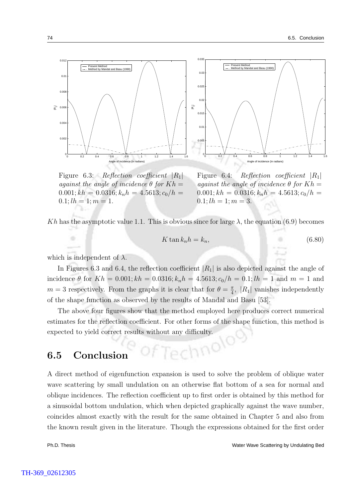

Figure 6.3: Reflection coefficient  $|R_1|$ against the angle of incidence  $\theta$  for  $Kh =$  $0.001; kh = 0.0316; k_n h = 4.5613; c_0/h =$  $0.1; lh = 1; m = 1.$ 

Figure 6.4: Reflection coefficient  $|R_1|$ against the angle of incidence  $\theta$  for  $Kh =$  $0.001; kh = 0.0316; k_nh = 4.5613; c_0/h =$  $0.1; lh = 1; m = 3.$ 

Kh has the asymptotic value 1.1. This is obvious since for large  $\lambda$ , the equation (6.9) becomes

$$
K \tan k_n h = k_n,\tag{6.80}
$$

which is independent of  $\lambda$ .

In Figures 6.3 and 6.4, the reflection coefficient  $|R_1|$  is also depicted against the angle of incidence  $\theta$  for  $Kh = 0.001; kh = 0.0316; k_n h = 4.5613; c_0/h = 0.1; lh = 1$  and  $m = 1$  and  $m = 3$  respectively. From the graphs it is clear that for  $\theta = \frac{\pi}{4}$  $\frac{\pi}{4}$ , |R<sub>1</sub>| vanishes independently of the shape function as observed by the results of Mandal and Basu [53].

The above four figures show that the method employed here produces correct numerical estimates for the reflection coefficient. For other forms of the shape function, this method is expected to yield correct results without any difficulty.

Techno

## 6.5 Conclusion

A direct method of eigenfunction expansion is used to solve the problem of oblique water wave scattering by small undulation on an otherwise flat bottom of a sea for normal and oblique incidences. The reflection coefficient up to first order is obtained by this method for a sinusoidal bottom undulation, which when depicted graphically against the wave number, coincides almost exactly with the result for the same obtained in Chapter 5 and also from the known result given in the literature. Though the expressions obtained for the first order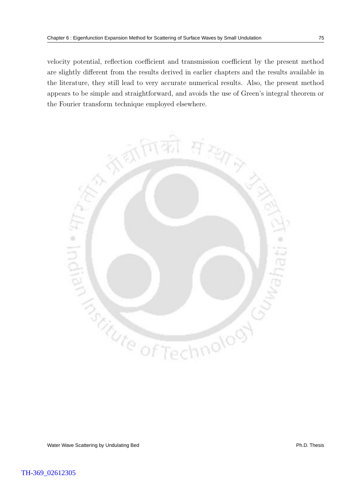velocity potential, reflection coefficient and transmission coefficient by the present method are slightly different from the results derived in earlier chapters and the results available in the literature, they still lead to very accurate numerical results. Also, the present method appears to be simple and straightforward, and avoids the use of Green's integral theorem or the Fourier transform technique employed elsewhere.

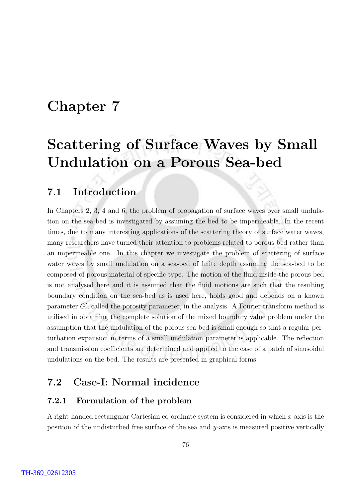# Chapter 7

# Scattering of Surface Waves by Small Undulation on a Porous Sea-bed

## 7.1 Introduction

In Chapters 2, 3, 4 and 6, the problem of propagation of surface waves over small undulation on the sea-bed is investigated by assuming the bed to be impermeable. In the recent times, due to many interesting applications of the scattering theory of surface water waves, many researchers have turned their attention to problems related to porous bed rather than an impermeable one. In this chapter we investigate the problem of scattering of surface water waves by small undulation on a sea-bed of finite depth assuming the sea-bed to be composed of porous material of specific type. The motion of the fluid inside the porous bed is not analysed here and it is assumed that the fluid motions are such that the resulting boundary condition on the sea-bed as is used here, holds good and depends on a known parameter  $G'$ , called the porosity parameter, in the analysis. A Fourier transform method is utilised in obtaining the complete solution of the mixed boundary value problem under the assumption that the undulation of the porous sea-bed is small enough so that a regular perturbation expansion in terms of a small undulation parameter is applicable. The reflection and transmission coefficients are determined and applied to the case of a patch of sinusoidal undulations on the bed. The results are presented in graphical forms.

## 7.2 Case-I: Normal incidence

#### 7.2.1 Formulation of the problem

A right-handed rectangular Cartesian co-ordinate system is considered in which  $x$ -axis is the position of the undisturbed free surface of the sea and  $y$ -axis is measured positive vertically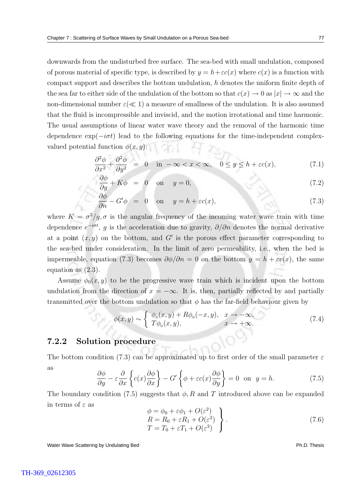downwards from the undisturbed free surface. The sea-bed with small undulation, composed of porous material of specific type, is described by  $y = h + \varepsilon c(x)$  where  $c(x)$  is a function with compact support and describes the bottom undulation, h denotes the uniform finite depth of the sea far to either side of the undulation of the bottom so that  $c(x) \to 0$  as  $|x| \to \infty$  and the non-dimensional number  $\varepsilon(\ll 1)$  a measure of smallness of the undulation. It is also assumed that the fluid is incompressible and inviscid, and the motion irrotational and time harmonic. The usual assumptions of linear water wave theory and the removal of the harmonic time dependence  $\exp(-i\sigma t)$  lead to the following equations for the time-independent complexvalued potential function  $\phi(x, y)$ :

$$
\frac{\partial^2 \phi}{\partial x^2} + \frac{\partial^2 \phi}{\partial y^2} = 0 \quad \text{in } -\infty < x < \infty, \quad 0 \le y \le h + \varepsilon c(x), \tag{7.1}
$$

$$
\frac{\partial \phi}{\partial y} + K\phi = 0 \quad \text{on} \quad y = 0,\tag{7.2}
$$

$$
\frac{\partial \phi}{\partial n} - G' \phi = 0 \quad \text{on} \quad y = h + \varepsilon c(x), \tag{7.3}
$$

where  $K = \sigma^2/g$ ,  $\sigma$  is the angular frequency of the incoming water wave train with time dependence  $e^{-i\sigma t}$ , g is the acceleration due to gravity,  $\partial/\partial n$  denotes the normal derivative at a point  $(x, y)$  on the bottom, and G' is the porous effect parameter corresponding to the sea-bed under consideration. In the limit of zero permeability, i.e., when the bed is impermeable, equation (7.3) becomes  $\partial \phi / \partial n = 0$  on the bottom  $y = h + \varepsilon c(x)$ , the same equation as (2.3).

Assume  $\phi_0(x, y)$  to be the progressive wave train which is incident upon the bottom undulation from the direction of  $x = -\infty$ . It is, then, partially reflected by and partially transmitted over the bottom undulation so that  $\phi$  has the far-field behaviour given by

$$
\phi(x,y) \sim \begin{cases} \phi_0(x,y) + R\phi_0(-x,y), & x \to -\infty, \\ T\phi_0(x,y), & x \to +\infty. \end{cases}
$$
\n(7.4)

#### 7.2.2 Solution procedure

The bottom condition (7.3) can be approximated up to first order of the small parameter  $\varepsilon$ as ½

$$
\frac{\partial \phi}{\partial y} - \varepsilon \frac{\partial}{\partial x} \left\{ c(x) \frac{\partial \phi}{\partial x} \right\} - G' \left\{ \phi + \varepsilon c(x) \frac{\partial \phi}{\partial y} \right\} = 0 \text{ on } y = h. \tag{7.5}
$$

The boundary condition (7.5) suggests that  $\phi$ , R and T introduced above can be expanded in terms of  $\varepsilon$  as  $\mathbf{r}$ 

$$
\begin{aligned}\n\phi &= \phi_0 + \varepsilon \phi_1 + O(\varepsilon^2) \\
R &= R_0 + \varepsilon R_1 + O(\varepsilon^2) \\
T &= T_0 + \varepsilon T_1 + O(\varepsilon^2)\n\end{aligned}
$$
\n(7.6)

Water Wave Scattering by Undulating Bed Ph.D. Thesis and Ph.D. Thesis and Ph.D. Thesis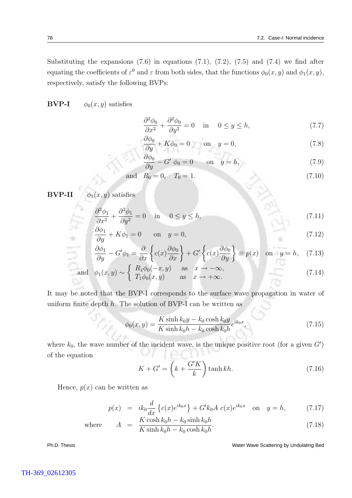Substituting the expansions  $(7.6)$  in equations  $(7.1)$ ,  $(7.2)$ ,  $(7.5)$  and  $(7.4)$  we find after equating the coefficients of  $\varepsilon^0$  and  $\varepsilon$  from both sides, that the functions  $\phi_0(x, y)$  and  $\phi_1(x, y)$ , respectively, satisfy the following BVPs:

**BVP-I**  $\phi_0(x, y)$  satisfies

$$
\frac{\partial^2 \phi_0}{\partial x^2} + \frac{\partial^2 \phi_0}{\partial y^2} = 0 \quad \text{in} \quad 0 \le y \le h,
$$
\n(7.7)

$$
\frac{\partial \phi_0}{\partial y} + K\phi_0 = 0 \qquad \text{on} \quad y = 0,\tag{7.8}
$$

$$
\frac{\partial \phi_0}{\partial y} - G' \phi_0 = 0 \qquad \text{on} \quad y = h,\tag{7.9}
$$

and 
$$
R_0 = 0
$$
,  $T_0 = 1$ . (7.10)

**BVP-II**  $\phi_1(x, y)$  satisfies

$$
\frac{\partial^2 \phi_1}{\partial x^2} + \frac{\partial^2 \phi_1}{\partial y^2} = 0 \quad \text{in} \quad 0 \le y \le h,
$$
\n(7.11)

$$
\frac{\partial \phi_1}{\partial y} + K\phi_1 = 0 \quad \text{on} \quad y = 0,
$$
\n(7.12)

$$
\frac{\partial \phi_1}{\partial y} - G' \phi_1 = \frac{\partial}{\partial x} \left\{ c(x) \frac{\partial \phi_0}{\partial x} \right\} + G' \left\{ c(x) \frac{\partial \phi_0}{\partial y} \right\} \equiv p(x) \quad \text{on} \quad y = h, \quad (7.13)
$$

and 
$$
\phi_1(x, y) \sim \begin{cases} R_1 \phi_0(-x, y) & \text{as } x \to -\infty, \\ T_1 \phi_0(x, y) & \text{as } x \to +\infty. \end{cases}
$$
 (7.14)

It may be noted that the BVP-I corresponds to the surface wave propagation in water of uniform finite depth  $h$ . The solution of BVP-I can be written as

$$
\phi_0(x, y) = \frac{K \sinh k_0 y - k_0 \cosh k_0 y}{K \sinh k_0 h - k_0 \cosh k_0 h} e^{ik_0 x},
$$
\n(7.15)

where  $k_0$ , the wave number of the incident wave, is the unique positive root (for a given  $G'$ ) of the equation

$$
K + G' = \left(k + \frac{G'K}{k}\right)\tanh kh.
$$
\n(7.16)

Hence,  $p(x)$  can be written as

$$
p(x) = ik_0 \frac{d}{dx} \{c(x)e^{ik_0x}\} + G'k_0A \ c(x)e^{ik_0x} \quad \text{on} \quad y = h,
$$
 (7.17)

where 
$$
A = \frac{K \cosh k_0 h - k_0 \sinh k_0 h}{K \sinh k_0 h - k_0 \cosh k_0 h}.
$$
 (7.18)

Ph.D. Thesis Water Wave Scattering by Undulating Bed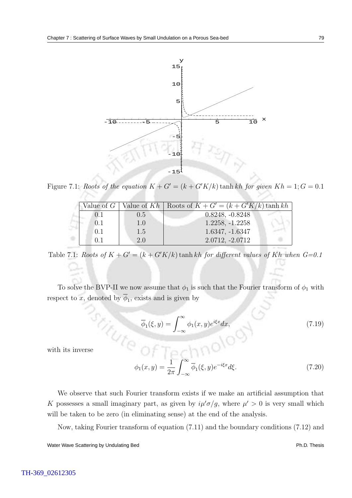

Figure 7.1: Roots of the equation  $K + G' = (k + G'K/k) \tanh kh$  for given  $Kh = 1; G = 0.1$ 

|                  |               | Value of G   Value of Kh   Roots of $K + G' = (k + G'K/k) \tanh kh$ |
|------------------|---------------|---------------------------------------------------------------------|
| (0.1)            | $0.5^{\circ}$ | $0.8248, -0.8248$                                                   |
| 0.1              | 1.0           | $1.2258, -1.2258$                                                   |
| $\overline{0.1}$ | 1.5           | $1.6347, -1.6347$                                                   |
| 0.1              | 2.0           | $2.0712, -2.0712$                                                   |

Table 7.1: Roots of  $K + G' = (k + G'K/k)$  tanh kh for different values of Kh when  $G=0.1$ 

To solve the BVP-II we now assume that  $\phi_1$  is such that the Fourier transform of  $\phi_1$  with respect to x, denoted by  $\overline{\phi}_1$ , exists and is given by

$$
\overline{\phi}_1(\xi, y) = \int_{-\infty}^{\infty} \phi_1(x, y) e^{i\xi x} dx,
$$
\n(7.19)

with its inverse

$$
\phi_1(x,y) = \frac{1}{2\pi} \int_{-\infty}^{\infty} \overline{\phi}_1(\xi, y) e^{-i\xi x} d\xi.
$$
 (7.20)

We observe that such Fourier transform exists if we make an artificial assumption that K possesses a small imaginary part, as given by  $i\mu/\sigma/g$ , where  $\mu' > 0$  is very small which will be taken to be zero (in eliminating sense) at the end of the analysis.

Now, taking Fourier transform of equation (7.11) and the boundary conditions (7.12) and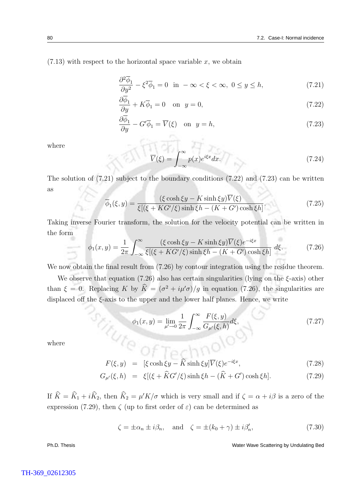$(7.13)$  with respect to the horizontal space variable x, we obtain

$$
\frac{\partial^2 \overline{\phi}_1}{\partial y^2} - \xi^2 \overline{\phi}_1 = 0 \quad \text{in } -\infty < \xi < \infty, \ 0 \le y \le h,\tag{7.21}
$$

$$
\frac{\partial \overline{\phi}_1}{\partial y} + K \overline{\phi}_1 = 0 \quad \text{on} \quad y = 0,\tag{7.22}
$$

$$
\frac{\partial \overline{\phi}_1}{\partial y} - G' \overline{\phi}_1 = \overline{V}(\xi) \quad \text{on} \quad y = h,\tag{7.23}
$$

where

$$
\overline{V}(\xi) = \int_{-\infty}^{\infty} p(x)e^{i\xi x} dx.
$$
\n(7.24)

The solution of (7.21) subject to the boundary conditions (7.22) and (7.23) can be written as

$$
\overline{\phi}_1(\xi, y) = \frac{(\xi \cosh \xi y - K \sinh \xi y) \overline{V}(\xi)}{\xi[(\xi + KG'/\xi) \sinh \xi h - (K + G') \cosh \xi h]}.
$$
(7.25)

Taking inverse Fourier transform, the solution for the velocity potential can be written in the form

$$
\phi_1(x,y) = \frac{1}{2\pi} \int_{-\infty}^{\infty} \frac{(\xi \cosh \xi y - K \sinh \xi y) \overline{V}(\xi) e^{-i\xi x}}{\xi[(\xi + KG'/\xi) \sinh \xi h - (K + G') \cosh \xi h]} d\xi.
$$
 (7.26)

We now obtain the final result from  $(7.26)$  by contour integration using the residue theorem.

We observe that equation (7.26) also has certain singularities (lying on the  $\xi$ -axis) other than  $\xi = 0$ . Replacing K by  $\hat{K} = (\sigma^2 + i\mu'\sigma)/g$  in equation (7.26), the singularities are displaced off the  $\xi$ -axis to the upper and the lower half planes. Hence, we write

$$
\phi_1(x, y) = \lim_{\mu' \to 0} \frac{1}{2\pi} \int_{-\infty}^{\infty} \frac{F(\xi, y)}{G_{\mu'}(\xi, h)} d\xi,
$$
\n(7.27)

where

 $F(\xi, y) = [\xi \cosh \xi y - \widehat{K} \sinh \xi y]$  $-i\xi x$  $(7.28)$ 

$$
G_{\mu'}(\xi, h) = \xi[(\xi + \widehat{K}G'/\xi)\sinh \xi h - (\widehat{K} + G')\cosh \xi h].
$$
 (7.29)

If  $\widehat{K} = \widehat{K}_1 + i\widehat{K}_2$ , then  $\widehat{K}_2 = \mu'K/\sigma$  which is very small and if  $\zeta = \alpha + i\beta$  is a zero of the expression (7.29), then  $\zeta$  (up to first order of  $\varepsilon$ ) can be determined as

$$
\zeta = \pm \alpha_n \pm i\beta_n, \quad \text{and} \quad \zeta = \pm (k_0 + \gamma) \pm i\beta_n', \tag{7.30}
$$

Ph.D. Thesis Water Wave Scattering by Undulating Bed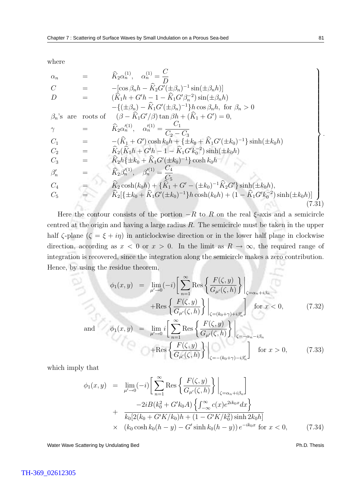where

$$
\alpha_n = \hat{K}_2 \alpha_n^{(1)}, \quad \alpha_n^{(1)} = \frac{C}{D}
$$
\n
$$
C = -[\cos \beta_n h - \hat{K}_2 G'(\pm \beta_n)^{-1} \sin(\pm \beta_n h)]
$$
\n
$$
D = (\hat{K}_1 h + G'h - 1 - \hat{K}_1 G' \beta_n^{-2}) \sin(\pm \beta_n h)
$$
\n
$$
-(\{\pm \beta_n\} - \hat{K}_1 G'(\pm \beta_n)^{-1}\} h \cos \beta_n h, \text{ for } \beta_n > 0
$$
\n
$$
\beta_n \text{'s are roots of } (\beta - \hat{K}_1 G'/\beta) \tan \beta h + (\hat{K}_1 + G') = 0,
$$
\n
$$
\gamma = \hat{K}_2 \alpha_n^{(1)}, \quad \alpha_n^{(1)} = \frac{C_1}{C_2 - C_3}
$$
\n
$$
C_1 = -(\hat{K}_1 + G') \cosh k_0 h + \{\pm k_0 + \hat{K}_1 G'(\pm k_0)^{-1}\} \sinh(\pm k_0 h)
$$
\n
$$
C_2 = \hat{K}_2 (\hat{K}_1 h + G'h - 1 - \hat{K}_1 G' \kappa_0^{-2}) \sinh(\pm k_0 h)
$$
\n
$$
C_3 = \hat{K}_2 h \{\pm k_0 + \hat{K}_1 G'(\pm k_0)^{-1}\} \cosh k_0 h
$$
\n
$$
\beta_n' = \hat{K}_2 \beta_n^{(1)}, \quad \beta_n^{(1)} = \frac{C_4}{C_5}
$$
\n
$$
C_4 = \hat{K}_2 \cosh(k_0 h) + \{\hat{K}_1 + G' - (\pm k_0)^{-1}\hat{K}_2 G'\} \sinh(\pm k_0 h),
$$
\n
$$
C_5 = \hat{K}_2 [\{\pm k_0 + \hat{K}_1 G'(\pm k_0)^{-1}\} h \cosh(k_0 h) + (1 - \hat{K}_1 G' k_0^{-2}) \sinh(\pm k_0 h)] \tag{7.31}
$$

Here the contour consists of the portion  $-R$  to R on the real  $\xi$ -axis and a semicircle centred at the origin and having a large radius  $R$ . The semicircle must be taken in the upper half  $\zeta$ -plane  $(\zeta = \xi + i\eta)$  in anticlockwise direction or in the lower half plane in clockwise direction, according as  $x < 0$  or  $x > 0$ . In the limit as  $R \to \infty$ , the required range of integration is recovered, since the integration along the semicircle makes a zero contribution. Hence, by using the residue theorem,

$$
\phi_1(x, y) = \lim_{\mu' \to 0} (-i) \left[ \sum_{n=1}^{\infty} \text{Res} \left\{ \frac{F(\zeta, y)}{G_{\mu'}(\zeta, h)} \right\} \Big|_{\zeta = \alpha_n + i\beta_n} + \text{Res} \left\{ \frac{F(\zeta, y)}{G_{\mu'}(\zeta, h)} \right\} \Big|_{\zeta = (k_0 + \gamma) + i\beta'_n} \text{for } x < 0, \qquad (7.32)
$$
\n
$$
\text{and} \qquad \phi_1(x, y) = \lim_{\mu' \to 0} i \left[ \sum_{n=1}^{\infty} \text{Res} \left\{ \frac{F(\zeta, y)}{G_{\mu'}(\zeta, h)} \right\} \Big|_{\zeta = -\alpha_n - i\beta_n} + \text{Res} \left\{ \frac{F(\zeta, y)}{G_{\mu'}(\zeta, h)} \right\} \Big|_{\zeta = -(k_0 + \gamma) - i\beta'_n} \text{for } x > 0, \qquad (7.33)
$$

which imply that

$$
\phi_1(x, y) = \lim_{\mu' \to 0} (-i) \left[ \sum_{n=1}^{\infty} \text{Res} \left\{ \frac{F(\zeta, y)}{G_{\mu'}(\zeta, h)} \right\} \Big|_{\zeta = \alpha_n + i\beta_n} \right] \n+ \frac{-2iB(k_0^2 + G'k_0A) \left\{ \int_{-\infty}^{\infty} c(x) e^{2ik_0x} dx \right\}}{k_0[2(k_0 + G'K/k_0)h + (1 - G'K/k_0^2) \sinh 2k_0h]} \n\times (k_0 \cosh k_0(h - y) - G' \sinh k_0(h - y)) e^{-ik_0x} \text{ for } x < 0,
$$
\n(7.34)

Water Wave Scattering by Undulating Bed **Ph.D. Thesis** Ph.D. Thesis

.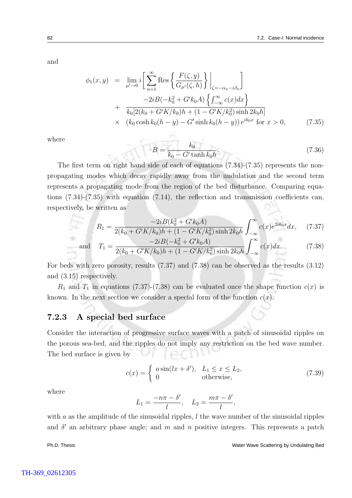and

$$
\phi_1(x, y) = \lim_{\mu' \to 0} i \left[ \sum_{n=1}^{\infty} \text{Res} \left\{ \frac{F(\zeta, y)}{G_{\mu'}(\zeta, h)} \right\} \Big|_{\zeta = -\alpha_n - i\beta_n} \right]
$$
  
+ 
$$
\frac{-2iB(-k_0^2 + G'k_0A) \left\{ \int_{-\infty}^{\infty} c(x) dx \right\}}{k_0 [2(k_0 + G'K/k_0)h + (1 - G'K/k_0^2) \sinh 2k_0 h]}
$$
  
×  $(k_0 \cosh k_0(h - y) - G' \sinh k_0(h - y)) e^{ik_0 x} \text{ for } x > 0,$  (7.35)

where

$$
B = \frac{k_0}{k_0 - G' \tanh k_0 h}.\tag{7.36}
$$

The first term on right hand side of each of equations (7.34)-(7.35) represents the nonpropagating modes which decay rapidly away from the undulation and the second term represents a propagating mode from the region of the bed disturbance. Comparing equations (7.34)-(7.35) with equation (7.14), the reflection and transmission coefficients can, respectively, be written as

六

$$
R_1 = \frac{-2iB(k_0^2 + G'k_0A)}{2(k_0 + G'K/k_0)h + (1 - G'K/k_0^2)\sinh 2k_0h} \int_{-\infty}^{\infty} c(x)e^{2ik_0x}dx,\tag{7.37}
$$

and 
$$
T_1 = \frac{-2iB(-k_0^2 + G'k_0A)}{2(k_0 + G'K/k_0)h + (1 - G'K/k_0^2)\sinh 2k_0h} \int_{-\infty}^{\infty} c(x)dx.
$$
 (7.38)

For beds with zero porosity, results (7.37) and (7.38) can be observed as the results (3.12) and (3.15) respectively.

 $R_1$  and  $T_1$  in equations (7.37)-(7.38) can be evaluated once the shape function  $c(x)$  is known. In the next section we consider a special form of the function  $c(x)$ .

### 7.2.3 A special bed surface

Consider the interaction of progressive surface waves with a patch of sinusoidal ripples on the porous sea-bed, and the ripples do not imply any restriction on the bed wave number. The bed surface is given by

$$
c(x) = \begin{cases} a\sin(lx + \delta'), & L_1 \le x \le L_2, \\ 0 & \text{otherwise,} \end{cases}
$$
 (7.39)

where

$$
L_1 = \frac{-n\pi - \delta'}{l}, \quad L_2 = \frac{m\pi - \delta'}{l},
$$

with  $a$  as the amplitude of the sinusoidal ripples,  $l$  the wave number of the sinusoidal ripples and  $\delta'$  an arbitrary phase angle; and m and n positive integers. This represents a patch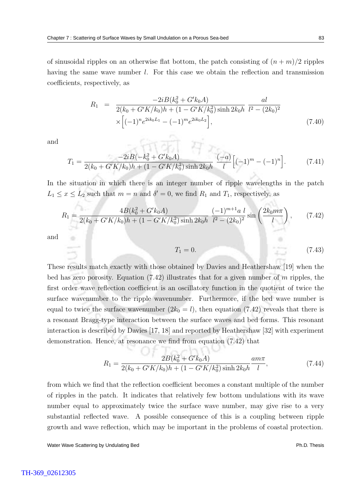of sinusoidal ripples on an otherwise flat bottom, the patch consisting of  $(n + m)/2$  ripples having the same wave number l. For this case we obtain the reflection and transmission coefficients, respectively, as

$$
R_1 = \frac{-2iB(k_0^2 + G'k_0A)}{2(k_0 + G'K/k_0)h + (1 - G'K/k_0^2)\sinh 2k_0h} \frac{al}{l^2 - (2k_0)^2}
$$
  
 
$$
\times \left[ (-1)^n e^{2ik_0L_1} - (-1)^m e^{2ik_0L_2} \right],
$$
 (7.40)

and

$$
T_1 = \frac{-2iB(-k_0^2 + G'k_0A)}{2(k_0 + G'K/k_0)h + (1 - G'K/k_0^2)\sinh 2k_0h} \frac{(-a)}{l} \left[ (-1)^m - (-1)^n \right].
$$
 (7.41)

In the situation in which there is an integer number of ripple wavelengths in the patch  $L_1 \leq x \leq L_2$  such that  $m = n$  and  $\delta' = 0$ , we find  $R_1$  and  $T_1$ , respectively, as

 $Gri$   $\pi r$ <sup>2</sup>

$$
R_1 = \frac{4B(k_0^2 + G'k_0A)}{2(k_0 + G'K/k_0)h + (1 - G'K/k_0^2)\sinh 2k_0h} \frac{(-1)^{m+1}a l}{l^2 - (2k_0)^2} \sin\left(\frac{2k_0m\pi}{l}\right),\tag{7.42}
$$

and

$$
T_1 = 0.\t\t(7.43)
$$

These results match exactly with those obtained by Davies and Heathershaw [19] when the bed has zero porosity. Equation  $(7.42)$  illustrates that for a given number of m ripples, the first order wave reflection coefficient is an oscillatory function in the quotient of twice the surface wavenumber to the ripple wavenumber. Furthermore, if the bed wave number is equal to twice the surface wavenumber  $(2k_0 = l)$ , then equation (7.42) reveals that there is a resonant Bragg-type interaction between the surface waves and bed forms. This resonant interaction is described by Davies [17, 18] and reported by Heathershaw [32] with experiment demonstration. Hence, at resonance we find from equation (7.42) that

Of TachNY

$$
R_1 = \frac{2B(k_0^2 + G'k_0A)}{2(k_0 + G'K/k_0)h + (1 - G'K/k_0^2)\sinh 2k_0h} \frac{am\pi}{l},\tag{7.44}
$$

from which we find that the reflection coefficient becomes a constant multiple of the number of ripples in the patch. It indicates that relatively few bottom undulations with its wave number equal to approximately twice the surface wave number, may give rise to a very substantial reflected wave. A possible consequence of this is a coupling between ripple growth and wave reflection, which may be important in the problems of coastal protection.

Water Wave Scattering by Undulating Bed Ph.D. Thesis and Ph.D. Thesis and Ph.D. Thesis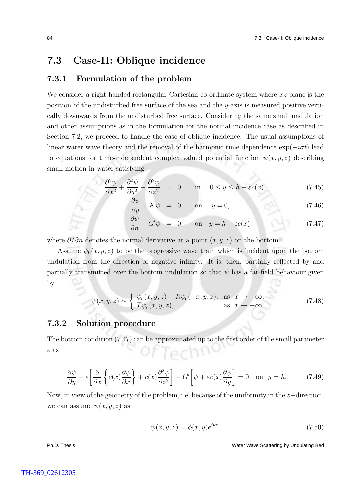## 7.3 Case-II: Oblique incidence

#### 7.3.1 Formulation of the problem

We consider a right-handed rectangular Cartesian co-ordinate system where  $xz$ -plane is the position of the undisturbed free surface of the sea and the y-axis is measured positive vertically downwards from the undisturbed free surface. Considering the same small undulation and other assumptions as in the formulation for the normal incidence case as described in Section 7.2, we proceed to handle the case of oblique incidence. The usual assumptions of linear water wave theory and the removal of the harmonic time dependence  $\exp(-i\sigma t)$  lead to equations for time-independent complex valued potential function  $\psi(x, y, z)$  describing small motion in water satisfying

$$
\frac{\partial^2 \psi}{\partial x^2} + \frac{\partial^2 \psi}{\partial y^2} + \frac{\partial^2 \psi}{\partial z^2} = 0 \quad \text{in} \quad 0 \le y \le h + \varepsilon c(x), \tag{7.45}
$$

$$
\frac{\partial \psi}{\partial y} + K\psi = 0 \quad \text{on} \quad y = 0,\tag{7.46}
$$

$$
\frac{\partial \psi}{\partial n} - G' \psi = 0 \quad \text{on} \quad y = h + \varepsilon c(x), \tag{7.47}
$$

where  $\partial/\partial n$  denotes the normal derivative at a point  $(x, y, z)$  on the bottom.

Assume  $\psi_0(x, y, z)$  to be the progressive wave train which is incident upon the bottom undulation from the direction of negative infinity. It is, then, partially reflected by and partially transmitted over the bottom undulation so that  $\psi$  has a far-field behaviour given by

$$
\psi(x, y, z) \sim \begin{cases} \psi_0(x, y, z) + R\psi_0(-x, y, z), & \text{as } x \to -\infty, \\ T\psi_0(x, y, z), & \text{as } x \to +\infty. \end{cases}
$$
\n(7.48)

#### 7.3.2 Solution procedure

The bottom condition (7.47) can be approximated up to the first order of the small parameter ε as

$$
\frac{\partial \psi}{\partial y} - \varepsilon \left[ \frac{\partial}{\partial x} \left\{ c(x) \frac{\partial \psi}{\partial x} \right\} + c(x) \frac{\partial^2 \psi}{\partial z^2} \right] - G' \left[ \psi + \varepsilon c(x) \frac{\partial \psi}{\partial y} \right] = 0 \quad \text{on} \quad y = h. \tag{7.49}
$$

Now, in view of the geometry of the problem, i.e, because of the uniformity in the z−direction, we can assume  $\psi(x, y, z)$  as

$$
\psi(x, y, z) = \phi(x, y)e^{i\nu z}.\tag{7.50}
$$

Ph.D. Thesis Water Wave Scattering by Undulating Bed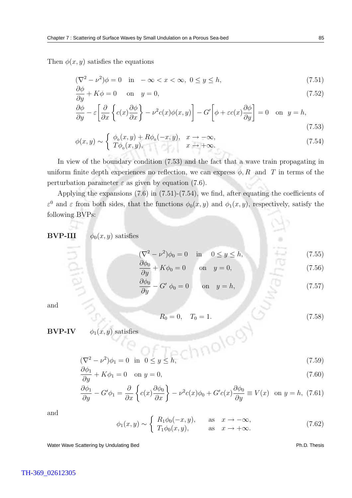Then  $\phi(x, y)$  satisfies the equations

$$
(\nabla^2 - \nu^2)\phi = 0 \quad \text{in} \quad -\infty < x < \infty, \ 0 \le y \le h,\tag{7.51}
$$

$$
\frac{\partial \phi}{\partial y} + K\phi = 0 \quad \text{on} \quad y = 0,\tag{7.52}
$$

$$
\frac{\partial \phi}{\partial y} - \varepsilon \left[ \frac{\partial}{\partial x} \left\{ c(x) \frac{\partial \phi}{\partial x} \right\} - \nu^2 c(x) \phi(x, y) \right] - G' \left[ \phi + \varepsilon c(x) \frac{\partial \phi}{\partial y} \right] = 0 \quad \text{on} \quad y = h,
$$
\n(7.53)

$$
\phi(x,y) \sim \begin{cases} \phi_0(x,y) + R\phi_0(-x,y), & x \to -\infty, \\ T\phi_0(x,y), & x \to +\infty. \end{cases}
$$
\n(7.54)

In view of the boundary condition (7.53) and the fact that a wave train propagating in uniform finite depth experiences no reflection, we can express  $\phi$ , R and T in terms of the perturbation parameter  $\varepsilon$  as given by equation (7.6).

Applying the expansions (7.6) in (7.51)-(7.54), we find, after equating the coefficients of  $\varepsilon^0$  and  $\varepsilon$  from both sides, that the functions  $\phi_0(x, y)$  and  $\phi_1(x, y)$ , respectively, satisfy the following BVPs:

**BVP-III** 
$$
\phi_0(x, y)
$$
 satisfies

$$
(\nabla^2 - \nu^2)\phi_0 = 0 \quad \text{in} \quad 0 \le y \le h,
$$
\n(7.55)

$$
\frac{\partial \phi_0}{\partial y} + K\phi_0 = 0 \qquad \text{on} \quad y = 0,\tag{7.56}
$$

$$
\frac{\partial \phi_0}{\partial y} - G' \phi_0 = 0 \quad \text{on} \quad y = h,\tag{7.57}
$$

and

$$
R_0 = 0, \quad T_0 = 1. \tag{7.58}
$$

**BVP-IV**  $\phi_1(x, y)$  satisfies

$$
(\nabla^2 - \nu^2)\phi_1 = 0 \quad \text{in} \quad 0 \le y \le h,\tag{7.59}
$$

$$
\frac{\partial \phi_1}{\partial y} + K\phi_1 = 0 \quad \text{on } y = 0,\tag{7.60}
$$

$$
\frac{\partial \phi_1}{\partial y} - G' \phi_1 = \frac{\partial}{\partial x} \left\{ c(x) \frac{\partial \phi_0}{\partial x} \right\} - \nu^2 c(x) \phi_0 + G' c(x) \frac{\partial \phi_0}{\partial y} \equiv V(x) \text{ on } y = h, (7.61)
$$

and

$$
\phi_1(x, y) \sim \begin{cases} R_1 \phi_0(-x, y), & \text{as } x \to -\infty, \\ T_1 \phi_0(x, y), & \text{as } x \to +\infty. \end{cases}
$$
 (7.62)

Water Wave Scattering by Undulating Bed **Ph.D. Thesis** Ph.D. Thesis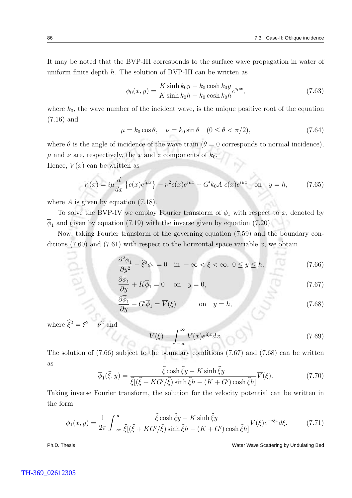It may be noted that the BVP-III corresponds to the surface wave propagation in water of uniform finite depth h. The solution of BVP-III can be written as

$$
\phi_0(x, y) = \frac{K \sinh k_0 y - k_0 \cosh k_0 y}{K \sinh k_0 h - k_0 \cosh k_0 h} e^{i\mu x},
$$
\n(7.63)

where  $k_0$ , the wave number of the incident wave, is the unique positive root of the equation (7.16) and

$$
\mu = k_0 \cos \theta, \quad \nu = k_0 \sin \theta \quad (0 \le \theta < \pi/2), \tag{7.64}
$$

where  $\theta$  is the angle of incidence of the wave train  $(\theta = 0$  corresponds to normal incidence),  $\mu$  and  $\nu$  are, respectively, the x and z components of  $k_0$ .

Hence,  $V(x)$  can be written as

$$
V(x) = i\mu \frac{d}{dx} \left\{ c(x)e^{i\mu x} \right\} - \nu^2 c(x)e^{i\mu x} + G'k_0 A \ c(x)e^{i\mu x} \quad \text{on} \quad y = h,\tag{7.65}
$$

where  $\tilde{A}$  is given by equation  $(7.18)$ .

To solve the BVP-IV we employ Fourier transform of  $\phi_1$  with respect to x, denoted by  $\overline{\phi}_1$  and given by equation (7.19) with the inverse given by equation (7.20).

Now, taking Fourier transform of the governing equation (7.59) and the boundary conditions (7.60) and (7.61) with respect to the horizontal space variable  $x$ , we obtain

$$
\frac{\partial^2 \overline{\phi}_1}{\partial y^2} - \hat{\xi}^2 \overline{\phi}_1 = 0 \quad \text{in } -\infty < \xi < \infty, \ 0 \le y \le h,\tag{7.66}
$$

$$
\frac{\partial \phi_1}{\partial y} + K \overline{\phi}_1 = 0 \quad \text{on} \quad y = 0,\tag{7.67}
$$

$$
\frac{\partial \overline{\phi}_1}{\partial y} - G' \overline{\phi}_1 = \overline{V}(\xi) \qquad \text{on} \quad y = h,\tag{7.68}
$$

where  $\hat{\xi}^2 = \xi^2 + \nu^2$  and

$$
\overline{V}(\xi) = \int_{-\infty}^{\infty} V(x)e^{i\xi x} dx. \tag{7.69}
$$

The solution of (7.66) subject to the boundary conditions (7.67) and (7.68) can be written as

$$
\overline{\phi}_1(\widehat{\xi}, y) = \frac{\widehat{\xi}\cosh\widehat{\xi}y - K\sinh\widehat{\xi}y}{\widehat{\xi}[(\widehat{\xi} + KG'/\widehat{\xi})\sinh\widehat{\xi}h - (K + G')\cosh\widehat{\xi}h]} \overline{V}(\xi).
$$
(7.70)

Taking inverse Fourier transform, the solution for the velocity potential can be written in the form

$$
\phi_1(x,y) = \frac{1}{2\pi} \int_{-\infty}^{\infty} \frac{\widehat{\xi}\cosh\widehat{\xi}y - K\sinh\widehat{\xi}y}{\widehat{\xi}[(\widehat{\xi} + KG'/\widehat{\xi})\sinh\widehat{\xi}h - (K + G')\cosh\widehat{\xi}h]} \overline{V}(\xi)e^{-i\xi x}d\xi.
$$
 (7.71)

Ph.D. Thesis Water Wave Scattering by Undulating Bed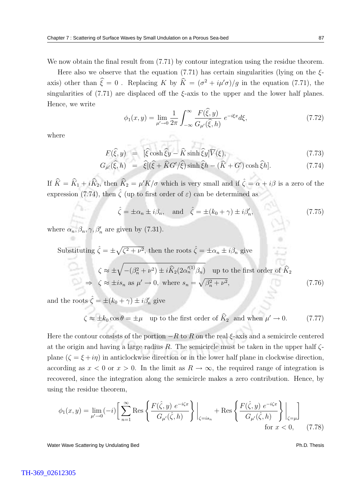We now obtain the final result from  $(7.71)$  by contour integration using the residue theorem.

Here also we observe that the equation (7.71) has certain singularities (lying on the  $\xi$ axis) other than  $\hat{\xi} = 0$ . Replacing K by  $\hat{K} = (\sigma^2 + i\mu'\sigma)/g$  in the equation (7.71), the singularities of  $(7.71)$  are displaced off the  $\xi$ -axis to the upper and the lower half planes. Hence, we write

 $\mathbb{Z}^n$  . The set of  $\mathbb{Z}^n$ 

$$
\phi_1(x, y) = \lim_{\mu' \to 0} \frac{1}{2\pi} \int_{-\infty}^{\infty} \frac{F(\hat{\xi}, y)}{G_{\mu'}(\hat{\xi}, h)} e^{-i\xi x} d\xi,
$$
\n(7.72)

where

$$
F(\hat{\xi}, y) = [\hat{\xi}\cosh \hat{\xi}y - \hat{K}\sinh \hat{\xi}y]\overline{V}(\xi),
$$
\n(7.73)\n
$$
G(\hat{\xi}, b) = \hat{\xi}(\hat{\xi} + \hat{K}C'/\hat{\xi})\sinh \hat{\xi}b(\hat{K} + C')\cosh \hat{\xi}b
$$
\n(7.74)

$$
G_{\mu'}(\hat{\xi},h) = \hat{\xi}[(\hat{\xi} + \hat{K}G'/\hat{\xi})\sinh\hat{\xi}h - (\hat{K} + G')\cosh\hat{\xi}h].
$$
 (7.74)

If  $\hat{K} = \hat{K}_1 + i\hat{K}_2$ , then  $\hat{K}_2 = \mu' K/\sigma$  which is very small and if  $\hat{\zeta} = \alpha + i\beta$  is a zero of the expression (7.74), then  $\hat{\zeta}$  (up to first order of  $\varepsilon$ ) can be determined as

$$
\hat{\zeta} = \pm \alpha_n \pm i\beta_n, \quad \text{and} \quad \hat{\zeta} = \pm (k_0 + \gamma) \pm i\beta_n', \tag{7.75}
$$

 $> 33$ 

where  $\alpha_n, \beta_n, \gamma, \beta'_n$  are given by (7.31).

Substituting  $\hat{\zeta} = \pm \sqrt{\frac{\hat{\zeta}}{n}}$  $\overline{\zeta^2+\nu^2}$ , then the roots  $\hat{\zeta}=\pm\alpha_n\pm i\beta_n$  give

$$
\zeta \approx \pm \sqrt{- (\beta_n^2 + \nu^2) \pm i \hat{K}_2 (2\alpha_n'^{(1)}\beta_n)} \quad \text{up to the first order of } \hat{K}_2
$$
\n
$$
\Rightarrow \quad \zeta \approx \pm i s_n \text{ as } \mu' \to 0, \text{ where } s_n = \sqrt{\beta_n^2 + \nu^2}, \tag{7.76}
$$

and the roots  $\hat{\zeta} = \pm (k_0 + \gamma) \pm i \beta_n'$  give

$$
\zeta \approx \pm k_0 \cos \theta = \pm \mu \quad \text{up to the first order of } \hat{K}_2 \text{ and when } \mu' \to 0. \tag{7.77}
$$

Here the contour consists of the portion  $-R$  to R on the real  $\xi$ -axis and a semicircle centered at the origin and having a large radius R. The semicircle must be taken in the upper half  $\zeta$ plane  $(\zeta = \xi + i\eta)$  in anticlockwise direction or in the lower half plane in clockwise direction, according as  $x < 0$  or  $x > 0$ . In the limit as  $R \to \infty$ , the required range of integration is recovered, since the integration along the semicircle makes a zero contribution. Hence, by using the residue theorem,

$$
\phi_1(x,y) = \lim_{\mu' \to 0} (-i) \left[ \sum_{n=1}^{\infty} \text{Res} \left\{ \frac{F(\hat{\zeta},y) e^{-i\zeta x}}{G_{\mu'}(\hat{\zeta},h)} \right\} \bigg|_{\zeta = i s_n} + \text{Res} \left\{ \frac{F(\hat{\zeta},y) e^{-i\zeta x}}{G_{\mu'}(\hat{\zeta},h)} \right\} \bigg|_{\zeta = \mu} \right]
$$
\nfor  $x < 0$ ,

\n(7.78)

Water Wave Scattering by Undulating Bed Ph.D. Thesis and Ph.D. Thesis and Ph.D. Thesis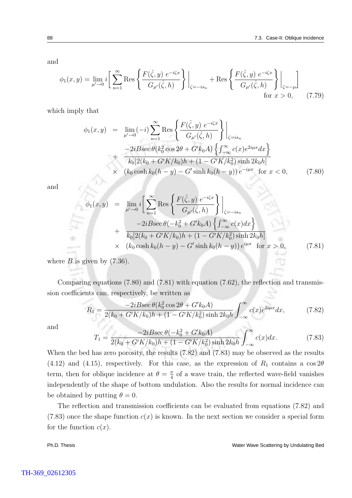and

$$
\phi_1(x,y) = \lim_{\mu' \to 0} i \left[ \sum_{n=1}^{\infty} \text{Res} \left\{ \frac{F(\hat{\zeta},y) e^{-i\zeta x}}{G_{\mu'}(\hat{\zeta},h)} \right\} \Big|_{\zeta = -is_n} + \text{Res} \left\{ \frac{F(\hat{\zeta},y) e^{-i\zeta x}}{G_{\mu'}(\hat{\zeta},h)} \right\} \Big|_{\zeta = -\mu} \right]
$$
\nfor  $x > 0$ ,

\n(7.79)

which imply that

$$
\phi_1(x, y) = \lim_{\mu' \to 0} (-i) \sum_{n=1}^{\infty} \text{Res} \left\{ \frac{F(\hat{\zeta}, y) e^{-i\zeta x}}{G_{\mu'}(\hat{\zeta}, h)} \right\}_{|\zeta = is_n}
$$
  
+ 
$$
-2iB \sec \theta(k_0^2 \cos 2\theta + G'k_0 A) \left\{ \int_{-\infty}^{\infty} c(x) e^{2i\mu x} dx \right\}
$$
  
+ 
$$
\frac{k_0[2(k_0 + G'K/k_0)h + (1 - G'K/k_0^2) \sinh 2k_0 h]}{k_0(\cosh k_0(h - y) - G' \sinh k_0(h - y)) e^{-i\mu x} \text{ for } x < 0, \quad (7.80)
$$

and

$$
\phi_1(x, y) = \lim_{\mu' \to 0} i \left[ \sum_{n=1}^{\infty} \text{Res} \left\{ \frac{F(\hat{\zeta}, y) e^{-i\zeta x}}{G_{\mu'}(\hat{\zeta}, h)} \right\} \Big|_{\zeta = -is_n}
$$
  
+ 
$$
\frac{-2iB \sec \theta(-k_0^2 + G'k_0 A) \left\{ \int_{-\infty}^{\infty} c(x) dx \right\}}{k_0 [2(k_0 + G'K/k_0)h + (1 - G'K/k_0^2) \sinh 2k_0 h]}
$$
  
×  $(k_0 \cosh k_0 (h - y) - G' \sinh k_0 (h - y)) e^{i\mu x} \text{ for } x > 0,$  (7.81)

where  $B$  is given by  $(7.36)$ .

アー

Comparing equations (7.80) and (7.81) with equation (7.62), the reflection and transmission coefficients can, respectively, be written as

$$
R_1 = \frac{-2iB\sec\theta(k_0^2\cos 2\theta + G'k_0A)}{2(k_0 + G'K/k_0)h + (1 - G'K/k_0^2)\sinh 2k_0h} \int_{-\infty}^{\infty} c(x)e^{2i\mu x} dx,
$$
 (7.82)

and

$$
T_1 = \frac{-2iB\sec\theta(-k_0^2 + G'k_0A)}{2(k_0 + G'K/k_0)h + (1 - G'K/k_0^2)\sinh 2k_0h} \int_{-\infty}^{\infty} c(x)dx.
$$
 (7.83)

When the bed has zero porosity, the results (7.82) and (7.83) may be observed as the results (4.12) and (4.15), respectively. For this case, as the expression of  $R_1$  contains a cos  $2\theta$ term, then for oblique incidence at  $\theta = \frac{\pi}{4}$  $\frac{\pi}{4}$  of a wave train, the reflected wave-field vanishes independently of the shape of bottom undulation. Also the results for normal incidence can be obtained by putting  $\theta = 0$ .

The reflection and transmission coefficients can be evaluated from equations (7.82) and  $(7.83)$  once the shape function  $c(x)$  is known. In the next section we consider a special form for the function  $c(x)$ .

#### Ph.D. Thesis Water Wave Scattering by Undulating Bed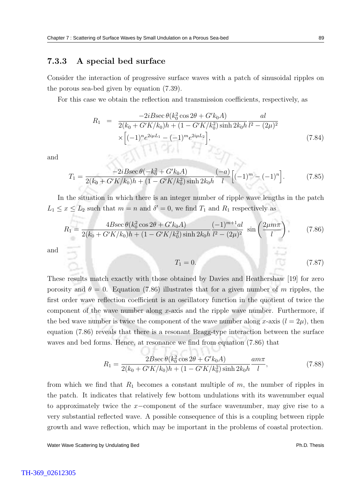#### 7.3.3 A special bed surface

Consider the interaction of progressive surface waves with a patch of sinusoidal ripples on the porous sea-bed given by equation (7.39).

For this case we obtain the reflection and transmission coefficients, respectively, as

$$
R_1 = \frac{-2iB\sec\theta(k_0^2\cos 2\theta + G'k_0A)}{2(k_0 + G'K/k_0)h + (1 - G'K/k_0^2)\sinh 2k_0h} \frac{al}{l^2 - (2\mu)^2}
$$
  
 
$$
\times \left[ (-1)^n e^{2i\mu L_1} - (-1)^m e^{2i\mu L_2} \right],
$$
 (7.84)

and

$$
T_1 = \frac{-2iB\sec\theta(-k_0^2 + G'k_0A)}{2(k_0 + G'K/k_0)h + (1 - G'K/k_0^2)\sinh 2k_0h} \frac{(-a)}{l} \left[ (-1)^m - (-1)^n \right].
$$
 (7.85)

In the situation in which there is an integer number of ripple wave lengths in the patch  $L_1 \leq x \leq L_2$  such that  $m = n$  and  $\delta' = 0$ , we find  $T_1$  and  $R_1$  respectively as

$$
R_1 = \frac{4B\sec\theta(k_0^2\cos 2\theta + G'k_0A)}{2(k_0 + G'K/k_0)h + (1 - G'K/k_0^2)\sinh 2k_0h} \frac{(-1)^{m+1}al}{l^2 - (2\mu)^2} \sin\left(\frac{2\mu m\pi}{l}\right),\tag{7.86}
$$

and

$$
T_1 = 0.\t\t(7.87)
$$

These results match exactly with those obtained by Davies and Heathershaw [19] for zero porosity and  $\theta = 0$ . Equation (7.86) illustrates that for a given number of m ripples, the first order wave reflection coefficient is an oscillatory function in the quotient of twice the component of the wave number along x-axis and the ripple wave number. Furthermore, if the bed wave number is twice the component of the wave number along x-axis  $(l = 2\mu)$ , then equation (7.86) reveals that there is a resonant Bragg-type interaction between the surface waves and bed forms. Hence, at resonance we find from equation (7.86) that

 $O\bar{r}$  Lockin

$$
R_1 = \frac{2B\sec\theta(k_0^2\cos 2\theta + G'k_0A)}{2(k_0 + G'K/k_0)h + (1 - G'K/k_0^2)\sinh 2k_0h} \frac{am\pi}{l},\tag{7.88}
$$

from which we find that  $R_1$  becomes a constant multiple of  $m$ , the number of ripples in the patch. It indicates that relatively few bottom undulations with its wavenumber equal to approximately twice the x−component of the surface wavenumber, may give rise to a very substantial reflected wave. A possible consequence of this is a coupling between ripple growth and wave reflection, which may be important in the problems of coastal protection.

Water Wave Scattering by Undulating Bed Ph.D. Thesis and Ph.D. Thesis and Ph.D. Thesis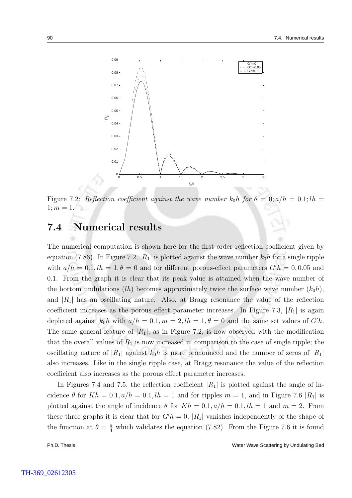

Figure 7.2: Reflection coefficient against the wave number  $k_0h$  for  $\theta = 0; a/h = 0.1; lh =$  $1; m = 1.$ 

## 7.4 Numerical results

The numerical computation is shown here for the first order reflection coefficient given by equation (7.86). In Figure 7.2,  $|R_1|$  is plotted against the wave number  $k_0h$  for a single ripple with  $a/h = 0.1, lh = 1, \theta = 0$  and for different porous-effect parameters  $G'h = 0, 0.05$  and 0.1. From the graph it is clear that its peak value is attained when the wave number of the bottom undulations (lh) becomes approximately twice the surface wave number  $(k_0h)$ , and  $|R_1|$  has an oscillating nature. Also, at Bragg resonance the value of the reflection coefficient increases as the porous effect parameter increases. In Figure 7.3,  $|R_1|$  is again depicted against  $k_0h$  with  $a/h = 0.1, m = 2, lh = 1, \theta = 0$  and the same set values of  $G'h$ . The same general feature of  $|R_1|$ , as in Figure 7.2, is now observed with the modification that the overall values of  $R_1$  is now increased in comparison to the case of single ripple; the oscillating nature of  $|R_1|$  against  $k_0h$  is more pronounced and the number of zeros of  $|R_1|$ also increases. Like in the single ripple case, at Bragg resonance the value of the reflection coefficient also increases as the porous effect parameter increases.

In Figures 7.4 and 7.5, the reflection coefficient  $|R_1|$  is plotted against the angle of incidence  $\theta$  for  $Kh = 0.1, a/h = 0.1, lh = 1$  and for ripples  $m = 1$ , and in Figure 7.6 |R<sub>1</sub>| is plotted against the angle of incidence  $\theta$  for  $Kh = 0.1, a/h = 0.1, lh = 1$  and  $m = 2$ . From these three graphs it is clear that for  $G'h = 0$ ,  $|R_1|$  vanishes independently of the shape of the function at  $\theta = \frac{\pi}{4}$  which validates the equation (7.82). From the Figure 7.6 it is found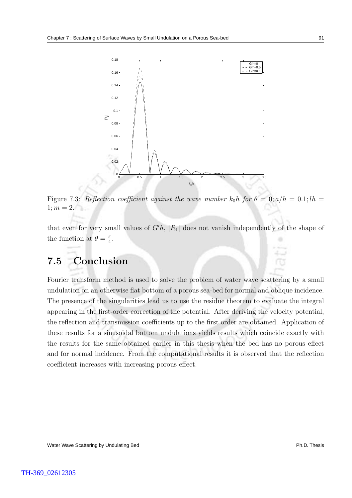

Figure 7.3: Reflection coefficient against the wave number  $k_0h$  for  $\theta = 0; a/h = 0.1; lh =$  $1; m = 2.$ ъc.

that even for very small values of  $G'h$ ,  $|R_1|$  does not vanish independently of the shape of the function at  $\theta = \frac{\pi}{4}$  $\frac{\pi}{4}$ .

# 7.5 Conclusion

Fourier transform method is used to solve the problem of water wave scattering by a small undulation on an otherwise flat bottom of a porous sea-bed for normal and oblique incidence. The presence of the singularities lead us to use the residue theorem to evaluate the integral appearing in the first-order correction of the potential. After deriving the velocity potential, the reflection and transmission coefficients up to the first order are obtained. Application of these results for a sinusoidal bottom undulations yields results which coincide exactly with the results for the same obtained earlier in this thesis when the bed has no porous effect and for normal incidence. From the computational results it is observed that the reflection coefficient increases with increasing porous effect.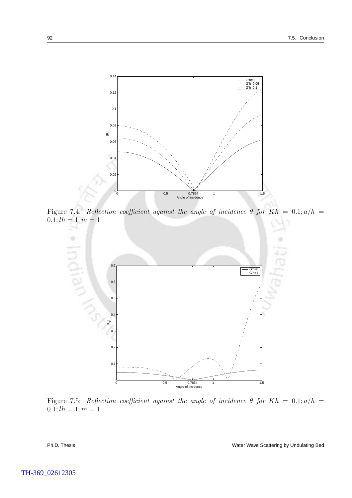

Figure 7.4: Reflection coefficient against the angle of incidence  $\theta$  for  $Kh = 0.1; a/h = 0$  $0.1; lh = 1; m = 1.$ 



Figure 7.5: Reflection coefficient against the angle of incidence  $\theta$  for  $Kh = 0.1; a/h = 0$  $0.1; lh = 1; m = 1.$ 

Ph.D. Thesis **Ph.D.** Thesis **Example 20** and the United States of Water Wave Scattering by Undulating Bed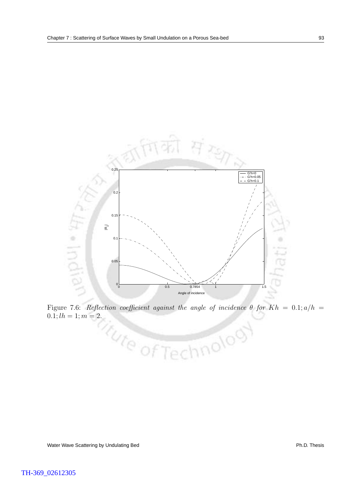

Figure 7.6: Reflection coefficient against the angle of incidence  $\theta$  for  $Kh = 0.1; a/h = 0$ 0.1;  $lh = 1; m = 2.$ 

TH-369\_02612305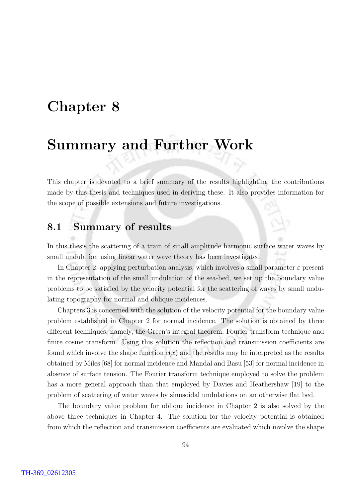### Chapter 8

#### Summary and Further Work

This chapter is devoted to a brief summary of the results highlighting the contributions made by this thesis and techniques used in deriving these. It also provides information for the scope of possible extensions and future investigations.

#### 8.1 Summary of results

In this thesis the scattering of a train of small amplitude harmonic surface water waves by small undulation using linear water wave theory has been investigated.

In Chapter 2, applying perturbation analysis, which involves a small parameter  $\varepsilon$  present in the representation of the small undulation of the sea-bed, we set up the boundary value problems to be satisfied by the velocity potential for the scattering of waves by small undulating topography for normal and oblique incidences.

Chapters 3 is concerned with the solution of the velocity potential for the boundary value problem established in Chapter 2 for normal incidence. The solution is obtained by three different techniques, namely, the Green's integral theorem, Fourier transform technique and finite cosine transform. Using this solution the reflection and transmission coefficients are found which involve the shape function  $c(x)$  and the results may be interpreted as the results obtained by Miles [68] for normal incidence and Mandal and Basu [53] for normal incidence in absence of surface tension. The Fourier transform technique employed to solve the problem has a more general approach than that employed by Davies and Heathershaw [19] to the problem of scattering of water waves by sinusoidal undulations on an otherwise flat bed.

The boundary value problem for oblique incidence in Chapter 2 is also solved by the above three techniques in Chapter 4. The solution for the velocity potential is obtained from which the reflection and transmission coefficients are evaluated which involve the shape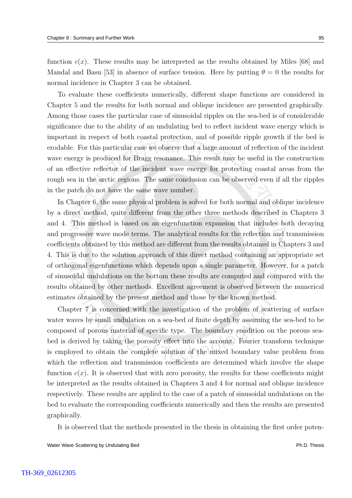function  $c(x)$ . These results may be interpreted as the results obtained by Miles [68] and Mandal and Basu [53] in absence of surface tension. Here by putting  $\theta = 0$  the results for normal incidence in Chapter 3 can be obtained.

To evaluate these coefficients numerically, different shape functions are considered in Chapter 5 and the results for both normal and oblique incidence are presented graphically. Among those cases the particular case of sinusoidal ripples on the sea-bed is of considerable significance due to the ability of an undulating bed to reflect incident wave energy which is important in respect of both coastal protection, and of possible ripple growth if the bed is erodable. For this particular case we observe that a large amount of reflection of the incident wave energy is produced for Bragg resonance. This result may be useful in the construction of an effective reflector of the incident wave energy for protecting coastal areas from the rough sea in the arctic regions. The same conclusion can be observed even if all the ripples in the patch do not have the same wave number.

In Chapter 6, the same physical problem is solved for both normal and oblique incidence by a direct method, quite different from the other three methods described in Chapters 3 and 4. This method is based on an eigenfunction expansion that includes both decaying and progressive wave mode terms. The analytical results for the reflection and transmission coefficients obtained by this method are different from the results obtained in Chapters 3 and 4. This is due to the solution approach of this direct method containing an appropriate set of orthogonal eigenfunctions which depends upon a single parameter. However, for a patch of sinusoidal undulations on the bottom these results are computed and compared with the results obtained by other methods. Excellent agreement is observed between the numerical estimates obtained by the present method and those by the known method.

Chapter 7 is concerned with the investigation of the problem of scattering of surface water waves by small undulation on a sea-bed of finite depth by assuming the sea-bed to be composed of porous material of specific type. The boundary condition on the porous seabed is derived by taking the porosity effect into the account. Fourier transform technique is employed to obtain the complete solution of the mixed boundary value problem from which the reflection and transmission coefficients are determined which involve the shape function  $c(x)$ . It is observed that with zero porosity, the results for these coefficients might be interpreted as the results obtained in Chapters 3 and 4 for normal and oblique incidence respectively. These results are applied to the case of a patch of sinusoidal undulations on the bed to evaluate the corresponding coefficients numerically and then the results are presented graphically.

It is observed that the methods presented in the thesis in obtaining the first order poten-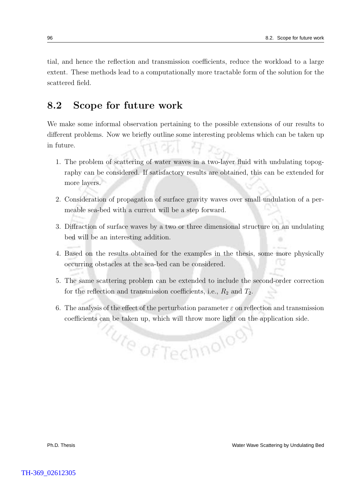tial, and hence the reflection and transmission coefficients, reduce the workload to a large extent. These methods lead to a computationally more tractable form of the solution for the scattered field.

#### 8.2 Scope for future work

We make some informal observation pertaining to the possible extensions of our results to different problems. Now we briefly outline some interesting problems which can be taken up in future.

- 1. The problem of scattering of water waves in a two-layer fluid with undulating topography can be considered. If satisfactory results are obtained, this can be extended for more layers.
- 2. Consideration of propagation of surface gravity waves over small undulation of a permeable sea-bed with a current will be a step forward.
- 3. Diffraction of surface waves by a two or three dimensional structure on an undulating bed will be an interesting addition.
- 4. Based on the results obtained for the examples in the thesis, some more physically occurring obstacles at the sea-bed can be considered.
- 5. The same scattering problem can be extended to include the second-order correction for the reflection and transmission coefficients, i.e.,  $R_2$  and  $T_2$ .
- 6. The analysis of the effect of the perturbation parameter  $\varepsilon$  on reflection and transmission coefficients can be taken up, which will throw more light on the application side.

We of Technolog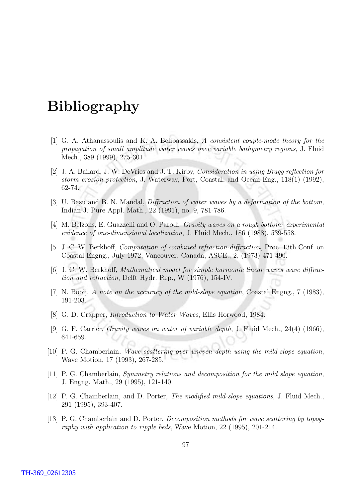### Bibliography

- [1] G. A. Athanassoulis and K. A. Belibassakis, A consistent couple-mode theory for the propagation of small amplitude water waves over variable bathymetry regions, J. Fluid Mech., 389 (1999), 275-301.
- [2] J. A. Bailard, J. W. DeVries and J. T. Kirby, Consideration in using Bragg reflection for storm erosion protection, J. Waterway, Port, Coastal, and Ocean Eng., 118(1) (1992), 62-74.
- [3] U. Basu and B. N. Mandal, Diffraction of water waves by a deformation of the bottom, Indian J. Pure Appl. Math., 22 (1991), no. 9, 781-786.
- [4] M. Belzons, E. Guazzelli and O. Parodi, Gravity waves on a rough bottom: experimental evidence of one-dimensional localization, J. Fluid Mech., 186 (1988), 539-558.
- [5] J. C. W. Berkhoff, Computation of combined refraction-diffraction, Proc. 13th Conf. on Coastal Engng., July 1972, Vancouver, Canada, ASCE., 2, (1973) 471-490.
- [6] J. C. W. Berkhoff, Mathematical model for simple harmonic linear waves wave diffraction and refraction, Delft Hydr. Rep., W (1976), 154-IV.
- [7] N. Booij, A note on the accuracy of the mild-slope equation, Coastal Engng., 7 (1983), 191-203.
- [8] G. D. Crapper, Introduction to Water Waves, Ellis Horwood, 1984.
- [9] G. F. Carrier, Gravity waves on water of variable depth, J. Fluid Mech., 24(4) (1966), 641-659.
- [10] P. G. Chamberlain, Wave scattering over uneven depth using the mild-slope equation, Wave Motion, 17 (1993), 267-285.
- [11] P. G. Chamberlain, Symmetry relations and decomposition for the mild slope equation, J. Engng. Math., 29 (1995), 121-140.
- [12] P. G. Chamberlain, and D. Porter, The modified mild-slope equations, J. Fluid Mech., 291 (1995), 393-407.
- [13] P. G. Chamberlain and D. Porter, Decomposition methods for wave scattering by topography with application to ripple beds, Wave Motion, 22 (1995), 201-214.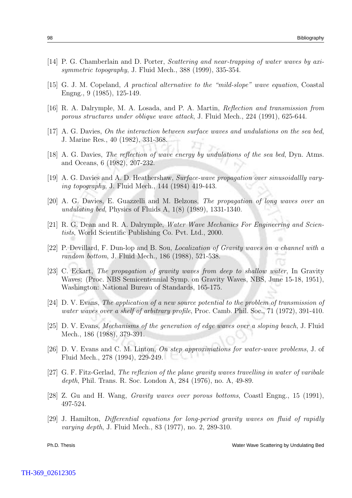- [14] P. G. Chamberlain and D. Porter, Scattering and near-trapping of water waves by axisymmetric topography, J. Fluid Mech., 388 (1999), 335-354.
- [15] G. J. M. Copeland, A practical alternative to the "mild-slope" wave equation, Coastal Engng., 9 (1985), 125-149.
- [16] R. A. Dalrymple, M. A. Losada, and P. A. Martin, Reflection and transmission from porous structures under oblique wave attack, J. Fluid Mech., 224 (1991), 625-644.
- [17] A. G. Davies, On the interaction between surface waves and undulations on the sea bed, J. Marine Res., 40 (1982), 331-368.
- [18] A. G. Davies, The reflection of wave energy by undulations of the sea bed, Dyn. Atms. and Oceans, 6 (1982), 207-232.
- [19] A. G. Davies and A. D. Heathershaw, Surface-wave propagation over sinusoidallly varying topography, J. Fluid Mech., 144 (1984) 419-443.
- [20] A. G. Davies, E. Guazzelli and M. Belzons, The propagation of long waves over an undulating bed, Physics of Fluids A, 1(8) (1989), 1331-1340.
- [21] R. G. Dean and R. A. Dalrymple, Water Wave Mechanics For Engineering and Scientists, World Scientific Publishing Co. Pvt. Ltd., 2000.
- [22] P. Devillard, F. Dun-lop and B. Sou, Localization of Gravity waves on a channel with a random bottom, J. Fluid Mech., 186 (1988), 521-538.
- [23] C. Eckart, The propagation of gravity waves from deep to shallow water, In Gravity Waves: (Proc. NBS Semicentennial Symp. on Gravity Waves, NBS, June 15-18, 1951), Washington: National Bureau of Standards, 165-175.
- [24] D. V. Evans, The application of a new source potential to the problem of transmission of water waves over a shelf of arbitrary profile, Proc. Camb. Phil. Soc., 71 (1972), 391-410.
- [25] D. V. Evans, Mechanisms of the generation of edge waves over a sloping beach, J. Fluid Mech., 186 (1988), 379-391.
- [26] D. V. Evans and C. M. Linton, On step approximations for water-wave problems, J. of Fluid Mech., 278 (1994), 229-249.
- [27] G. F. Fitz-Gerlad, The reflexion of the plane gravity waves travelling in water of varibale depth, Phil. Trans. R. Soc. London A, 284 (1976), no. A, 49-89.
- [28] Z. Gu and H. Wang, Gravity waves over porous bottoms, Coastl Engng., 15 (1991), 497-524.
- [29] J. Hamilton, Differential equations for long-period gravity waves on fluid of rapidly varying depth, J. Fluid Mech., 83 (1977), no. 2, 289-310.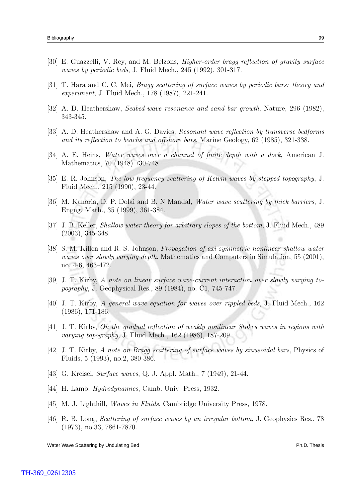- [30] E. Guazzelli, V. Rey, and M. Belzons, Higher-order bragg reflection of gravity surface waves by periodic beds, J. Fluid Mech., 245 (1992), 301-317.
- [31] T. Hara and C. C. Mei, Bragg scattering of surface waves by periodic bars: theory and experiment, J. Fluid Mech., 178 (1987), 221-241.
- [32] A. D. Heathershaw, Seabed-wave resonance and sand bar growth, Nature, 296 (1982), 343-345.
- [33] A. D. Heathershaw and A. G. Davies, Resonant wave reflection by transverse bedforms and its reflection to beachs and offshore bars, Marine Geology, 62 (1985), 321-338.
- [34] A. E. Heins, Water waves over a channel of finite depth with a dock, American J. Mathematics, 70 (1948) 730-748 .
- [35] E. R. Johnson, The low-frequency scattering of Kelvin waves by stepped topography, J. Fluid Mech., 215 (1990), 23-44.
- [36] M. Kanoria, D. P. Dolai and B. N Mandal, Water wave scattering by thick barriers, J. Engng. Math., 35 (1999), 361-384.
- [37] J. B. Keller, Shallow water theory for arbitrary slopes of the bottom, J. Fluid Mech., 489 (2003), 345-348.
- [38] S. M. Killen and R. S. Johnson, Propagation of axi-symmetric nonlinear shallow water waves over slowly varying depth, Mathematics and Computers in Simulation, 55 (2001), no. 4-6, 463-472.
- [39] J. T. Kirby, A note on linear surface wave-current interaction over slowly varying topography, J. Geophysical Res., 89 (1984), no. C1, 745-747.
- [40] J. T. Kirby, A general wave equation for waves over rippled beds, J. Fluid Mech., 162 (1986), 171-186.
- [41] J. T. Kirby, On the gradual reflection of weakly nonlinear Stokes waves in regions with varying topography, J. Fluid Mech., 162 (1986), 187-209.
- [42] J. T. Kirby, A note on Bragg scattering of surface waves by sinusoidal bars, Physics of Fluids, 5 (1993), no.2, 380-386.
- [43] G. Kreisel, *Surface waves*, Q. J. Appl. Math., 7 (1949), 21-44.
- [44] H. Lamb, *Hydrodynamics*, Camb. Univ. Press, 1932.
- [45] M. J. Lighthill, Waves in Fluids, Cambridge University Press, 1978.
- [46] R. B. Long, Scattering of surface waves by an irregular bottom, J. Geophysics Res., 78 (1973), no.33, 7861-7870.

Water Wave Scattering by Undulating Bed Ph.D. Thesis and Ph.D. Thesis and Ph.D. Thesis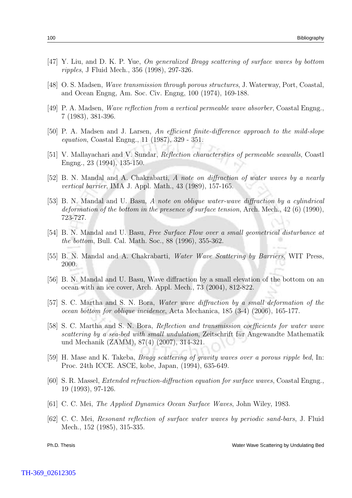- [47] Y. Liu, and D. K. P. Yue, On generalized Bragg scattering of surface waves by bottom ripples, J Fluid Mech., 356 (1998), 297-326.
- [48] O. S. Madsen, Wave transmission through porous structures, J. Waterway, Port, Coastal, and Ocean Engng, Am. Soc. Civ. Engng, 100 (1974), 169-188.
- [49] P. A. Madsen, Wave reflection from a vertical permeable wave absorber, Coastal Engng., 7 (1983), 381-396.
- [50] P. A. Madsen and J. Larsen, An efficient finite-difference approach to the mild-slope equation, Coastal Engng., 11 (1987), 329 - 351.
- [51] V. Mallayachari and V. Sundar, Reflection characterstics of permeable seawalls, Coastl Engng., 23 (1994), 135-150.
- [52] B. N. Mandal and A. Chakrabarti, A note on diffraction of water waves by a nearly vertical barrier, IMA J. Appl. Math., 43 (1989), 157-165.
- [53] B. N. Mandal and U. Basu, A note on oblique water-wave diffraction by a cylindrical deformation of the bottom in the presence of surface tension, Arch. Mech., 42 (6) (1990), 723-727.
- [54] B. N. Mandal and U. Basu, Free Surface Flow over a small geometrical disturbance at the bottom, Bull. Cal. Math. Soc., 88 (1996), 355-362.
- [55] B. N. Mandal and A. Chakrabarti, Water Wave Scattering by Barriers, WIT Press, 2000.
- [56] B. N. Mandal and U. Basu, Wave diffraction by a small elevation of the bottom on an ocean with an ice cover, Arch. Appl. Mech., 73 (2004), 812-822.
- [57] S. C. Martha and S. N. Bora, Water wave diffraction by a small deformation of the ocean bottom for oblique incidence, Acta Mechanica, 185 (3-4) (2006), 165-177.
- [58] S. C. Martha and S. N. Bora, Reflection and transmission coefficients for water wave scattering by a sea-bed with small undulation, Zeitschrift für Angewandte Mathematik und Mechanik (ZAMM), 87(4) (2007), 314-321.
- [59] H. Mase and K. Takeba, Bragg scattering of gravity waves over a porous ripple bed, In: Proc. 24th ICCE. ASCE, kobe, Japan, (1994), 635-649.
- [60] S. R. Massel, Extended refraction-diffraction equation for surface waves, Coastal Engng., 19 (1993), 97-126.
- [61] C. C. Mei, The Applied Dynamics Ocean Surface Waves, John Wiley, 1983.
- [62] C. C. Mei, Resonant reflection of surface water waves by periodic sand-bars, J. Fluid Mech., 152 (1985), 315-335.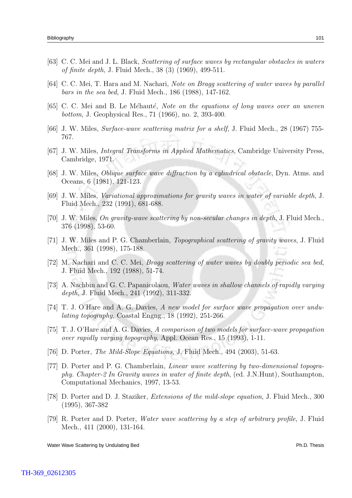- [63] C. C. Mei and J. L. Black, Scattering of surface waves by rectangular obstacles in waters of finite depth, J. Fluid Mech., 38 (3) (1969), 499-511.
- [64] C. C. Mei, T. Hara and M. Nachari, Note on Bragg scattering of water waves by parallel bars in the sea bed, J. Fluid Mech., 186 (1988), 147-162.
- [65] C. C. Mei and B. Le Méhauté, Note on the equations of long waves over an uneven bottom, J. Geophysical Res., 71 (1966), no. 2, 393-400.
- [66] J. W. Miles, Surface-wave scattering matrix for a shelf, J. Fluid Mech., 28 (1967) 755- 767.
- [67] J. W. Miles, Integral Transforms in Applied Mathematics, Cambridge University Press, Cambridge, 1971.
- [68] J. W. Miles, Oblique surface wave diffraction by a cylindrical obstacle, Dyn. Atms. and Oceans, 6 (1981), 121-123.
- [69] J. W. Miles, Variational approximations for gravity waves in water of variable depth, J. Fluid Mech., 232 (1991), 681-688.
- [70] J. W. Miles, On gravity-wave scattering by non-secular changes in depth, J. Fluid Mech., 376 (1998), 53-60.
- [71] J. W. Miles and P. G. Chamberlain, Topographical scattering of gravity waves, J. Fluid Mech., 361 (1998), 175-188.
- [72] M. Nachari and C. C. Mei, Bragg scattering of water waves by doubly periodic sea bed, J. Fluid Mech., 192 (1988), 51-74.
- [73] A. Nachbin and G. C. Papanicolaou, Water waves in shallow channels of rapidly varying depth, J. Fluid Mech., 241 (1992), 311-332.
- [74] T. J. O'Hare and A. G. Davies, A new model for surface wave propagation over undulating topography, Coastal Engng., 18 (1992), 251-266.
- [75] T. J. O'Hare and A. G. Davies, A comparison of two models for surface-wave propagation over rapidly varying topography, Appl. Ocean Res., 15 (1993), 1-11.
- [76] D. Porter, *The Mild-Slope Equations*, J. Fluid Mech., 494 (2003), 51-63.
- [77] D. Porter and P. G. Chamberlain, Linear wave scattering by two-dimensional topography. Chapter-2 In Gravity waves in water of finite depth, (ed. J.N.Hunt), Southampton, Computational Mechanics, 1997, 13-53.
- [78] D. Porter and D. J. Staziker, Extensions of the mild-slope equation, J. Fluid Mech., 300 (1995), 367-382
- [79] R. Porter and D. Porter, Water wave scattering by a step of arbitrary profile, J. Fluid Mech., 411 (2000), 131-164.

Water Wave Scattering by Undulating Bed Ph.D. Thesis and Ph.D. Thesis and Ph.D. Thesis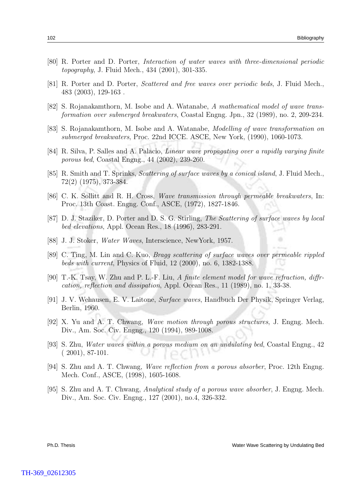- [80] R. Porter and D. Porter, Interaction of water waves with three-dimensional periodic topography, J. Fluid Mech., 434 (2001), 301-335.
- [81] R. Porter and D. Porter, Scattered and free waves over periodic beds, J. Fluid Mech., 483 (2003), 129-163 .
- [82] S. Rojanakamthorn, M. Isobe and A. Watanabe, A mathematical model of wave transformation over submerged breakwaters, Coastal Engng. Jpn., 32 (1989), no. 2, 209-234.
- [83] S. Rojanakamthorn, M. Isobe and A. Watanabe, Modelling of wave transformation on submerged breakwaters, Proc. 22nd ICCE. ASCE, New York, (1990), 1060-1073.
- [84] R. Silva, P. Salles and A. Palacio, Linear wave propagating over a rapidly varying finite porous bed, Coastal Engng., 44 (2002), 239-260.
- [85] R. Smith and T. Sprinks, *Scattering of surface waves by a conical island*, J. Fluid Mech., 72(2) (1975), 373-384.
- [86] C. K. Sollitt and R. H. Cross, Wave transmission through permeable breakwaters, In: Proc. 13th Coast. Engng. Conf., ASCE, (1972), 1827-1846.
- [87] D. J. Staziker, D. Porter and D. S. G. Stirling, The Scattering of surface waves by local bed elevations, Appl. Ocean Res., 18 (1996), 283-291.
- [88] J. J. Stoker, Water Waves, Interscience, NewYork, 1957.
- [89] C. Ting, M. Lin and C. Kuo, Bragg scattering of surface waves over permeable rippled beds with current, Physics of Fluid, 12 (2000), no. 6, 1382-1388.
- [90] T.-K. Tsay, W. Zhu and P. L.-F. Liu, A finite element model for wave refraction, diffrcation, reflection and dissipation, Appl. Ocean Res., 11 (1989), no. 1, 33-38.
- [91] J. V. Wehausen, E. V. Laitone, Surface waves, Handbuch Der Physik, Springer Verlag, Berlin, 1960.
- [92] X. Yu and A. T. Chwang, Wave motion through porous structures, J. Engng. Mech. Div., Am. Soc. Civ. Engng., 120 (1994), 989-1008.
- [93] S. Zhu, Water waves within a porous medium on an undulating bed, Coastal Engng., 42 ( 2001), 87-101.
- [94] S. Zhu and A. T. Chwang, Wave reflection from a porous absorber, Proc. 12th Engng. Mech. Conf., ASCE, (1998), 1605-1608.
- [95] S. Zhu and A. T. Chwang, Analytical study of a porous wave absorber, J. Engng. Mech. Div., Am. Soc. Civ. Engng., 127 (2001), no.4, 326-332.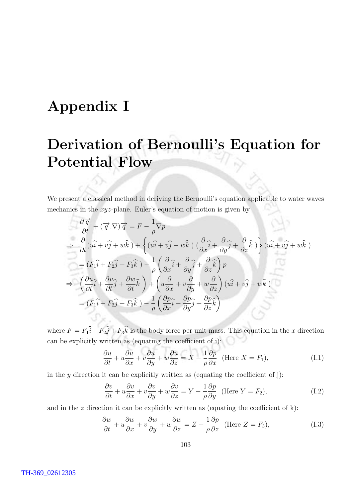# Appendix I

# Derivation of Bernoulli's Equation for Potential Flow

We present a classical method in deriving the Bernoulli's equation applicable to water waves mechanics in the xyz-plane. Euler's equation of motion is given by

$$
\frac{\partial \overrightarrow{q}}{\partial t} + (\overrightarrow{q} \cdot \nabla) \overrightarrow{q} = F - \frac{1}{\rho} \nabla p
$$
\n
$$
\Rightarrow \frac{\partial}{\partial t} (\overrightarrow{u} \hat{i} + \overrightarrow{v} \hat{j} + \overrightarrow{w} \hat{k}) + \left\{ (\overrightarrow{u} \hat{i} + \overrightarrow{v} \hat{j} + \overrightarrow{w} \hat{k}) \cdot (\frac{\partial}{\partial x} \hat{i} + \frac{\partial}{\partial y} \hat{j} + \frac{\partial}{\partial z} \hat{k}) \right\} (\overrightarrow{u} \hat{i} + \overrightarrow{v} \hat{j} + \overrightarrow{w} \hat{k})
$$
\n
$$
= (F_1 \hat{i} + F_2 \hat{j} + F_3 \hat{k}) - \frac{1}{\rho} \left( \frac{\partial}{\partial x} \hat{i} + \frac{\partial}{\partial y} \hat{j} + \frac{\partial}{\partial z} \hat{k} \right) p
$$
\n
$$
\Rightarrow \left( \frac{\partial u}{\partial t} \hat{i} + \frac{\partial v}{\partial t} \hat{j} + \frac{\partial w}{\partial t} \hat{k} \right) + \left( u \frac{\partial}{\partial x} + v \frac{\partial}{\partial y} + w \frac{\partial}{\partial z} \right) (\overrightarrow{u} \hat{i} + v \hat{j} + w \hat{k})
$$
\n
$$
= (F_1 \hat{i} + F_2 \hat{j} + F_3 \hat{k}) - \frac{1}{\rho} \left( \frac{\partial p}{\partial x} \hat{i} + \frac{\partial p}{\partial y} \hat{j} + \frac{\partial p}{\partial z} \hat{k} \right)
$$

where  $F = F_1\hat{i} + F_2\hat{j} + F_3\hat{k}$  is the body force per unit mass. This equation in the x direction can be explicitly written as (equating the coefficient of i):

$$
\frac{\partial u}{\partial t} + u \frac{\partial u}{\partial x} + v \frac{\partial u}{\partial y} + w \frac{\partial u}{\partial z} = X - \frac{1}{\rho} \frac{\partial p}{\partial x} \quad \text{(Here } X = F_1), \tag{I.1}
$$

in the  $y$  direction it can be explicitly written as (equating the coefficient of j):

$$
\frac{\partial v}{\partial t} + u \frac{\partial v}{\partial x} + v \frac{\partial v}{\partial y} + w \frac{\partial v}{\partial z} = Y - \frac{1}{\rho} \frac{\partial p}{\partial y} \quad \text{(Here } Y = F_2), \tag{I.2}
$$

and in the z direction it can be explicitly written as (equating the coefficient of k):

$$
\frac{\partial w}{\partial t} + u \frac{\partial w}{\partial x} + v \frac{\partial w}{\partial y} + w \frac{\partial w}{\partial z} = Z - \frac{1}{\rho} \frac{\partial p}{\partial z} \text{ (Here } Z = F_3),\tag{I.3}
$$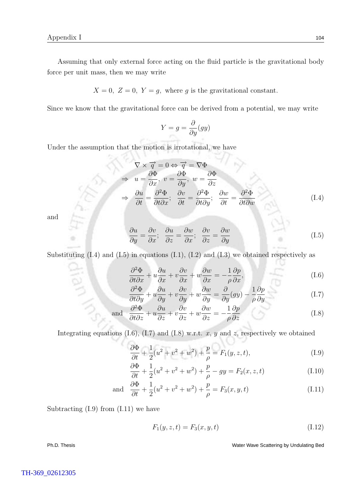Assuming that only external force acting on the fluid particle is the gravitational body force per unit mass, then we may write

 $X = 0, Z = 0, Y = g$ , where g is the gravitational constant.

Since we know that the gravitational force can be derived from a potential, we may write

$$
Y = g = \frac{\partial}{\partial y}(gy)
$$

Under the assumption that the motion is irrotational, we have

$$
\nabla \times \vec{q} = 0 \Leftrightarrow \vec{q} = \nabla \Phi
$$
  
\n
$$
\Rightarrow u = \frac{\partial \Phi}{\partial x}, v = \frac{\partial \Phi}{\partial y}, w = \frac{\partial \Phi}{\partial z}
$$
  
\n
$$
\Rightarrow \frac{\partial u}{\partial t} = \frac{\partial^2 \Phi}{\partial t \partial x}; \frac{\partial v}{\partial t} = \frac{\partial^2 \Phi}{\partial t \partial y}; \frac{\partial w}{\partial t} = \frac{\partial^2 \Phi}{\partial t \partial w}
$$
(I.4)

and

$$
\frac{\partial u}{\partial y} = \frac{\partial v}{\partial x}; \quad \frac{\partial u}{\partial z} = \frac{\partial w}{\partial x}; \quad \frac{\partial v}{\partial z} = \frac{\partial w}{\partial y}
$$
(I.5)

Substituting  $(I.4)$  and  $(I.5)$  in equations  $(I.1)$ ,  $(I.2)$  and  $(I.3)$  we obtained respectively as

$$
\frac{\partial^2 \Phi}{\partial t \partial x} + u \frac{\partial u}{\partial x} + v \frac{\partial v}{\partial x} + w \frac{\partial w}{\partial x} = -\frac{1}{\rho} \frac{\partial p}{\partial x},\tag{I.6}
$$

$$
\frac{\partial^2 \Phi}{\partial t \partial y} + u \frac{\partial u}{\partial y} + v \frac{\partial v}{\partial y} + w \frac{\partial w}{\partial y} = \frac{\partial}{\partial y} (gy) - \frac{1}{\rho} \frac{\partial p}{\partial y}
$$
(I.7)

and 
$$
\frac{\partial^2 \Phi}{\partial t \partial z} + u \frac{\partial u}{\partial z} + v \frac{\partial v}{\partial z} + w \frac{\partial w}{\partial z} = -\frac{1}{\rho} \frac{\partial p}{\partial z}
$$
 (I.8)

Integrating equations (I.6), (I.7) and (I.8) w.r.t.  $x, y$  and  $z$ , respectively we obtained

$$
\frac{\partial \Phi}{\partial t} + \frac{1}{2}(u^2 + v^2 + w^2) + \frac{p}{\rho} = F_1(y, z, t),
$$
 (I.9)

$$
\frac{\partial \Phi}{\partial t} + \frac{1}{2}(u^2 + v^2 + w^2) + \frac{p}{\rho} - gy = F_2(x, z, t)
$$
 (I.10)

and 
$$
\frac{\partial \Phi}{\partial t} + \frac{1}{2}(u^2 + v^2 + w^2) + \frac{p}{\rho} = F_3(x, y, t)
$$
 (I.11)

Subtracting  $(I.9)$  from  $(I.11)$  we have

$$
F_1(y, z, t) = F_3(x, y, t)
$$
\n(1.12)

Ph.D. Thesis Water Wave Scattering by Undulating Bed

TH-369\_02612305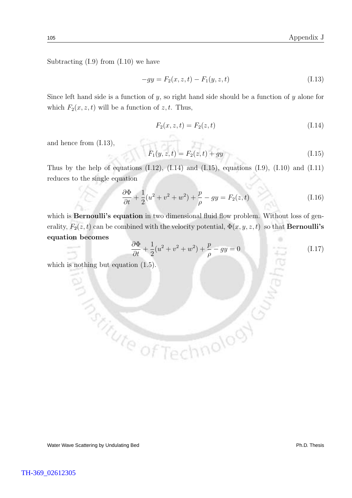Subtracting  $(I.9)$  from  $(I.10)$  we have

$$
-gy = F_2(x, z, t) - F_1(y, z, t) \tag{I.13}
$$

Since left hand side is a function of  $y$ , so right hand side should be a function of  $y$  alone for which  $F_2(x, z, t)$  will be a function of z, t. Thus,

$$
F_2(x, z, t) = F_2(z, t)
$$
\n(1.14)

and hence from (I.13),

$$
F_1(y, z, t) = F_2(z, t) + gy \tag{I.15}
$$

Thus by the help of equations  $(1.12)$ ,  $(1.14)$  and  $(1.15)$ , equations  $(1.9)$ ,  $(1.10)$  and  $(1.11)$ reduces to the single equation

$$
\frac{\partial \Phi}{\partial t} + \frac{1}{2}(u^2 + v^2 + w^2) + \frac{p}{\rho} - gy = F_2(z, t)
$$
 (I.16)

which is **Bernoulli's equation** in two dimensional fluid flow problem. Without loss of generality,  $F_2(z, t)$  can be combined with the velocity potential,  $\Phi(x, y, z, t)$  so that **Bernoulli's** equation becomes

$$
\frac{\partial \Phi}{\partial t} + \frac{1}{2}(u^2 + v^2 + w^2) + \frac{p}{\rho} - gy = 0
$$
 (I.17)

hnolooy G

which is nothing but equation  $(1.5)$ .

**Solidate of T**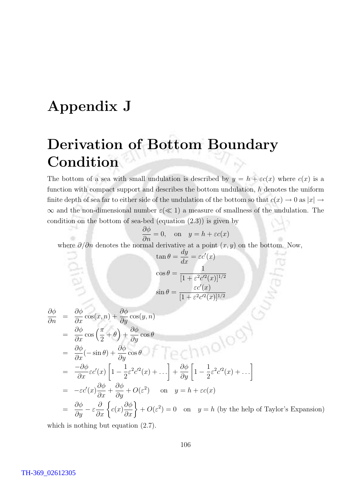### Appendix J

# Derivation of Bottom Boundary Condition

The bottom of a sea with small undulation is described by  $y = h + \varepsilon c(x)$  where  $c(x)$  is a function with compact support and describes the bottom undulation,  $h$  denotes the uniform finite depth of sea far to either side of the undulation of the bottom so that  $c(x) \to 0$  as  $|x| \to$  $\infty$  and the non-dimensional number  $\varepsilon(\ll 1)$  a measure of smallness of the undulation. The condition on the bottom of sea-bed (equation  $(2.3)$ ) is given by

$$
\frac{\partial \phi}{\partial n} = 0, \quad \text{on} \quad y = h + \varepsilon c(x)
$$

where  $\partial/\partial n$  denotes the normal derivative at a point  $(x, y)$  on the bottom. Now,

$$
\tan \theta = \frac{dy}{dx} = \varepsilon c'(x)
$$

$$
\cos \theta = \frac{1}{[1 + \varepsilon^2 c'^2(x)]^{1/2}}
$$

$$
\sin \theta = \frac{\varepsilon c'(x)}{[1 + \varepsilon^2 c'^2(x)]^{1/2}}
$$

$$
\frac{\partial \phi}{\partial n} = \frac{\partial \phi}{\partial x} \cos(x, n) + \frac{\partial \phi}{\partial y} \cos(y, n)
$$
\n
$$
= \frac{\partial \phi}{\partial x} \cos\left(\frac{\pi}{2} + \theta\right) + \frac{\partial \phi}{\partial y} \cos\theta
$$
\n
$$
= \frac{\partial \phi}{\partial x} (-\sin \theta) + \frac{\partial \phi}{\partial y} \cos \theta
$$
\n
$$
= \frac{-\partial \phi}{\partial x} \varepsilon c'(x) \left[1 - \frac{1}{2} \varepsilon^2 c'^2(x) + \dots\right] + \frac{\partial \phi}{\partial y} \left[1 - \frac{1}{2} \varepsilon^2 c'^2(x) + \dots\right]
$$
\n
$$
= -\varepsilon c'(x) \frac{\partial \phi}{\partial x} + \frac{\partial \phi}{\partial y} + O(\varepsilon^2) \quad \text{on} \quad y = h + \varepsilon c(x)
$$
\n
$$
= \frac{\partial \phi}{\partial y} - \varepsilon \frac{\partial}{\partial x} \left\{c(x) \frac{\partial \phi}{\partial x}\right\} + O(\varepsilon^2) = 0 \quad \text{on} \quad y = h \text{ (by the help of Taylor's Expansion)}
$$

which is nothing but equation  $(2.7)$ .